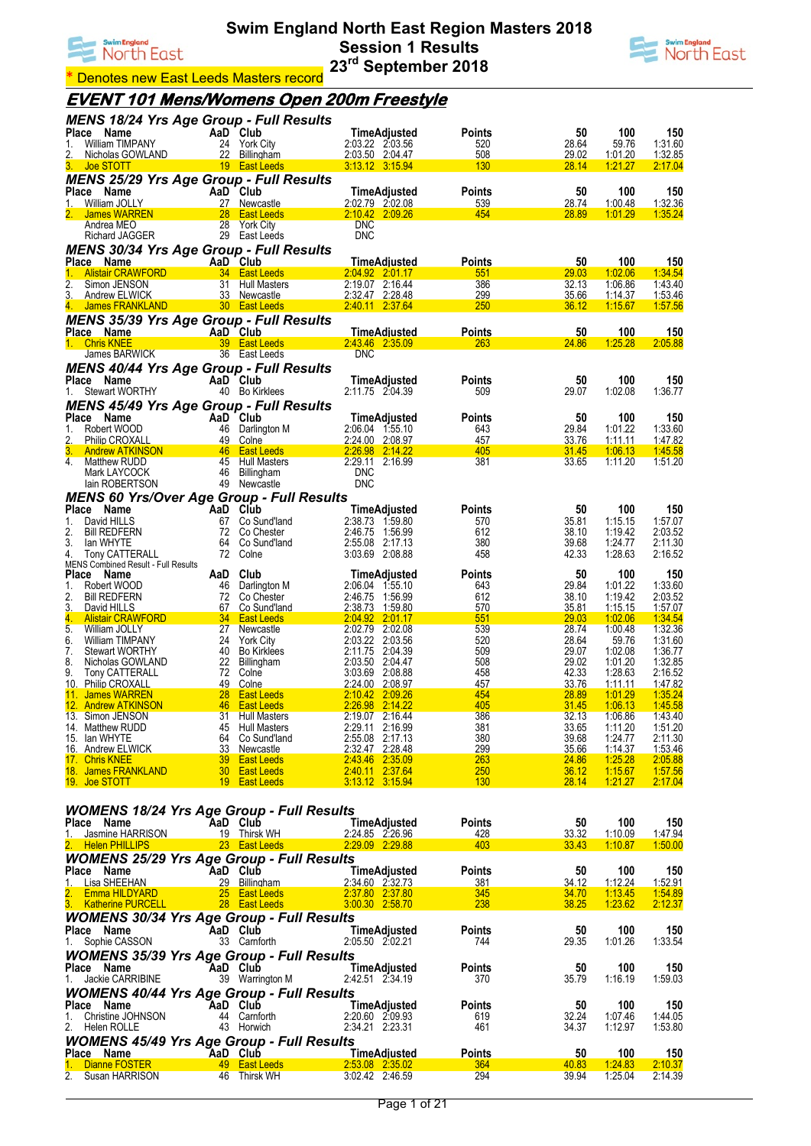



**Denotes new East Leeds Masters record** 

## **EVENT 101 Mens/Womens Open 200m Freestyle**

| <b>MENS 18/24 Yrs Age Group - Full Results</b>       |                     |                                        |                                                 |                    |                |                                  |                           |
|------------------------------------------------------|---------------------|----------------------------------------|-------------------------------------------------|--------------------|----------------|----------------------------------|---------------------------|
| Place<br>Name<br><b>William TIMPANY</b><br>1.        |                     | AaD Club<br>24 York City               | <b>TimeAdjusted</b><br>2:03.22 2:03.56          | Points<br>520      | 50<br>28.64    | 100<br>59.76                     | 150<br>1:31.60            |
| 2.<br>Nicholas GOWLAND                               |                     | 22 Billingham                          | 2:03.50 2:04.47                                 | 508                | 29.02          | 1:01.20                          | 1:32.85                   |
| 3.<br><b>Joe STOTT</b>                               |                     | 19 East Leeds                          | 3:13.12 3:15.94                                 | 130                | 28.14          | 1:21.27                          | 2:17.04                   |
| <b>MENS 25/29 Yrs Age Group - Full Results</b>       |                     |                                        |                                                 |                    |                |                                  |                           |
| <b>Place</b><br>Name<br>1.<br>William JOLLY          |                     | AaD Club                               | TimeAdjusted                                    | Points<br>539      | 50<br>28.74    | 100                              | 150<br>1:32.36            |
| 2.<br><b>James WARREN</b>                            | 28                  | 27 Newcastle<br><b>East Leeds</b>      | 2:02.79 2:02.08<br>2:10.42 2:09.26              | 454                | 28.89          | 1:00.48<br>1:01.29               | 1:35.24                   |
| Andrea MEO                                           | 28                  | <b>York City</b>                       | <b>DNC</b>                                      |                    |                |                                  |                           |
| <b>Richard JAGGER</b>                                |                     | 29 East Leeds                          | <b>DNC</b>                                      |                    |                |                                  |                           |
| <b>MENS 30/34 Yrs Age Group - Full Results</b>       |                     |                                        |                                                 |                    |                |                                  |                           |
| Place Name<br>1.<br><b>Alistair CRAWFORD</b>         |                     | AaD Club<br>34 East Leeds              | TimeAdjusted<br>2:04.92 2:01.17                 | Points<br>551      | 50<br>29.03    | 100<br>1:02.06                   | 150<br><u>1:34.54</u>     |
| 2.<br>Simon JENSON                                   |                     | 31 Hull Masters                        | 2:19.07 2:16.44                                 | 386                | 32.13          | 1:06.86                          | 1:43.40                   |
| 3.<br>Andrew ELWICK                                  |                     | 33 Newcastle                           | 2:32.47 2:28.48                                 | <u>299</u>         | 35.66          | 1:14.37                          | 1:53.46                   |
| 4.<br>James FRANKLAND                                |                     | 30 East Leeds                          | 2:40.11 2:37.64                                 | 250                | 36.12          | 1:15.67                          | 1.57.56                   |
| <b>MENS 35/39 Yrs Age Group - Full Results</b>       |                     |                                        |                                                 |                    |                |                                  |                           |
| Place Name<br>1. Chris KNEE                          |                     | AaD Club<br>39 East Leeds              | <b>TimeAdjusted</b><br>2:43.46 2:35.09          | Points<br>263      | 50<br>24.86    | 100<br>1:25.28                   | 150<br>2:05.88            |
| James BARWICK                                        |                     | 36 East Leeds                          | <b>DNC</b>                                      |                    |                |                                  |                           |
| <b>MENS 40/44 Yrs Age Group - Full Results</b>       |                     |                                        |                                                 |                    |                |                                  |                           |
| Place<br>Name                                        |                     | AaD Club                               | <b>TimeAdjusted</b>                             | Points             | 50             | 100                              | 150                       |
| <b>Stewart WORTHY</b><br>1.                          |                     | 40 Bo Kirklees                         | 2:11.75 2:04.39                                 | 509                | 29.07          | 1:02.08                          | 1:36.77                   |
| <b>MENS 45/49 Yrs Age Group - Full Results</b>       |                     |                                        |                                                 |                    |                |                                  |                           |
| Place<br>Name<br>Robert WOOD<br>1.                   |                     | AaD Club<br>46 Darlington M            | <b>TimeAdjusted</b><br>2:06.04 1:55.10          | Points<br>643      | 50<br>29.84    | 100<br>1:01.22                   | 150<br>1:33.60            |
| 2.<br>Philip CROXALL                                 |                     | 49 Colne                               | 2:24.00 2:08.97                                 | 457                | 33.76          | 1:11.11                          | 1.47.82                   |
| 3.<br><b>Andrew ATKINSON</b>                         |                     | 46 East Leeds                          | 2:26.98 2:14.22                                 | 405                | <b>31.45</b>   | 1:06.13                          | 1:45.58                   |
| 4.<br>Matthew RUDD                                   |                     | 45 Hull Masters                        | 2:29.11 2:16.99<br><b>DNC</b>                   | 381                | 33.65          | 1:11.20                          | 1:51.20                   |
| Mark LAYCOCK<br>lain ROBERTSON                       |                     | 46 Billingham<br>49 Newcastle          | <b>DNC</b>                                      |                    |                |                                  |                           |
| <b>MENS 60 Yrs/Over Age Group - Full Results</b>     |                     |                                        |                                                 |                    |                |                                  |                           |
| Place<br>Name                                        |                     | AaD Club                               | TimeAdjusted                                    | Points             | 50             | 100                              | 150                       |
| David HILLS<br>1.                                    | 67                  | Co Sund'land                           | 2:38.73<br>1:59.80                              | 570                | 35.81          | 1:15.15                          | 1:57.07                   |
| 2.<br><b>Bill REDFERN</b>                            | 72                  | Co Chester                             | 2:46.75<br>1:56.99                              | 612                | 38.10          | 1:19.42                          | 2:03.52                   |
| 3.<br>lan WHYTE<br>4.<br>Tony CATTERALL              | 64<br>72            | Co Sund'land<br>Colne                  | 2:55.08 2:17.13<br>3:03.69 2:08.88              | 380<br>458         | 39.68<br>42.33 | 1:24.77<br>1:28.63               | 2:11.30<br>2:16.52        |
| <b>MENS Combined Result - Full Results</b>           |                     |                                        |                                                 |                    |                |                                  |                           |
| <b>Place</b><br>Name                                 | AaD                 | Club                                   | TimeAdjusted                                    | Points             | 50             | 100                              | 150                       |
| 1.<br>Robert WOOD<br>2.<br><b>Bill REDFERN</b>       | 46<br>72            | Darlington M<br>Co Chester             | 2:06.04 1:55.10<br>2:46.75 1:56.99              | 643<br>612         | 29.84<br>38.10 | 1:01.22<br>1:19.42               | 1:33.60<br>2:03.52        |
| 3.<br>David HILLS                                    | 67                  | Co Sund'land                           | 2:38.73 1:59.80                                 | 570                | 35.81          | <u>1:15.15</u>                   | 1.57.07                   |
| 4.<br><b>Alistair CRAWFORD</b>                       | 34                  | <b>East Leeds</b>                      | 2:04.92 2:01.17                                 | 551                | 29.03          | 1:02.06                          | 1:34.54                   |
| 5.<br>William JOLLY                                  | 27                  | Newcastle                              | 2:02.79 2:02.08                                 | 539                | 28.74          | 1:00.48                          | 1:32.36<br>1:31.60        |
| 6.<br>William TIMPANY<br>7.<br><b>Stewart WORTHY</b> | 24<br>40            | <b>York City</b><br><b>Bo Kirklees</b> | 2:03.22 2:03.56<br>2:11.75 2:04.39              | 520<br>509         | 28.64<br>29.07 | 59.76<br>1:02.08                 | 1:36.77                   |
| 8.<br>Nicholas GOWLAND                               | 22                  | Billingham                             | 2:03.50 2:04.47                                 | 508                | 29.02          | 1:01.20                          | 1:32.85                   |
| 9.<br><b>Tony CATTERALL</b>                          | 72                  | Colne                                  | 3:03.69 2:08.88                                 | 458                | 42.33          | 1:28.63                          | 2:16.52                   |
| 10.<br><b>Philip CROXALL</b><br>James WARREN<br>11.  | <u>49</u><br>28     | Colne<br><b>East Leeds</b>             | 2:24.00<br><u>2.08.97</u><br>2:10.42<br>2:09.26 | <u>457</u><br>454  | 33.76<br>28.89 | <u>1:11.11</u><br><u>1:01.29</u> | <u>1.47.82</u><br>1:35.24 |
| 12.<br><b>Andrew ATKINSON</b>                        | 46                  | <b>East Leeds</b>                      | 2:26.98<br>2:14.22                              | 405                | 31.45          | 1:06.13                          | 1:45.58                   |
| 13. Simon JENSON                                     | 31                  | <b>Hull Masters</b>                    | 2:19.07 2:16.44                                 | 386                | 32.13          | 1:06.86                          | 1:43.40                   |
| 14. Matthew RUDD                                     |                     | 45 Hull Masters                        | 2:29.11 2:16.99                                 | 381                | 33.65          | 1:11.20                          | 1:51.20                   |
| 15. Ian WHYTE<br>16. Andrew ELWICK                   |                     | 64 Co Sund'land<br>33 Newcastle        | 2:55.08 2:17.13<br>2:32.47 2:28.48              | 380<br><u> 299</u> | 39.68<br>35.66 | 1:24.77<br><u>1:14.37</u>        | 2:11.30<br>1:53.46        |
| 17. Chris KNEE                                       |                     | 39 East Leeds                          | 2:43.46 2:35.09                                 | <b>263</b>         | 24.86          | 1:25.28                          | 2:05.88                   |
| 18. James FRANKLAND                                  |                     | 30 East Leeds                          | 2:40.11 2:37.64                                 | 250                | 36.12          | 1:15.67                          | 1:57.56                   |
| 19. Joe STOTT                                        |                     | 19 East Leeds                          | 3:13.12 3:15.94                                 | 130                | 28.14          | 1:21.27                          | 2:17.04                   |
|                                                      |                     |                                        |                                                 |                    |                |                                  |                           |
| <b>WOMENS 18/24 Yrs Age Group - Full Results</b>     |                     |                                        |                                                 |                    |                |                                  |                           |
| Place Name<br>1. Jasmine HARRISON                    |                     | AaD Club<br>19 Thirsk WH               | TimeAdjusted<br>2:24.85 2:26.96                 | Points<br>428      | 50<br>33.32    | 100<br>1:10.09                   | 150<br>1:47.94            |
| 2. Helen PHILLIPS                                    |                     | 23 East Leeds                          | 2:29.09 2:29.88                                 | 403                | 33.43          | 1:10.87                          | 1:50.00                   |
| <b>WOMENS 25/29 Yrs Age Group - Full Results</b>     |                     |                                        |                                                 |                    |                |                                  |                           |
| Place Name                                           |                     | AaD Club                               | TimeAdjusted                                    | <b>Points</b>      | 50             | 100                              | 150                       |
| Lisa SHEEHAN<br>1.                                   |                     | 29 Billingham                          | 2:34.60 2:32.73                                 | 381                | 34.12          | 1:12.24                          | <u>1:52.91</u>            |
| 2. Emma HILDYARD<br>3. Katherine PURCELL             |                     | 25 East Leeds<br>28 East Leeds         | 2:37.80 2:37.80<br>3.00.30 2:58.70              | 345<br>238         | 34.70<br>38.25 | 1:13.45<br>1:23.62               | 1:54.89<br>2:12.37        |
| <b>WOMENS 30/34 Yrs Age Group - Full Results</b>     |                     |                                        |                                                 |                    |                |                                  |                           |
| Place Name                                           |                     | AaD Club                               | TimeAdjusted                                    | Points             | 50             | 100                              | 150                       |
| 1. Sophie CASSON                                     |                     | 33 Carnforth                           | 2:05.50 2:02.21                                 | 744                | 29.35          | 1:01.26                          | 1:33.54                   |
| <b>WOMENS 35/39 Yrs Age Group - Full Results</b>     |                     |                                        |                                                 |                    |                |                                  |                           |
| Place Name                                           |                     | AaD Club                               | TimeAdjusted                                    | Points             | 50             | 100                              | 150                       |
| 1. Jackie CARRIBINE                                  |                     | 39 Warrington M                        | 2:42.51 2:34.19                                 | 370                | 35.79          | 1:16.19                          | 1:59.03                   |
| <b>WOMENS 40/44 Yrs Age Group - Full Results</b>     |                     |                                        |                                                 |                    |                |                                  |                           |
| Place Name                                           |                     | AaD Club<br>44 Carnforth               | TimeAdjusted                                    | Points             | 50             | 100                              | 150                       |
| 1. Christine JOHNSON<br>2. Helen ROLLE               |                     | 43 Horwich                             | 2:20.60 2:09.93<br>2:34.21 2:23.31              | 619<br>461         | 32.24<br>34.37 | 1:07.46<br>1:12.97               | 1:44.05<br>1:53.80        |
| <b>WOMENS 45/49 Yrs Age Group - Full Results</b>     |                     |                                        |                                                 |                    |                |                                  |                           |
| Place Name                                           | <b>Exalter</b> Club |                                        | <b>TimeAdjusted</b>                             | <b>Points</b>      | 50             | 100                              | <u>150</u>                |
| 1. Dianne FOSTER                                     |                     | <b>49 East Leeds</b>                   | 2:53.08 2:35.02                                 | 364                | 40.83          | 1:24.83                          | 2:10.37                   |
| 2. Susan HARRISON                                    |                     | 46 Thirsk WH                           | 3:02.42 2:46.59                                 | 294                | 39.94          | 1:25.04                          | 2:14.39                   |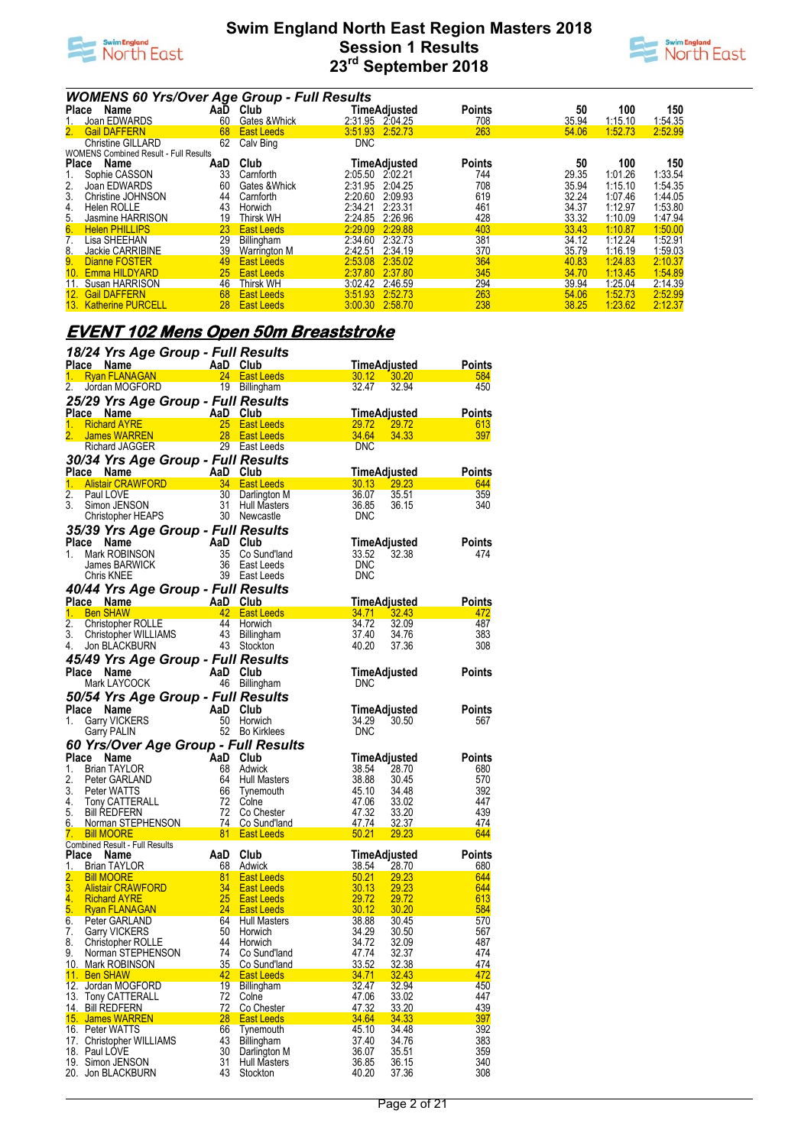



|                | <b>WOMENS 60 Yrs/Over Age Group - Full Results</b> |     |                     |                 |              |               |       |         |         |
|----------------|----------------------------------------------------|-----|---------------------|-----------------|--------------|---------------|-------|---------|---------|
| <b>Place</b>   | Name                                               | AaD | Club                |                 | TimeAdjusted | <b>Points</b> | 50    | 100     | 150     |
| 1.             | Joan EDWARDS                                       | 60  | Gates & Whick       | 2:31.95 2:04.25 |              | 708           | 35.94 | 1:15.10 | 1:54.35 |
| 2.             | <b>Gail DAFFERN</b>                                | 68  | <b>East Leeds</b>   | 3:51.93         | 2:52.73      | 263           | 54.06 | 1:52.73 | 2:52.99 |
|                | <b>Christine GILLARD</b>                           | 62  | Calv Bing           | <b>DNC</b>      |              |               |       |         |         |
|                | <b>WOMENS Combined Result - Full Results</b>       |     |                     |                 |              |               |       |         |         |
| <b>Place</b>   | Name                                               | AaD | Club                |                 | TimeAdjusted | <b>Points</b> | 50    | 100     | 150     |
| 1.             | Sophie CASSON                                      | 33  | Carnforth           | 2:05.50         | 2.02.21      | 744           | 29.35 | 1:01.26 | 1:33.54 |
| 2.             | Joan EDWARDS                                       | 60  | Gates & Whick       | 2:31.95         | 2:04.25      | 708           | 35.94 | 1:15.10 | 1:54.35 |
| 3.             | Christine JOHNSON                                  | 44  | Carnforth           | 2:20.60         | 2:09.93      | 619           | 32.24 | 1:07.46 | 1:44.05 |
| 4.             | Helen ROLLE                                        | 43  | Horwich             | 2:34.21         | 2.23.31      | 461           | 34.37 | 1:12.97 | 1:53.80 |
| 5.             | Jasmine HARRISON                                   | 19  | <b>Thirsk WH</b>    | 2:24.85         | 2:26.96      | 428           | 33.32 | 1:10.09 | 1:47.94 |
| 6.             | <b>Helen PHILLIPS</b>                              | 23  | <b>East Leeds</b>   | 2:29.09         | 2:29.88      | 403           | 33.43 | 1:10.87 | 1:50.00 |
| 7 <sub>1</sub> | Lisa SHEEHAN                                       | 29  | Billingham          | 2:34.60         | 2:32.73      | 381           | 34.12 | 1:12.24 | 1:52.91 |
| 8.             | Jackie CARRIBINE                                   | 39  | <b>Warrington M</b> | 2:42.51         | 2:34.19      | 370           | 35.79 | 1:16.19 | 1:59.03 |
| 9.             | Dianne FOSTER                                      | 49  | <b>East Leeds</b>   | 2:53.08         | 2:35.02      | 364           | 40.83 | 1:24.83 | 2:10.37 |
|                | 10. Emma HILDYARD                                  | 25  | <b>East Leeds</b>   | 2:37.80         | 2:37.80      | 345           | 34.70 | 1:13.45 | 1:54.89 |
| 11.            | Susan HARRISON                                     | 46  | <b>Thirsk WH</b>    | 3:02.42         | 2:46.59      | 294           | 39.94 | 1:25.04 | 2:14.39 |
|                | 12. Gail DAFFERN                                   | 68  | <b>East Leeds</b>   | 3:51.93         | 2:52.73      | 263           | 54.06 | 1:52.73 | 2:52.99 |
|                | 13. Katherine PURCELL                              | 28  | <b>East Leeds</b>   | 3:00.30         | 2:58.70      | 238           | 38.25 | 1:23.62 | 2:12.37 |

## **EVENT 102 Mens Open 50m Breaststroke**

|                  | 18/24 Yrs Age Group - Full Results                            |                     |                                        |                      |                              |               |
|------------------|---------------------------------------------------------------|---------------------|----------------------------------------|----------------------|------------------------------|---------------|
|                  |                                                               |                     |                                        | <u>TimeAdjusted_</u> |                              | Points        |
|                  |                                                               |                     | 19 Billingham                          | 30.12 30.20<br>32.47 | 32.94                        | 584<br>450    |
| 2.               | Jordan MOGFORD                                                |                     |                                        |                      |                              |               |
|                  | 25/29 Yrs Age Group - Full Results                            |                     |                                        |                      |                              |               |
| 1.               | Place Name<br><b>Richard AYRE</b>                             |                     | <b>East Leeds</b>                      | 29.72                | <b>TimeAdjusted</b><br>29.72 | Points<br>613 |
| 2.               | <b>James WARREN</b>                                           | 28                  | <b>East Leeds</b>                      | 34.64                | 34.33                        | 397           |
|                  | <b>Richard JAGGER</b>                                         |                     | 29 East Leeds                          | <b>DNC</b>           |                              |               |
|                  | 30/34 Yrs Age Group - Full Results                            |                     |                                        |                      |                              |               |
|                  | Place Name                                                    | AaD Club            |                                        | <b>TimeAdjusted</b>  |                              | Points        |
|                  | 1. Alistair CRAWFORD <b>Alistia</b>                           |                     | 34 East Leeds                          | 30.13                | 29.23                        | 644           |
| $\overline{2}$ . | Paul LOVE                                                     | 30                  | Darlington M                           | 36.07                | 35.51                        | 359           |
| 3.               | Simon JENSON                                                  | 31                  | <b>Hull Masters</b>                    | 36.85                | 36.15                        | 340           |
|                  | <b>Christopher HEAPS</b>                                      |                     | 30 Newcastle                           | <b>DNC</b>           |                              |               |
|                  | 35/39 Yrs Age Group - Full Results                            |                     |                                        |                      |                              |               |
| 1.               | Place Name                                                    | AaD Club            |                                        |                      | TimeAdjusted                 | <b>Points</b> |
|                  | Mark ROBINSON<br>James BARWICK                                | 36                  | 35 Co Sund'land<br>East Leeds          | 33.52<br><b>DNC</b>  | 32.38                        | 474           |
|                  | Chris KNEE                                                    |                     | 39 East Leeds                          | <b>DNC</b>           |                              |               |
|                  | 40/44 Yrs Age Group - Full Results                            |                     |                                        |                      |                              |               |
|                  | Place Name                                                    |                     |                                        | <u>TimeAdjusted</u>  |                              | Points        |
|                  | 1. Ben SHAW                                                   | AaD Club<br>42 East | <b>East Leeds</b>                      | 34.71                | 32.43                        | 472           |
| 2.               | <b>Den Scharter ROLLE</b><br>Christopher WILLIAMS             | -44                 | Horwich                                | 34.72                | 32.09                        | 487           |
| 3.               |                                                               |                     | 43 Billingham                          | 37.40                | 34.76                        | 383           |
| 4.               | Jon BLACKBURN                                                 |                     | 43 Stockton                            | 40.20                | 37.36                        | 308           |
|                  | 45/49 Yrs Age Group - Full Results                            |                     |                                        |                      |                              |               |
|                  | Place Name                                                    | AaD Club            |                                        | TimeAdjusted         |                              | <b>Points</b> |
|                  | Mark LAYCOCK                                                  |                     | 46 Billingham                          | <b>DNC</b>           |                              |               |
|                  | 50/54 Yrs Age Group - Full Results                            |                     |                                        |                      |                              |               |
|                  | Place<br>Name                                                 | AaD Club            |                                        | TimeAdjusted         |                              | Points        |
|                  |                                                               |                     |                                        |                      |                              |               |
| 1.               | <b>Garry VICKERS</b>                                          |                     | 50 Horwich                             | 34.29                | 30.50                        | 567           |
|                  | <b>Garry PALIN</b>                                            |                     | 52 Bo Kirklees                         | <b>DNC</b>           |                              |               |
|                  | 60 Yrs/Over Age Group - Full Results                          |                     |                                        |                      |                              |               |
| Place            | Name                                                          |                     | Club                                   | TimeAdjusted         |                              | Points        |
| 1.               | <b>Brian TAYLOR</b>                                           | AaD<br>68           | Adwick                                 | 38.54                | 28.70                        | 680           |
| 2.               | Peter GARLAND                                                 | 64                  | Hull Masters                           | 38.88                | 30.45                        | 570           |
| 3.<br>4.         | Peter WATTS                                                   | 66                  | Tynemouth                              | 45.10                | 34.48                        | 392<br>447    |
| 5.               | Tony CATTERALL<br><b>Bill REDFERN</b>                         | 72<br>72            | Colne<br>Co Chester                    | 47.06<br>47.32       | 33.02<br>33.20               | 439           |
| 6.               |                                                               |                     |                                        | 47.74                | <u>32.37</u>                 | 474           |
| 7.               | Norman STEPHENSON 74 Co Sund'land<br>Bill MOORE 81 East Leeds |                     |                                        | 50.21                | 29.23                        | 644           |
|                  | Combined Result - Full Results                                |                     |                                        |                      |                              |               |
| Place            | Name                                                          | AaD                 | Club                                   | TimeAdjusted         |                              | Points        |
| 1.               | Brian TAYLOR                                                  | 68                  | Adwick                                 | <u>38.54</u>         | 28.70                        | 680           |
| 2.               | <b>Bill MOORE</b><br><b>Alistair CRAWFORD</b>                 | 81<br>34            | <b>East Leeds</b>                      | 50.21<br>30.13       | 29.23<br>29.23               | 644<br>644    |
| 3.<br>4.         | <b>Richard AYRE</b>                                           | <b>25</b>           | <b>East Leeds</b><br><b>East Leeds</b> | 29.72                | 29.72                        | 613           |
| 5.               | <b>Ryan FLANAGAN</b>                                          | 24                  | <b>East Leeds</b>                      | 30.12                | 30.20                        | 584           |
| 6.               | Peter GARLAND                                                 |                     | 64 Hull Masters                        | 38.88                | 30.45                        | 570           |
| 7.               | Garry VICKERS                                                 | 50                  | Horwich                                | 34.29                | 30.50                        | 567           |
| 8.               | Christopher ROLLE                                             | 44                  | Horwich                                | 34.72                | 32.09                        | 487           |
| 9.               | Norman STEPHENSON                                             | 74                  | Co Sund'land                           | 47.74                | 32.37                        | 474           |
|                  | 10. Mark ROBINSON<br>11. Ben SHAW                             | 35<br>42            | Co Sund'land<br><b>East Leeds</b>      | 33.52<br>34.71       | 32.38<br>32.43               | 474<br>472    |
|                  | 12. Jordan MOGFORD                                            | 19                  | Billingham                             | 32.47                | 32.94                        | 450           |
|                  | 13. Tony CATTERALL                                            | 72                  | Colne                                  | 47.06                | 33.02                        | 447           |
|                  | 14. Bill REDFERN                                              | 72                  | Co Chester                             | 47.32                | 33.20                        | 439           |
|                  | 15. James WARREN                                              | 28                  | East Leeds                             | 34.64                | 34.33                        | 397           |
|                  | 16. Peter WATTS                                               | 66                  | <b>Tynemouth</b>                       | 45.10                | 34.48                        | 392           |
|                  | 17. Christopher WILLIAMS<br>18. Paul LOVE                     | 43<br>30            | Billingham<br>Darlington M             | 37.40<br>36.07       | 34.76<br>35.51               | 383<br>359    |
|                  | 19. Simon JENSON<br>20. Jon BLACKBURN                         | 31<br>43            | <b>Hull Masters</b><br>Stockton        | 36.85<br>40.20       | 36.15<br>37.36               | 340<br>308    |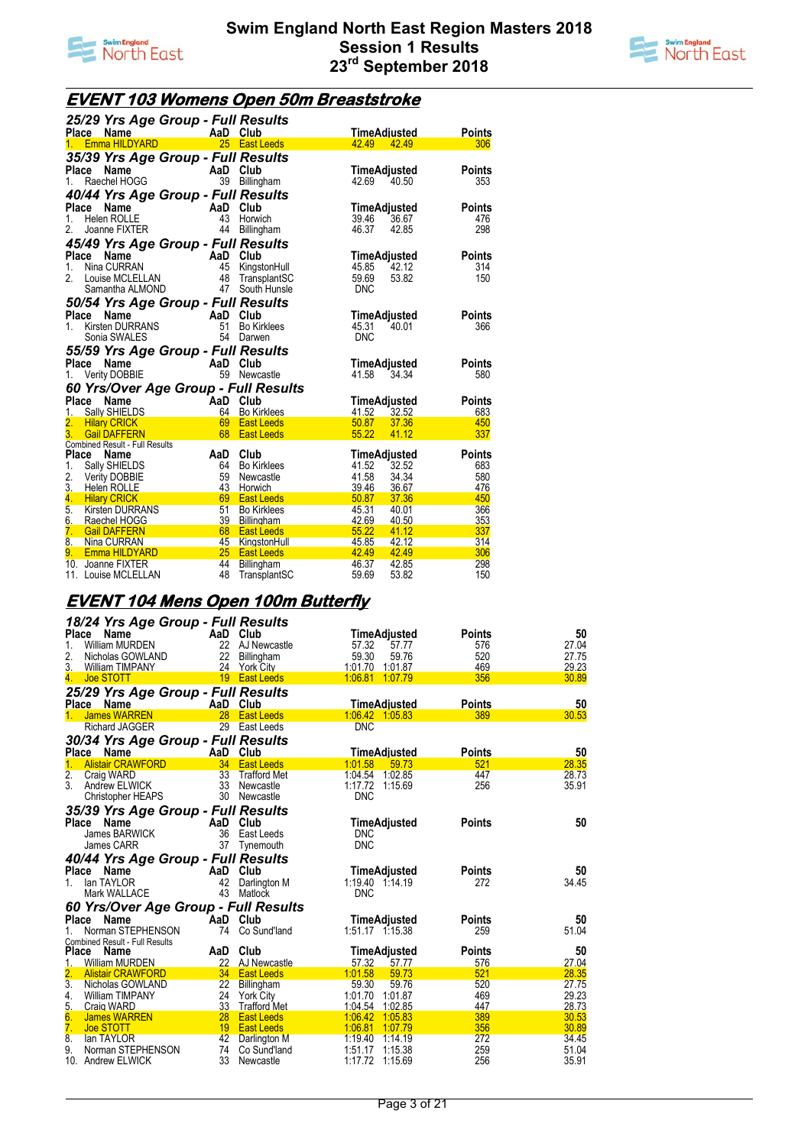



## **EVENT 103 Womens Open 50m Breaststroke**

|                  | 25/29 Yrs Age Group - Full Results          |                |                                         |                |                              |               |
|------------------|---------------------------------------------|----------------|-----------------------------------------|----------------|------------------------------|---------------|
|                  | <b>Name</b><br>Place                        | AaD Club       |                                         |                | TimeAdiusted                 | Points        |
| 1.               | <b>Emma HILDYARD</b>                        |                | 25 East Leeds                           | 42.49          | 42.49                        | 306           |
|                  | 35/39 Yrs Age Group - Full Results          |                |                                         |                |                              |               |
|                  | Place<br>Name                               | AaD Club       |                                         |                | TimeAdjusted                 | Points        |
| $1_{-}$          | Raechel HOGG                                | 39             | Billingham                              | 42.69          | 40.50                        | 353           |
|                  | 40/44 Yrs Age Group - Full Results          |                |                                         |                |                              |               |
|                  | Place<br>Name                               | AaD            | Club                                    |                | TimeAdjusted                 | Points        |
| 1.               | Helen ROLLE                                 | 43             | Horwich                                 | 39.46          | 36.67                        | 476           |
| 2.               | Joanne FIXTER                               | 44             | Billingham                              | 46.37          | 42.85                        | 298           |
|                  | 45/49 Yrs Age Group - Full Results          |                |                                         |                |                              |               |
| Place            | <b>Name</b>                                 | AaD            | Club                                    |                | TimeAdjusted                 | Points        |
| 1.               | Nina CURRAN                                 | 45             | KingstonHull                            | 45.85          | 42.12                        | 314           |
| 2.               | Louise MCLELLAN                             | 48             | TransplantSC                            | 59.69          | 53.82                        | 150           |
|                  | Samantha ALMOND                             | 47             | South Hunsle                            | <b>DNC</b>     |                              |               |
|                  | 50/54 Yrs Age Group - Full Results          |                |                                         |                |                              |               |
| Place            | Name                                        | AaD            | Club                                    |                | TimeAdjusted                 | Points        |
| $1_{-}$          | <b>Kirsten DURRANS</b>                      | 51             | <b>Bo Kirklees</b>                      | 45.31          | 40.01                        | 366           |
|                  | Sonia SWALES                                | 54             | Darwen                                  | <b>DNC</b>     |                              |               |
|                  |                                             |                |                                         |                |                              |               |
|                  |                                             |                |                                         |                |                              |               |
|                  | 55/59 Yrs Age Group - Full Results          |                |                                         |                |                              |               |
| 1.               | Place<br>Name                               | AaD Club<br>59 | Newcastle                               | 41.58          | <b>TimeAdjusted</b><br>34.34 | Points<br>580 |
|                  | <b>Verity DOBBIE</b>                        |                |                                         |                |                              |               |
|                  | 60 Yrs/Over Age Group - Full Results        |                |                                         |                |                              |               |
|                  | Place<br>Name                               | AaD Club       |                                         |                | TimeAdjusted                 | Points        |
| 1.<br>2.         | <b>Sally SHIELDS</b><br><b>Hilary CRICK</b> | 64<br>69       | <b>Bo Kirklees</b><br><b>East Leeds</b> | 41.52<br>50.87 | 32.52<br>37.36               | 683<br>450    |
| 3.               | <b>Gail DAFFERN</b>                         | 68             | <b>East Leeds</b>                       | 55.22          | 41.12                        | 337           |
|                  | Combined Result - Full Results              |                |                                         |                |                              |               |
| Place            | <b>Name</b>                                 | AaD            | Club                                    | TimeAdjusted   |                              | <b>Points</b> |
| 1.               | Sally SHIELDS                               | 64             | <b>Bo Kirklees</b>                      | 41.52          | 32.52                        | 683           |
| 2.               | <b>Verity DOBBIE</b>                        | 59             | Newcastle                               | 41.58          | 34.34                        | 580           |
| $\overline{3}$ . | <b>Helen ROLLE</b>                          | 43             | Horwich                                 | 39.46          | 36.67                        | 476           |
| 4.               | <b>Hilary CRICK</b>                         | 69             | <b>East Leeds</b>                       | 50.87          | 37.36                        | 450           |
| 5.               | <b>Kirsten DURRANS</b>                      | 51             | <b>Bo Kirklees</b>                      | 45.31          | 40.01                        | 366           |
| 6.               | Raechel HOGG                                | 39             | Billingham                              | 42.69          | 40.50                        | 353           |
| 7.<br>8.         | <b>Gail DAFFERN</b><br>Nina CURRAN          | 68<br>45       | <b>East Leeds</b><br>KingstonHull       | 55.22<br>45.85 | 41.12<br>42.12               | 337<br>314    |
| 9.               | <b>Emma HILDYARD</b>                        | 25             | <b>East Leeds</b>                       | 42.49          | 42.49                        | 306           |
|                  | 10. Joanne FIXTER<br>11. Louise MCLELLAN    | 44<br>48       | Billingham<br>TransplantSC              | 46.37<br>59.69 | 42.85<br>53.82               | 298<br>150    |

## **EVENT 104 Mens Open 100m Butterfly**

|                  | 18/24 Yrs Age Group - Full Results    |          |                     |                     |               |       |
|------------------|---------------------------------------|----------|---------------------|---------------------|---------------|-------|
| Place            | Name                                  | AaD Club |                     | <b>TimeAdjusted</b> | <b>Points</b> | 50    |
| 1.               | William MURDEN                        | 22       | AJ Newcastle        | 57.32<br>57.77      | 576           | 27.04 |
| 2.               | Nicholas GOWLAND                      | 22       | Billingham          | 59.30<br>59.76      | 520           | 27.75 |
| 3.               | <b>William TIMPANY</b>                | 24       | <b>York City</b>    | 1:01.70 1:01.87     | 469           | 29.23 |
| 4.               | <b>Joe STOTT</b>                      |          | 19 East Leeds       | 1:06.81<br>1:07.79  | 356           | 30.89 |
|                  | 25/29 Yrs Age Group - Full Results    |          |                     |                     |               |       |
| Place            | Name                                  | AaD Club |                     | TimeAdiusted        | <b>Points</b> | 50    |
| 1.               | <b>James WARREN</b>                   | 28       | <b>East Leeds</b>   | 1:06.42 1:05.83     | 389           | 30.53 |
|                  | <b>Richard JAGGER</b>                 | 29       | East Leeds          | <b>DNC</b>          |               |       |
|                  | 30/34 Yrs Age Group - Full Results    |          |                     |                     |               |       |
|                  | Place Name                            | AaD Club |                     | TimeAdiusted        | <b>Points</b> | 50    |
| $\mathbf{1}$ .   | <b>Alistair CRAWFORD</b>              | 34       | <b>East Leeds</b>   | 1:01.58<br>59.73    | 521           | 28.35 |
| $\overline{2}$ . | Craig WARD                            | 33       | <b>Trafford Met</b> | 1:04.54 1:02.85     | 447           | 28.73 |
| 3.               | Andrew ELWICK                         | 33       | Newcastle           | 1:17.72 1:15.69     | 256           | 35.91 |
|                  | <b>Christopher HEAPS</b>              |          | 30 Newcastle        | <b>DNC</b>          |               |       |
|                  | 35/39 Yrs Age Group - Full Results    |          |                     |                     |               |       |
| Place            | Name                                  | AaD Club |                     | TimeAdjusted        | <b>Points</b> | 50    |
|                  | <b>James BARWICK</b>                  | 36       | East Leeds          | <b>DNC</b>          |               |       |
|                  | James CARR                            | 37       | Tynemouth           | <b>DNC</b>          |               |       |
|                  | 40/44 Yrs Age Group - Full Results    |          |                     |                     |               |       |
| Place            | Name                                  | AaD      | Club                | TimeAdjusted        | <b>Points</b> | 50    |
| 1.               | lan TAYLOR                            | 42       | Darlington M        | 1:19.40 1:14.19     | 272           | 34.45 |
|                  | Mark WALLACE                          | 43       | Matlock             | <b>DNC</b>          |               |       |
|                  | 60 Yrs/Over Age Group - Full Results  |          |                     |                     |               |       |
| Place            | Name                                  | AaD Club |                     | TimeAdjusted        | <b>Points</b> | 50    |
| 1.               | Norman STEPHENSON                     | 74       | Co Sund'land        | 1:51.17 1:15.38     | 259           | 51.04 |
|                  | <b>Combined Result - Full Results</b> |          |                     |                     |               |       |
| <b>Place</b>     | Name                                  | AaD      | Club                | TimeAdjusted        | <b>Points</b> | 50    |
| 1.               | William MURDEN                        | 22       | <b>AJ Newcastle</b> | 57.32<br>57.77      | 576           | 27.04 |
|                  | <b>Alistair CRAWFORD</b>              |          | 34 East Leeds       | 1:01.58<br>59.73    | 521           | 28.35 |
| $\overline{3}$ . | Nicholas GOWLAND                      | 22       | Billingham          | 59.30<br>59.76      | 520           | 27.75 |
| 4.               | William TIMPANY                       | 24       | <b>York City</b>    | 1:01.70<br>1:01.87  | 469           | 29.23 |
| 5.               | Craig WARD                            | 33       | <b>Trafford Met</b> | 1.04.54<br>1:02.85  | 447           | 28.73 |
| 6.               | James WARREN                          | 28       | <b>East Leeds</b>   | 1:06.42<br>1:05.83  | 389           | 30.53 |
| 7.               | Joe STOTT                             |          | 19 East Leeds       | 1:06.81<br>1.07.79  | 356           | 30.89 |
| 8.               | lan TAYLOR                            | 42       | Darlington M        | 1:19.40<br>1:14.19  | 272           | 34.45 |
| 9.               | Norman STEPHENSON                     | 74       | Co Sund'land        | 1:51.17<br>1:15.38  | 259           | 51.04 |
|                  | 10. Andrew ELWICK                     | 33       | Newcastle           | 1:17.72<br>1:15.69  | 256           | 35.91 |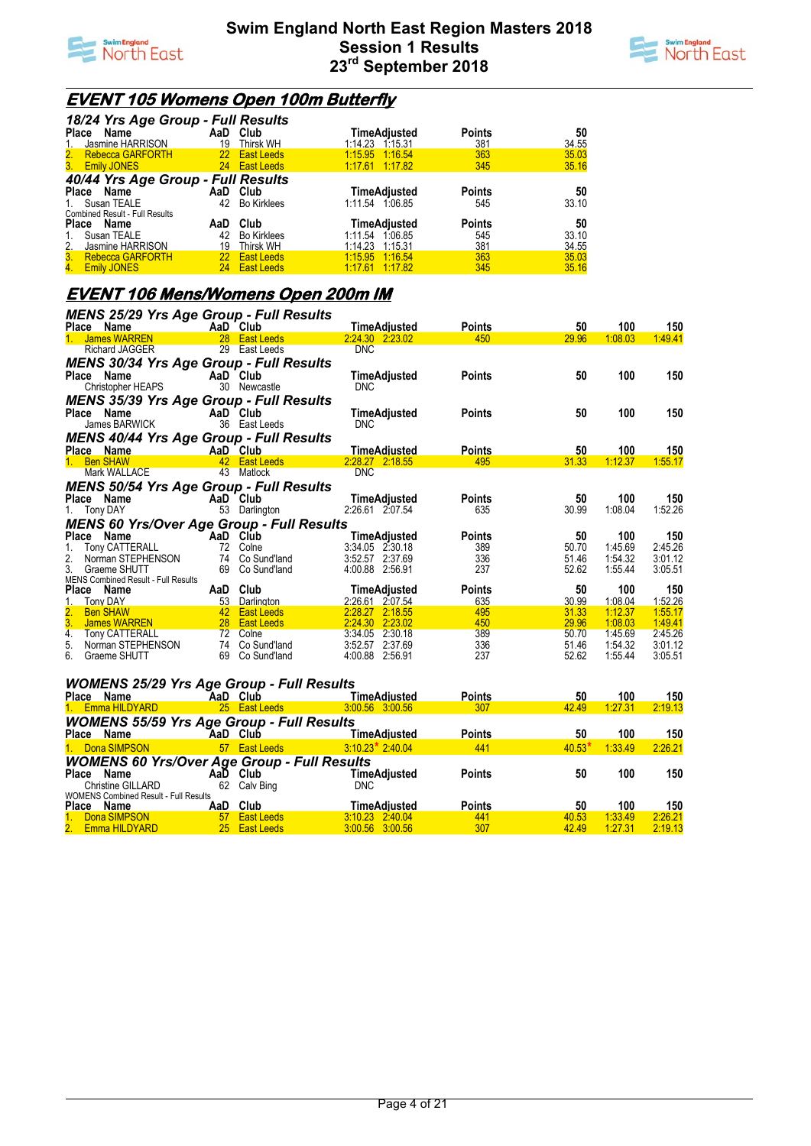



### **EVENT 105 Womens Open 100m Butterfly**

|                                       | 18/24 Yrs Age Group - Full Results |                    |                     |               |       |  |  |  |  |  |
|---------------------------------------|------------------------------------|--------------------|---------------------|---------------|-------|--|--|--|--|--|
| Name<br>Place                         |                                    | AaD Club           | <b>TimeAdjusted</b> | <b>Points</b> | 50    |  |  |  |  |  |
| Jasmine HARRISON<br>1.                | 19                                 | Thirsk WH          | 1:14.23  1:15.31    | 381           | 34.55 |  |  |  |  |  |
| 2. Rebecca GARFORTH                   |                                    | 22 East Leeds      | 1.15.95 1.16.54     | 363           | 35.03 |  |  |  |  |  |
| 3. Emily JONES                        |                                    | 24 East Leeds      | 1.17.61 1.17.82     | 345           | 35.16 |  |  |  |  |  |
| 40/44 Yrs Age Group - Full Results    |                                    |                    |                     |               |       |  |  |  |  |  |
| Place<br>Name                         |                                    | AaD Club           | <b>TimeAdjusted</b> | <b>Points</b> | 50    |  |  |  |  |  |
| Susan TEALE<br>$1_{\ldots}$           | 42                                 | <b>Bo Kirklees</b> | 1:11.54 1:06.85     | 545           | 33.10 |  |  |  |  |  |
| <b>Combined Result - Full Results</b> |                                    |                    |                     |               |       |  |  |  |  |  |
| <b>Place</b><br>Name                  | AaD                                | Club               | TimeAdjusted        | <b>Points</b> | 50    |  |  |  |  |  |
| Susan TEALE<br>1.                     | 42                                 | <b>Bo Kirklees</b> | 1:11.54 1:06.85     | 545           | 33.10 |  |  |  |  |  |
| Jasmine HARRISON<br>2.                | 19                                 | <b>Thirsk WH</b>   | 1.14.23<br>1:15.31  | 381           | 34.55 |  |  |  |  |  |
| 3. Rebecca GARFORTH                   |                                    | 22 East Leeds      | 1.15.95 1.16.54     | 363           | 35.03 |  |  |  |  |  |
| 4. Emily JONES                        | 24                                 | <b>East Leeds</b>  | 1.17.61 1.17.82     | 345           | 35.16 |  |  |  |  |  |

## **EVENT 106 Mens/Womens Open 200m IM**

| MENS 25/29 Yrs Age Group - Full Results                          |                           |                                           |                                        |                      |             |                |                |
|------------------------------------------------------------------|---------------------------|-------------------------------------------|----------------------------------------|----------------------|-------------|----------------|----------------|
| Place Name<br><b>Example 2</b> AaD Club                          |                           |                                           | <b>TimeAdiusted</b>                    | <b>Points</b>        | 50          | 100            | 150            |
| 1. James WARREN                                                  |                           | 28 East Leeds                             | 2.24.30 2.23.02                        | 450                  | 29.96       | 1:08.03        | 1:49.41        |
| <b>Richard JAGGER</b>                                            |                           | 29 East Leeds                             | <b>DNC</b>                             |                      |             |                |                |
| <b>MENS 30/34 Yrs Age Group - Full Results</b>                   |                           |                                           |                                        |                      |             |                |                |
| Place Name                                                       |                           | AaD Club                                  | TimeAdjusted                           | <b>Points</b>        | 50          | 100            | 150            |
| Christopher HEAPS                                                |                           | 30 Newcastle                              | <b>DNC</b>                             |                      |             |                |                |
| <b>MENS 35/39 Yrs Age Group - Full Results</b>                   |                           |                                           |                                        |                      |             |                |                |
| Place Name                                                       |                           | AaD Club                                  | <b>TimeAdjusted</b>                    | <b>Points</b>        | 50          | 100            | 150            |
| James BARWICK                                                    |                           | 36 East Leeds                             | <b>DNC</b>                             |                      |             |                |                |
| <b>MENS 40/44 Yrs Age Group - Full Results</b>                   |                           |                                           |                                        |                      |             |                |                |
| Place Name                                                       | AaD Club                  |                                           | <b>TimeAdjusted</b>                    | <b>Points</b>        | 50          | 100            | 150            |
| 1. Ben SHAW                                                      |                           | 42 East Leeds                             | 2:28.27 2:18.55                        | 495                  | 31.33       | 1:12.37        | 1:55.17        |
| Mark WALLACE                                                     |                           | 43 Matlock                                | <b>DNC</b>                             |                      |             |                |                |
| <b>MENS 50/54 Yrs Age Group - Full Results</b>                   |                           |                                           |                                        |                      |             |                |                |
| Place Name                                                       |                           | AaD Club                                  | <b>TimeAdjusted</b>                    | <b>Points</b>        | 50          | 100            | 150            |
| 1. Tony DAY                                                      |                           | 53 Darlington                             | 2:26.61 2:07.54                        | 635                  | 30.99       | 1:08.04        | 1:52.26        |
| <b>MENS 60 Yrs/Over Age Group - Full Results</b>                 |                           |                                           |                                        |                      |             |                |                |
| Place Name                                                       | AaD Club                  |                                           | <b>TimeAdjusted</b>                    | <b>Points</b>        | 50          | 100            | 150            |
| Tony CATTERALL<br>1.                                             |                           | 72 Colne                                  | $3:34.05$ $2:30.18$                    | 389                  | 50.70       | 1:45.69        | 2:45.26        |
| 2.<br>Norman STEPHENSON                                          |                           | 74 Co Sund'land                           | 3:52.57 2:37.69                        | 336                  | 51.46       | 1:54.32        | 3:01.12        |
| 3.<br>Graeme SHUTT                                               |                           | 69 Co Sund'land                           | 4:00.88 2:56.91                        | 237                  | 52.62       | 1:55.44        | 3:05.51        |
| MENS Combined Result - Full Results                              |                           |                                           |                                        |                      |             |                |                |
| Place Name<br>1.<br>Tony DAY                                     |                           | AaD Club<br>53 Darlington                 | <b>TimeAdjusted</b><br>2:26.61 2:07.54 | <b>Points</b><br>635 | 50<br>30.99 | 100<br>1:08.04 | 150<br>1:52.26 |
| 2.<br><b>Ben SHAW</b>                                            |                           | <b>Example 12</b> East Leeds              | 2:28.27 2:18.55                        | 495                  | 31.33       | 1:12.37        | 1:55.17        |
| 3.<br>James WARREN                                               |                           | 28 East Leeds                             | 2:24.30 2:23.02                        | 450                  | 29.96       | 1:08.03        | 1:49.41        |
| 4.<br><b>Tony CATTERALL</b>                                      |                           | 72 Colne                                  | 3:34.05 2:30.18                        | 389                  | 50.70       | 1.45.69        | 2:45.26        |
| 5.<br>Norman STEPHENSON                                          |                           | 74 Co Sund'land                           | 3:52.57 2:37.69                        | 336                  | 51.46       | 1:54.32        | 3:01.12        |
| 6.<br>Graeme SHUTT                                               |                           | 69 Co Sund'land                           | 4:00.88 2:56.91                        | 237                  | 52.62       | 1:55.44        | 3:05.51        |
|                                                                  |                           |                                           |                                        |                      |             |                |                |
| <b>WOMENS 25/29 Yrs Age Group - Full Results</b>                 |                           |                                           |                                        |                      |             |                |                |
| Place Name                                                       | AaD Club                  |                                           | TimeAdjusted                           | <b>Points</b>        | 50          | 100            | 150            |
| 1. Emma HILDYARD                                                 |                           | 25 East Leeds                             | 3:00.56 3:00.56                        | 307                  | 42.49       | 1.27.31        | 2:19.13        |
| <b>WOMENS 55/59 Yrs Age Group - Full Results</b>                 |                           |                                           |                                        |                      |             |                |                |
| Place Name                                                       | <b>Example 2</b> AaD Club |                                           | <b>TimeAdjusted</b>                    | <b>Points</b>        | 50          | 100            | 150            |
| 1. Dona SIMPSON                                                  |                           | 57 East Leeds                             | $3:10.23$ <sup>*</sup> 2:40.04         | 441                  | $40.53*$    | 1:33.49        | 2:26.21        |
|                                                                  |                           |                                           |                                        |                      |             |                |                |
| <b>WOMENS 60 Yrs/Over Age Group - Full Results</b><br>Place Name |                           | AaD Club                                  | TimeAdjusted                           | <b>Points</b>        | 50          | 100            | 150            |
| Christine GILLARD                                                |                           | 62 Calv Bing                              | <b>DNC</b>                             |                      |             |                |                |
| <b>WOMENS Combined Result - Full Results</b>                     |                           |                                           |                                        |                      |             |                |                |
| Place Name                                                       |                           | AaD Club                                  | <b>TimeAdjusted</b>                    | <b>Points</b>        | 50          | 100            | 150            |
| 1. Dona SIMPSON                                                  |                           | <b>Example 12 Structure 57 East Leeds</b> | 3.10.23 2.40.04                        | 441                  | 40.53       | 1:33.49        | 2:26.21        |

2. Emma HILDYARD 25 East Leeds 3:00.56 3:00.56 307 42.49 1:27.31 2:19.13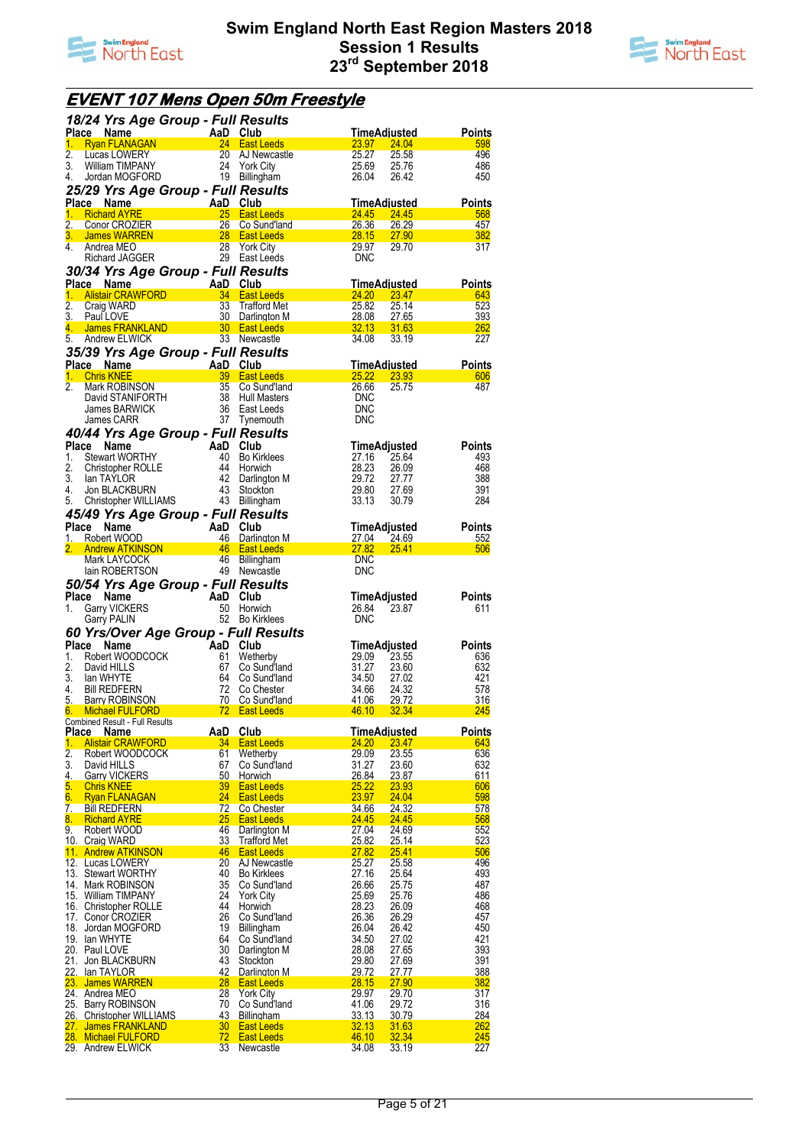



## **EVENT 107 Mens Open 50m Freestyle**

|                  | 18/24 Yrs Age Group - Full Results                        |                       |                                        |                              |                                             |
|------------------|-----------------------------------------------------------|-----------------------|----------------------------------------|------------------------------|---------------------------------------------|
|                  | Place Name<br>ce Name AaD Club<br>Ryan FLANAGAN 24 East L |                       |                                        | <u>TimeAdiusted</u>          | <b>Points</b>                               |
| 1.<br>2.         |                                                           |                       | 24 East Leeds                          | <u>23.97 - </u><br>25.27     | 24.04<br>598                                |
| 3.               | Lucas LOWERY<br>William TIMPANY                           |                       | 20 AJ Newcastle<br>24 York City        | 25.69                        | 25.58<br>496<br>486<br>25.76                |
| 4.               | Jordan MOGFORD                                            |                       | 19 Billingham                          | 26.04                        | 26.42<br>450                                |
|                  | 25/29 Yrs Age Group - Full Results                        |                       |                                        |                              |                                             |
|                  | Place Name                                                |                       |                                        | TimeAdiusted                 | <b>Points</b>                               |
| 1.               | <b>Richard AYRE</b>                                       | AaD Club<br>25 Fast 1 | 25 East Leeds                          | 24.45<br>24.45               | 568                                         |
|                  | 2. Conor CROZIER                                          |                       | 26 Co Sund'land                        | 26.36                        | 26.29<br>457                                |
|                  | <u>3. James WARREN</u>                                    |                       | 28 East Leeds                          | 28.15                        | 27.90<br><b>382</b>                         |
| 4.               | Andrea MEO                                                | 28                    | <b>York City</b>                       | 29.97                        | 317<br>29.70                                |
|                  | Richard JAGGER                                            |                       | 29 East Leeds                          | <b>DNC</b>                   |                                             |
|                  | 30/34 Yrs Age Group - Full Results                        |                       |                                        |                              |                                             |
|                  | Place Name                                                | AaD Club              |                                        | <u>TimeAdiusted_</u>         | <b>Points</b>                               |
| 1.               | Alistair CRAWFORD                                         |                       | 34 East Leeds                          | 24.20<br>23.47               | 643                                         |
| 2.               | Craig WARD                                                | 33                    | Trafford Met                           | 25.82                        | 523<br>25.14                                |
| 4.               | 3. PaulLOVE<br>James FRANKLAND                            |                       | 30 Darlington M<br>30 East Leeds       | <u>28.08</u><br><u>32.13</u> | 27.65<br>393<br><b>31.63</b><br><u> 262</u> |
| 5.               | Andrew ELWICK                                             |                       | 33 Newcastle                           | 34.08                        | 227<br>33.19                                |
|                  | 35/39 Yrs Age Group - Full Results                        |                       |                                        |                              |                                             |
|                  | Place Name                                                | AaD Club              |                                        | TimeAdjusted                 | Points                                      |
| 1.               | <b>Chris KNEE</b>                                         |                       | 39 East Leeds                          | 25.22                        | 23.93<br>606                                |
| 2.               | Mark ROBINSON                                             | 35                    | Co Sund'land                           | 26.66                        | 487<br>25.75                                |
|                  | David STANIFORTH                                          |                       | 38 Hull Masters                        | <b>DNC</b>                   |                                             |
|                  | James BARWICK                                             | 36                    | East Leeds                             | <b>DNC</b>                   |                                             |
|                  | James CARR                                                |                       | 37 Tynemouth                           | <b>DNC</b>                   |                                             |
|                  | 40/44 Yrs Age Group - Full Results                        |                       |                                        |                              |                                             |
|                  | Place<br>Name                                             | AaD Club              |                                        | TimeAdjusted                 | <b>Points</b>                               |
| 1.               | <b>Stewart WORTHY</b>                                     |                       | 40 Bo Kirklees                         | 27.16                        | 25.64<br>493                                |
| 2.<br>3.         | <b>Christopher ROLLE</b>                                  |                       | 44 Horwich                             | 28.23                        | 26.09<br>468                                |
| 4.               | lan TAYLOR<br>Jon BLACKBURN                               | 43                    | 42 Darlington M<br>Stockton            | 29.72<br>29.80               | 27.77<br>388<br>27.69<br>391                |
| 5.               | Christopher WILLIAMS                                      |                       | 43 Billingham                          | 33.13                        | 284<br>30.79                                |
|                  | 45/49 Yrs Age Group - Full Results                        |                       |                                        |                              |                                             |
|                  | Place<br>Name                                             | AaD                   | Club                                   | TimeAdjusted                 | <b>Points</b>                               |
| 1.               | Robert WOOD                                               |                       | 46 Darlington M                        | <u>27.04 - </u>              | 24.69<br>552                                |
| 2.               | <b>Andrew ATKINSON</b>                                    |                       | 46 East Leeds                          | <u>27.82</u>                 | <b>25.41</b><br>506                         |
|                  | Mark LAYCOCK                                              |                       | 46 Billingham                          | <b>DNC</b>                   |                                             |
|                  | lain ROBERTSON                                            |                       | 49 Newcastle                           | <b>DNC</b>                   |                                             |
|                  |                                                           |                       |                                        |                              |                                             |
|                  |                                                           |                       |                                        |                              |                                             |
|                  | 50/54 Yrs Age Group - Full Results<br>Place Name          | AaD Club              |                                        | TimeAdjusted                 | Points                                      |
| 1.               | <b>Garry VICKERS</b>                                      |                       | 50 Horwich                             | 26.84                        | 23.87<br>611                                |
|                  | Garry PALIN                                               |                       | 52 Bo Kirklees                         | <b>DNC</b>                   |                                             |
|                  | 60 Yrs/Over Age Group - Full Results                      |                       |                                        |                              |                                             |
|                  | Place<br>Name                                             | AaD Club              |                                        | TimeAdjusted                 | <b>Points</b>                               |
| 1.               | Robert WOODCOCK                                           | 61                    | Wetherby                               | 29.09                        | 23.55<br>636                                |
| 2.               | David HILLS                                               | 67                    | Co Sund'land                           | 31.27                        | 23.60<br>632                                |
| 3.               | lan WHYTE                                                 |                       | 64 Co Sund'land                        | 34.50                        | 27.02<br>421                                |
| 4.               | <b>Bill REDFERN</b>                                       | 72                    | Co Chester                             | 34.66                        | 24.32<br>578                                |
|                  | 5. Barry ROBINSON<br>6. Michael FULFORD                   | 70<br>72              | Co Sund'Iand<br><b>East Leeds</b>      | 41.06<br>46.10<br>32.34      | 29.72<br>316<br>245                         |
|                  | Combined Result - Full Results                            |                       |                                        |                              |                                             |
| <b>Place</b>     | <b>Name</b>                                               | <u>AaD</u>            | <b>Club</b>                            | <b>TimeAdjusted</b>          | <b>Points</b>                               |
| 1.               | <b>Alistair CRAWFORD</b>                                  | 34                    | <b>East Leeds</b>                      | <u>24.20</u>                 | 23.47<br>643                                |
| $\overline{2}$ . | Robert WOODCOCK                                           | 61                    | Wetherby                               | 29.09                        | 23.55<br>636                                |
| 3.               | David HILLS<br><b>Garry VICKERS</b>                       | 67<br>50              | Co Sund'land<br>Horwich                | 31.27                        | 632<br>23.60                                |
| 4.               | <b>Chris KNEE</b>                                         | 39                    | <b>East Leeds</b>                      | 26.84                        | 23.87<br>611<br>606                         |
| 5.<br>6.         | <b>Ryan FLANAGAN</b>                                      | 24                    | <b>East Leeds</b>                      | 25.22<br>24.04<br>23.97      | 23.93<br>598                                |
| 7.               | <b>Bill REDFERN</b>                                       | 72                    | Co Chester                             | 34.66                        | 24.32<br>578                                |
| 8.               | <b>Richard AYRE</b>                                       | 25                    | East Leeds                             | 24.45<br>24.45               | 568                                         |
| 9.               | Robert WOOD                                               | 46                    | Darlington M                           | 27.04                        | 24.69<br>552                                |
|                  | 10. Craig WARD                                            | 33                    | <b>Trafford Met</b>                    | 25.82                        | 25.14<br>523                                |
|                  | 11. Andrew ATKINSON                                       | 46                    | <b>East Leeds</b>                      | 27.82<br>25.41               | 506                                         |
|                  | 12. Lucas LOWERY<br>13. Stewart WORTHY                    | 20<br>40              | AJ Newcastle<br><b>Bo Kirklees</b>     | 25.27<br>27.16               | 25.58<br>496<br>493                         |
|                  | 14. Mark ROBINSON                                         | 35                    | Co Sund'land                           | 26.66                        | 25.64<br>487<br>25.75                       |
|                  | 15. William TIMPANY                                       | 24                    | <b>York City</b>                       | 25.69                        | 25.76<br>486                                |
|                  | 16. Christopher ROLLE                                     | 44                    | Horwich                                | 28.23                        | 468<br>26.09                                |
|                  | 17. Conor CROZIER                                         | 26                    | Co Sund'land                           | 26.36                        | 26.29<br>457                                |
|                  | 18. Jordan MOGFORD                                        | 19                    | Billingham                             | 26.04                        | 26.42<br>450                                |
|                  | 19. Ian WHYTE                                             | 64                    | Co Sund'land                           | 34.50                        | 421<br>27.02                                |
|                  | 20. Paul LOVE<br>21. Jon BLACKBURN                        | 30<br>43              | Darlington M<br>Stockton               | 28.08<br>29.80               | 27.65<br>393<br>27.69<br>391                |
|                  | 22. Ian TAYLOR                                            | 42                    | Darlington M                           | 29.72                        | 388<br>27.77                                |
|                  | 23. James WARREN                                          | 28                    | <b>East Leeds</b>                      | 28.15<br>27.90               | 382                                         |
|                  | 24. Andrea MEO                                            | 28                    | <b>York City</b>                       | 29.97                        | 29.70<br>317                                |
|                  | 25. Barry ROBINSON                                        | 70                    | Co Sund'land                           | 41.06                        | 29.72<br>316                                |
|                  | 26. Christopher WILLIAMS                                  | 43                    | <b>Billingham</b>                      | 33.13                        | <u>30.79</u><br><u> 284</u>                 |
| 27.              | James FRANKLAND<br><u>28. Michael FULFORD</u>             | 30<br>72              | <b>East Leeds</b><br><b>East Leeds</b> | 32.13<br>46.10               | 31.63<br><u>262</u><br>32.34<br>245         |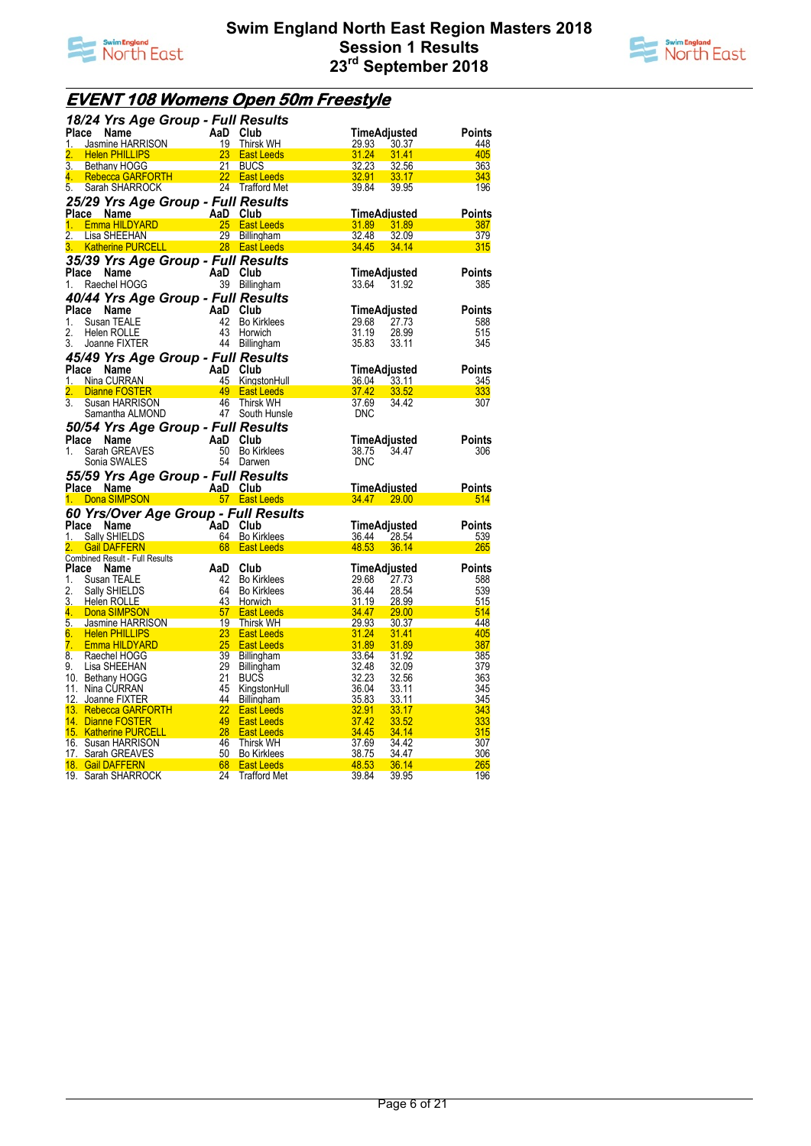



## **EVENT 108 Womens Open 50m Freestyle**

|                  | 18/24 Yrs Age Group - Full Results                                                                      |          |                                                                            |                |                           |                      |
|------------------|---------------------------------------------------------------------------------------------------------|----------|----------------------------------------------------------------------------|----------------|---------------------------|----------------------|
| Place            | ce Name<br>Jasmine HARRISON 19 Thirsk<br>Helen Dull I Inc                                               |          |                                                                            |                | TimeAdjusted              | Points               |
| 1.               |                                                                                                         |          | Thirsk WH                                                                  | <u>29.93 </u>  | <u>30.37</u>              | 448                  |
| 2.               | $\frac{23}{21}$<br><b>Helen PHILLIPS</b>                                                                |          | <b>East Leeds East Leeds</b>                                               | 31.24          | 31.41                     | 405                  |
| 3 <sub>1</sub>   | <b>Bethany HOGG</b>                                                                                     |          | 21 BUCS                                                                    | 32.23          | 32.56                     | 363                  |
| $4^{+}$          | <b>Rebecca GARFORTH</b> 22 East Leeds<br>Sarah SHARROCK 24 Trafford Me                                  |          |                                                                            | 32.91 33.17    |                           | 343                  |
| 5.               |                                                                                                         |          | 24 Trafford Met                                                            | 39.84          | 39.95                     | 196                  |
|                  | 25/29 Yrs Age Group - Full Results                                                                      |          |                                                                            |                |                           |                      |
|                  | Ce Name AlaD Club<br>Emma HILDYARD 25 East Leeds<br>Place Name                                          |          |                                                                            |                | TimeAdiusted              | <b>Points</b>        |
| 1.               |                                                                                                         |          |                                                                            | 31.89 31.89    |                           | 387                  |
| 2.               | Lisa SHEEHAN 29 Billingham<br>Katherine PURCELL 28 East Leeds                                           |          |                                                                            | 32.48          | 32.09                     | 379                  |
| 3. .             |                                                                                                         |          |                                                                            | <b>34.45</b>   | 34.14                     | 315                  |
|                  | 35/39 Yrs Age Group - Full Results                                                                      |          |                                                                            |                |                           |                      |
|                  | Place Name                                                                                              | AaD Club |                                                                            |                | TimeAdjusted              | <b>Points</b>        |
| 1.               | Raechel HOGG                                                                                            |          | 39 Billingham                                                              | 33.64 31.92    |                           | 385                  |
|                  | 40/44 Yrs Age Group - Full Results                                                                      |          |                                                                            |                |                           |                      |
| Place            | $\begin{aligned} \mathbf{c} \bullet \mathbf{c} \cdot \mathbf{c} \cdot \mathbf{c} \end{aligned}$<br>Name | AaD Club |                                                                            |                | TimeAdjusted              | Points               |
| 1.               | Susan TEALE                                                                                             | 42       | <b>Bo Kirklees</b>                                                         | 29.68          | 27.73                     | 588                  |
| 2.               | Helen ROLLE                                                                                             | 43       | Horwich                                                                    | 31.19          | 28.99                     | 515                  |
| 3.               | Joanne FIXTER                                                                                           |          | 44 Billingham                                                              | 35.83          | 33.11                     | 345                  |
|                  | 45/49 Yrs Age Group - Full Results                                                                      |          |                                                                            |                |                           |                      |
|                  | Place Name                                                                                              |          | AaD Club<br>AaD Club<br>45 KingstonHul<br>49 East Leeds<br>10 46 Thirsk WH |                | TimeAdjusted              | Points               |
| 1.               | Nina CURRAN                                                                                             |          | 45 KingstonHull                                                            | 36.04          | <u>33.11</u>              | 345                  |
| 2.               | Dianne FOSTER                                                                                           |          |                                                                            | <b>37.42</b>   | 33.52                     | 333                  |
| $\overline{3}$ . | Susan HARRISON                                                                                          |          |                                                                            | 37.69          | 34.42                     | 307                  |
|                  | Samantha ALMOND                                                                                         |          | 47 South Hunsle                                                            | <b>DNC</b>     |                           |                      |
|                  | 50/54 Yrs Age Group - Full Results                                                                      |          |                                                                            |                |                           |                      |
| Place            | Name                                                                                                    | AaD Club |                                                                            |                | TimeAdjusted              | <b>Points</b>        |
|                  |                                                                                                         |          |                                                                            |                |                           |                      |
| 1.               | Sarah GREAVES                                                                                           |          | 50 Bo Kirklees                                                             | 38.75          | 34.47                     | 306                  |
|                  | Sonia SWALES                                                                                            |          | 54 Darwen                                                                  | <b>DNC</b>     |                           |                      |
|                  |                                                                                                         |          |                                                                            |                |                           |                      |
|                  |                                                                                                         |          |                                                                            |                |                           |                      |
|                  |                                                                                                         |          |                                                                            |                | TimeAdjusted              | <b>Points</b><br>514 |
|                  | 55/59 Yrs Age Group - Full Results<br>Place Name AaD Club<br>1. Dona SIMPSON 57 East Leeds              |          |                                                                            |                | <mark>34.47  29.00</mark> |                      |
|                  | 60 Yrs/Over Age Group - Full Results                                                                    |          |                                                                            |                |                           |                      |
| Place            | Name                                                                                                    |          |                                                                            |                | TimeAdjusted              | <b>Points</b>        |
| 1.               | <b>Sally SHIELDS</b>                                                                                    |          |                                                                            | 36.44          | 28.54                     | 539                  |
| 2.               | Gail DAFFERN<br><b>Combined Result - Full Results</b>                                                   |          | AaD Club<br>64 Bo Kirklees<br>68 East Leeds                                | 48.53          | 36.14                     | 265                  |
| Place            | Name                                                                                                    | AaD Club |                                                                            |                | TimeAdjusted              | <b>Points</b>        |
| 1.               | Susan TEALE                                                                                             |          |                                                                            | 29.68          | 27.73                     | 588                  |
| 2.               | Sally SHIELDS                                                                                           |          |                                                                            | 36.44          | 28.54                     | 539                  |
| 3.               | Helen ROLLE                                                                                             |          |                                                                            | <u>31.19</u>   | 28.99                     | 515                  |
|                  |                                                                                                         |          | 42 Bo Kirklees<br>64 Bo Kirklees<br>43 Horwich                             | 34.47          | 29.00                     | 514                  |
|                  |                                                                                                         |          |                                                                            | 29.93          | 30.37                     | 448                  |
|                  | 4. Dona SIMPSON 57 East Leeds<br>5. Jasmine HARRISON 19 Thirsk WH<br>6. Helen PHILLIPS 23 East Leeds    |          |                                                                            | 31.24          | 31.41                     | 405                  |
| 7.               | Emma HILDYARD                                                                                           |          | <b>East Leeds</b>                                                          | 31.89          | 31.89                     | 387                  |
| 8.               | Raechel HOGG                                                                                            |          | Billingham                                                                 | 33.64          | 31.92                     | 385                  |
| 9.               | $\begin{array}{r} 25 \\ 25 \\ 39 \\ 29 \end{array}$<br>Lisa SHEEHAN                                     | 29       | Billingham                                                                 | 32.48          | 32.09                     | 379                  |
|                  | 10. Bethany HOGG                                                                                        | 21       | <b>BUCS</b>                                                                | 32.23          | 32.56                     | 363                  |
|                  | 11. Nina CURRAN                                                                                         | - 45     | KingstonHull                                                               | 36.04          | 33.11                     | 345                  |
|                  | 12. Joanne FIXTER                                                                                       | 44       | <b>Billingham</b>                                                          | 35.83          | 33.11                     | 345                  |
|                  |                                                                                                         |          | <b>East Leeds</b>                                                          | 32.91          | 33.17                     | 343                  |
|                  | 13. Rebecca GARFORTH 22<br>14. Dianne FOSTER 49<br>14. Dianne FOSTER                                    | $-49$    | <b>East Leeds</b>                                                          | 37.42          | 33.52                     | 333                  |
|                  | 15. Katherine PURCELL                                                                                   |          | <b>East Leeds</b>                                                          | 34.45          | 34.14                     | 315                  |
|                  | 16. Susan HARRISON                                                                                      |          | Thirsk WH<br>Bo Kirklees                                                   | 37.69          | 34.42                     | 307<br>306           |
|                  | $\begin{array}{r} 46 \\ 46 \\ 50 \\ 68 \\ 24 \end{array}$<br>17. Sarah GREAVES<br>18. Gail DAFFERN      |          | <b>East Leeds</b>                                                          | 38.75<br>48.53 | <u>34.47</u><br>36.14     | 265                  |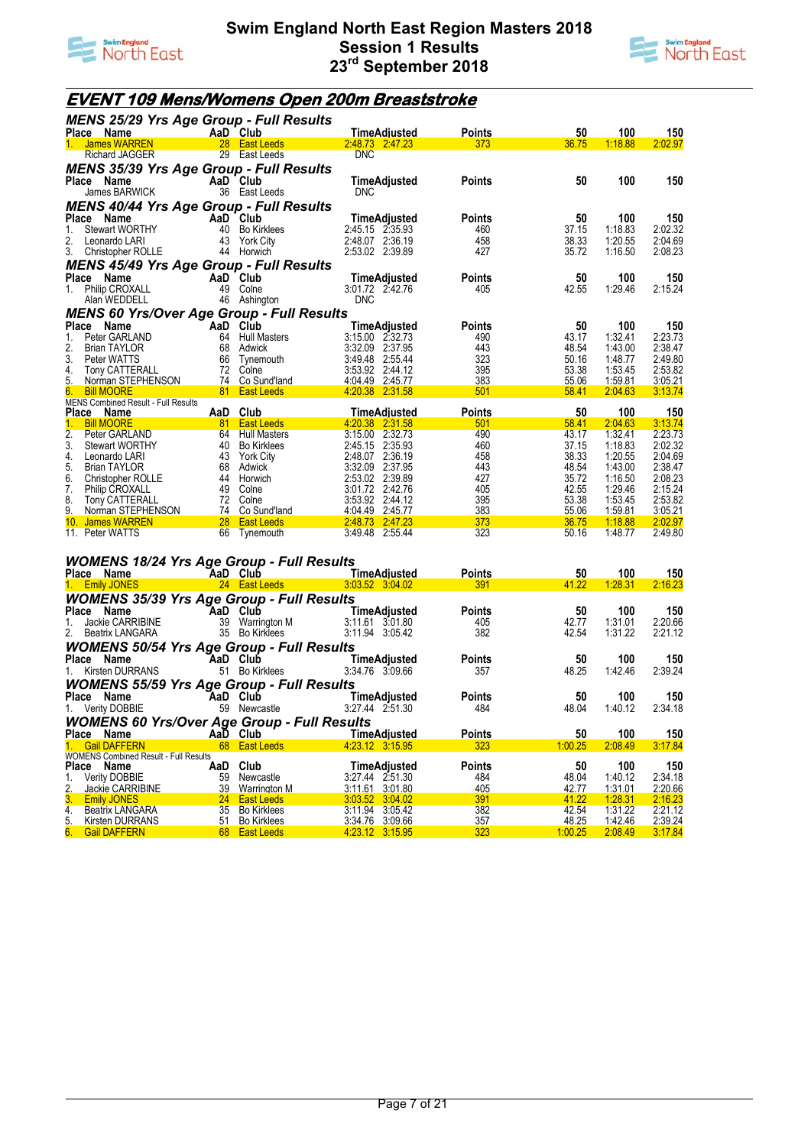



## **EVENT 109 Mens/Womens Open 200m Breaststroke**

| <b>MENS 25/29 Yrs Age Group - Full Results</b>      |          |                                          |                                    |               |                |                |                    |
|-----------------------------------------------------|----------|------------------------------------------|------------------------------------|---------------|----------------|----------------|--------------------|
| Place Name                                          |          | AaD Club                                 | <b>TimeAdjusted</b>                | <b>Points</b> | 50             | 100            | 150                |
| <b>James WARREN</b><br>1.                           | 28       | <b>East Leeds</b>                        | 2.48.73 2.47.23                    | 373           | 36.75          | 1:18.88        | 2:02.97            |
| <b>Richard JAGGER</b>                               | 29       | East Leeds                               | <b>DNC</b>                         |               |                |                |                    |
| <b>MENS 35/39 Yrs Age Group - Full Results</b>      |          |                                          |                                    |               |                |                |                    |
| Place Name                                          |          | AaD Club                                 | TimeAdjusted                       | <b>Points</b> | 50             | 100            | 150                |
| James BARWICK                                       | 36       | East Leeds                               | <b>DNC</b>                         |               |                |                |                    |
| <b>MENS 40/44 Yrs Age Group - Full Results</b>      |          |                                          |                                    |               |                |                |                    |
| Place<br>Name                                       |          | AaD Club                                 | TimeAdjusted                       | <b>Points</b> | 50             | 100            | 150                |
| Stewart WORTHY<br>1.                                | 40       | <b>Bo Kirklees</b>                       | 2:45.15 2:35.93                    | 460           | 37.15          | 1:18.83        | 2:02.32            |
| 2.<br>Leonardo LARI                                 | 43       | <b>York City</b>                         | 2:48.07 2:36.19                    | 458           | 38.33          | 1:20.55        | 2:04.69            |
| 3.<br>Christopher ROLLE                             | 44       | Horwich                                  | 2:53.02 2:39.89                    | 427           | 35.72          | 1:16.50        | 2:08.23            |
| <b>MENS 45/49 Yrs Age Group - Full Results</b>      |          |                                          |                                    |               |                |                |                    |
| Place<br>Name                                       |          | AaD Club                                 | TimeAdjusted                       | <b>Points</b> | 50             | 100            | 150                |
| Philip CROXALL<br>1.                                | 49       | Colne                                    | 3:01.72 2:42.76                    | 405           | 42.55          | 1:29.46        | 2:15.24            |
| Alan WEDDELL                                        | 46       | Ashington                                | <b>DNC</b>                         |               |                |                |                    |
| <b>MENS 60 Yrs/Over Age Group - Full Results</b>    |          |                                          |                                    |               |                |                |                    |
| Place<br>Name                                       |          | AaD Club                                 | TimeAdjusted                       | <b>Points</b> | 50             | 100            | 150                |
| 1.<br>Peter GARLAND                                 | 64       | <b>Hull Masters</b>                      | 3:15.00 2:32.73                    | 490           | 43.17          | 1:32.41        | 2:23.73            |
| 2.<br><b>Brian TAYLOR</b>                           | 68       | Adwick                                   | 3:32.09<br>2:37.95                 | 443           | 48.54          | 1:43.00        | 2:38.47            |
| 3.<br>Peter WATTS                                   | 66       | Tynemouth                                | 3:49.48<br>2:55.44                 | 323           | 50.16          | 1:48.77        | 2:49.80            |
| 4.<br><b>Tony CATTERALL</b>                         | 72       | Colne                                    | 3:53.92 2:44.12                    | 395           | 53.38          | 1:53.45        | 2:53.82            |
| 5.<br>Norman STEPHENSON                             |          | 74 Co Sund'land                          | 4:04.49 2:45.77                    | 383           | 55.06          | 1:59.81        | 3:05.21            |
| 6.<br><b>Bill MOORE</b>                             | 81       | <b>East Leeds</b>                        | 4.20.38 2:31.58                    | 501           | 58.41          | 2:04.63        | 3:13.74            |
| <b>MENS Combined Result - Full Results</b>          |          |                                          |                                    |               |                |                |                    |
| Place Name                                          | AaD      | Club                                     | TimeAdjusted                       | <b>Points</b> | 50             | 100<br>2:04.63 | 150                |
| <b>Bill MOORE</b><br>$1_{-}$<br>2.<br>Peter GARLAND | 81<br>64 | <b>East Leeds</b><br><b>Hull Masters</b> | 4.20.38 2:31.58<br>3:15.00 2:32.73 | 501<br>490    | 58.41<br>43.17 | 1:32.41        | 3:13.74<br>2:23.73 |
| 3.<br><b>Stewart WORTHY</b>                         | 40       | <b>Bo Kirklees</b>                       | 2:45.15 2:35.93                    | 460           | 37.15          | 1:18.83        | 2:02.32            |
| 4.<br>Leonardo LARI                                 | 43       | <b>York City</b>                         | 2:48.07<br>2:36.19                 | 458           | 38.33          | 1:20.55        | 2:04.69            |
| 5.<br><b>Brian TAYLOR</b>                           | 68       | Adwick                                   | 3:32.09<br>2:37.95                 | 443           | 48.54          | 1:43.00        | 2:38.47            |
| 6.<br>Christopher ROLLE                             | 44       | Horwich                                  | 2:53.02<br>2:39.89                 | 427           | 35.72          | 1:16.50        | 2:08.23            |
| 7.<br><b>Philip CROXALL</b>                         | 49       | Colne                                    | 3:01.72 2:42.76                    | 405           | 42.55          | 1:29.46        | 2:15.24            |
| 8.<br>Tony CATTERALL                                | 72       | Colne                                    | 3:53.92<br>2:44.12                 | 395           | 53.38          | 1:53.45        | 2:53.82            |
| 9.<br>Norman STEPHENSON                             | 74       | Co Sund'land                             | 2:45.77<br>4:04.49                 | 383           | 55.06          | 1:59.81        | 3:05.21            |
| 10 <sub>1</sub><br>James WARREN                     | 28       | <b>East Leeds</b>                        | 2:48.73<br>2:47.23                 | 373           | 36.75          | 1:18.88        | 2:02.97            |
| 11. Peter WATTS                                     | 66       | Tynemouth                                | 3:49.48<br>2:55.44                 | 323           | 50.16          | 1:48.77        | 2:49.80            |
|                                                     |          |                                          |                                    |               |                |                |                    |
|                                                     |          |                                          |                                    |               |                |                |                    |

#### *WOMENS 18/24 Yrs Age Group - Full Results*

| Place Name                                         |                 | AaD Club           | TimeAdiusted        | <b>Points</b> | 50      | 100     | 150     |
|----------------------------------------------------|-----------------|--------------------|---------------------|---------------|---------|---------|---------|
| 1. Emily JONES                                     |                 | 24 East Leeds      | 3.03.52 3.04.02     | 391           | 41.22   | 1:28.31 | 2:16.23 |
| <b>WOMENS 35/39 Yrs Age Group - Full Results</b>   |                 |                    |                     |               |         |         |         |
| Place Name                                         | <b>AaD Club</b> |                    | TimeAdjusted        | <b>Points</b> | 50      | 100     | 150     |
| Jackie CARRIBINE                                   |                 | 39 Warrington M    | 3:11.61 3:01.80     | 405           | 42.77   | 1:31.01 | 2:20.66 |
| 2. Beatrix LANGARA                                 |                 | 35 Bo Kirklees     | 3:11.94 3:05.42     | 382           | 42.54   | 1:31.22 | 2:21.12 |
| <b>WOMENS 50/54 Yrs Age Group - Full Results</b>   |                 |                    |                     |               |         |         |         |
| Place Name                                         |                 | AaD Club           | TimeAdjusted        | Points        | 50      | 100     | 150     |
| 1. Kirsten DURRANS                                 |                 | 51 Bo Kirklees     | 3:34.76 3:09.66     | 357           | 48.25   | 1:42.46 | 2:39.24 |
| <b>WOMENS 55/59 Yrs Age Group - Full Results</b>   |                 |                    |                     |               |         |         |         |
| Place Name                                         |                 | AaD Club           | <b>TimeAdjusted</b> | <b>Points</b> | 50      | 100     | 150     |
| 1. Verity DOBBIE                                   |                 | 59 Newcastle       | 3:27.44 2:51.30     | 484           | 48.04   | 1:40.12 | 2:34.18 |
| <b>WOMENS 60 Yrs/Over Age Group - Full Results</b> |                 |                    |                     |               |         |         |         |
| Place Name                                         |                 | AaD Club           | <b>TimeAdiusted</b> | <b>Points</b> | 50      | 100     | 150     |
| 1. Gail DAFFERN                                    |                 | 68 East Leeds      | 4:23.12 3:15.95     | 323           | 1:00.25 | 2:08.49 | 3:17.84 |
| <b>WOMENS Combined Result - Full Results</b>       |                 |                    |                     |               |         |         |         |
| Place Name                                         | AaD             | Club               | <b>TimeAdjusted</b> | <b>Points</b> | 50      | 100     | 150     |
| <b>Verity DOBBIE</b>                               | 59              | Newcastle          | 3:27.44 2:51.30     | 484           | 48.04   | 1:40.12 | 2:34.18 |
| 2. Jackie CARRIBINE                                | 39              | Warrington M       | 3:11.61 3:01.80     | 405           | 42.77   | 1:31.01 | 2:20.66 |
| 3. Emily JONES                                     | <b>24</b>       | <b>East Leeds</b>  | 3:03.52 3:04.02     | 391           | 41.22   | 1:28.31 | 2:16.23 |
| 4.<br>Beatrix LANGARA                              | 35              | <b>Bo Kirklees</b> | 3:11.94 3:05.42     | 382           | 42.54   | 1:31.22 | 2:21.12 |
| 5. Kirsten DURRANS                                 |                 | 51 Bo Kirklees     | 3:34.76 3:09.66     | 357           | 48.25   | 1:42.46 | 2:39.24 |
| 6. Gail DAFFERN                                    |                 | 68 East Leeds      | 4 23 12 3 15 95     | 323           | 1:00.25 | 2:08.49 | 3:17.84 |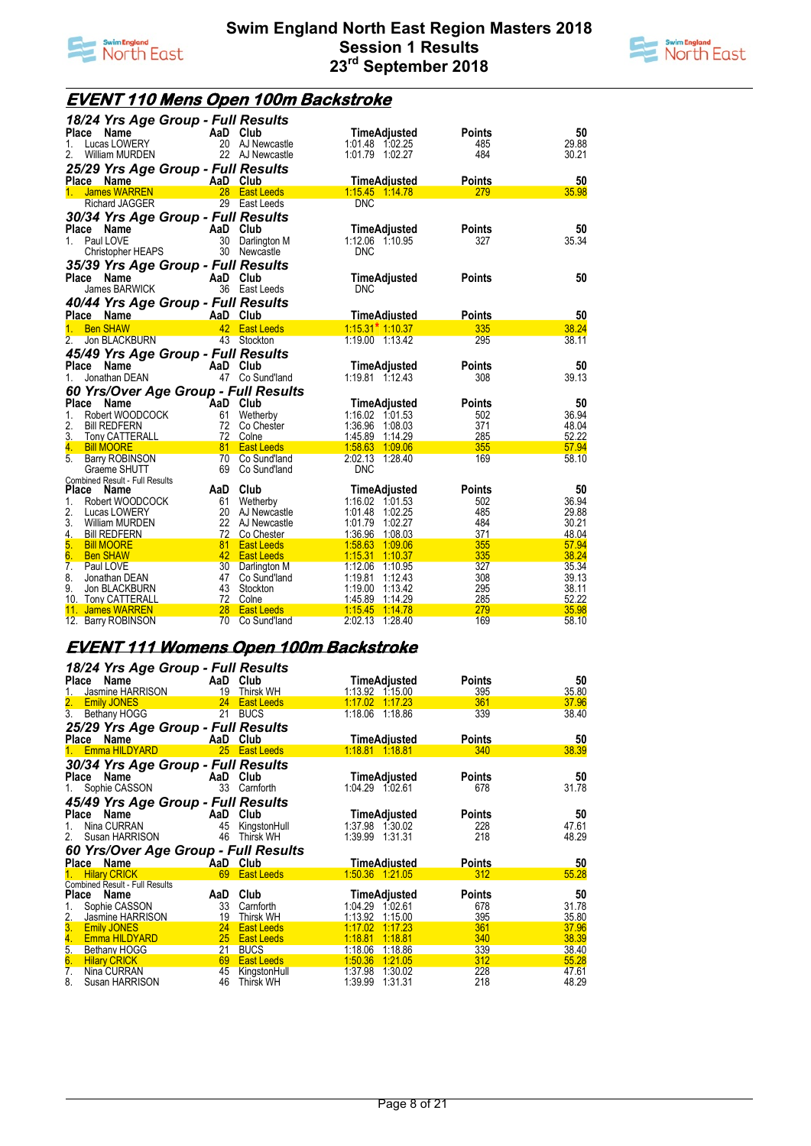



### **EVENT 110 Mens Open 100m Backstroke**

| 50<br>Place Name<br>AaD Club<br>TimeAdjusted<br><b>Points</b><br>20 AJ Newcastle<br>29.88<br>Lucas LOWERY<br>1:01.48 1:02.25<br>485<br>1.<br>22 AJ Newcastle<br>2.<br>William MURDEN<br>484<br>30.21<br>1:01.79 1:02.27<br>25/29 Yrs Age Group - Full Results<br>50<br>AaD Club<br><b>TimeAdiusted</b><br>Place Name<br><b>Points</b><br>28<br>1:15.45 1:14.78<br>279<br>35.98<br>$1_{-}$<br><b>James WARREN</b><br><b>East Leeds</b><br>Richard JAGGER<br>29 East Leeds<br>DNC<br>30/34 Yrs Age Group - Full Results<br>AaD<br>Club<br>50<br><b>Place</b><br>Name<br>TimeAdjusted<br><b>Points</b><br>35.34<br>Paul LOVE<br>30<br>1:12.06 1:10.95<br>327<br>$1_{\cdot}$<br>Darlington M<br>30 Newcastle<br>Christopher HEAPS<br><b>DNC</b><br>35/39 Yrs Age Group - Full Results<br>50<br>Place<br>Name<br>AaD Club<br>TimeAdjusted<br><b>Points</b><br>36 East Leeds<br>James BARWICK<br><b>DNC</b><br>40/44 Yrs Age Group - Full Results<br>Place Name<br><b>TimeAdiusted</b><br><b>Points</b><br>50<br>AaD Club<br>$1:15.31$ <sup>*</sup> 1:10.37<br><b>Ben SHAW</b><br>42 <sup>7</sup><br>335<br>38.24<br><b>East Leeds</b><br>1.<br>295<br>38.11<br>2.<br>Jon BLACKBURN<br>43 Stockton<br>1:19.00 1:13.42<br>45/49 Yrs Age Group - Full Results<br>AaD Club<br>Place<br>Name<br>50<br>TimeAdjusted<br><b>Points</b><br>47 Co Sund'land<br>1:19.81 1:12.43<br>308<br>39.13<br>Jonathan DEAN<br>1.<br>60 Yrs/Over Age Group - Full Results<br>Place<br>Name<br>AaD Club<br>50<br>TimeAdjusted<br><b>Points</b><br>36.94<br>1.<br>Robert WOODCOCK<br>61<br>1:16.02 1:01.53<br>502<br>Wetherby<br>2.<br>1:36.96 1:08.03<br>371<br><b>Bill REDFERN</b><br>72<br>48.04<br>Co Chester<br>1:45.89 1:14.29<br>3.<br>72 Colne<br>285<br><b>Tony CATTERALL</b><br>52.22<br>81 East Leeds<br>1:58.63 1:09.06<br>355<br>57.94<br>4.<br><b>Bill MOORE</b><br>5 <sub>1</sub><br>2:02.13 1:28.40<br>58.10<br><b>Barry ROBINSON</b><br>70 Co Sund'land<br>169<br>69<br>Co Sund'land<br><b>DNC</b><br>Graeme SHUTT<br><b>Combined Result - Full Results</b><br>AaD Club<br>50<br>Place Name<br><b>TimeAdjusted</b><br><b>Points</b><br>36.94<br>Wetherby<br>1:16.02 1:01.53<br>1.<br>Robert WOODCOCK<br>61<br>502<br>2.<br>485<br>29.88<br>Lucas LOWERY<br>20 AJ Newcastle<br>1:01.48 1:02.25<br>3.<br>22 AJ Newcastle<br>1:01.79<br>1:02.27<br>484<br>30.21<br>William MURDEN<br>371<br>72<br>1:36.96<br>1:08.03<br>48.04<br>4.<br><b>Bill REDFERN</b><br>Co Chester<br>5.<br>1:58.63 1:09.06<br>355<br><b>Bill MOORE</b><br>81<br><b>East Leeds</b><br>57.94<br>6.<br>42 East Leeds<br>1:15.31<br>335<br>38.24<br>1:10.37<br><b>Ben SHAW</b><br>1:12.06<br>327<br>35.34<br>7.<br>30 Darlington M<br>Paul LOVE<br>1:10.95<br>8.<br>47<br>1:19.81<br>308<br>39.13<br>Co Sund'land<br>1:12.43<br>Jonathan DEAN<br>1:19.00<br>9.<br>43<br>295<br>38.11<br>Jon BLACKBURN<br>Stockton<br>1:13.42<br>72 Colne<br>1:45.89<br>285<br>52.22<br>10. Tony CATTERALL<br>1:14.29<br>279<br>28<br>35.98<br>11. James WARREN<br><b>East Leeds</b><br>1:15.45<br>1:14.78 | 18/24 Yrs Age Group - Full Results |  |  |
|-----------------------------------------------------------------------------------------------------------------------------------------------------------------------------------------------------------------------------------------------------------------------------------------------------------------------------------------------------------------------------------------------------------------------------------------------------------------------------------------------------------------------------------------------------------------------------------------------------------------------------------------------------------------------------------------------------------------------------------------------------------------------------------------------------------------------------------------------------------------------------------------------------------------------------------------------------------------------------------------------------------------------------------------------------------------------------------------------------------------------------------------------------------------------------------------------------------------------------------------------------------------------------------------------------------------------------------------------------------------------------------------------------------------------------------------------------------------------------------------------------------------------------------------------------------------------------------------------------------------------------------------------------------------------------------------------------------------------------------------------------------------------------------------------------------------------------------------------------------------------------------------------------------------------------------------------------------------------------------------------------------------------------------------------------------------------------------------------------------------------------------------------------------------------------------------------------------------------------------------------------------------------------------------------------------------------------------------------------------------------------------------------------------------------------------------------------------------------------------------------------------------------------------------------------------------------------------------------------------------------------------------------------------------------------------------------------------------------------------------------------------------------------------------------------------------------------------------------------------------------------------------------------------------------------------------------------------------------------------------------------------------------------------------------|------------------------------------|--|--|
|                                                                                                                                                                                                                                                                                                                                                                                                                                                                                                                                                                                                                                                                                                                                                                                                                                                                                                                                                                                                                                                                                                                                                                                                                                                                                                                                                                                                                                                                                                                                                                                                                                                                                                                                                                                                                                                                                                                                                                                                                                                                                                                                                                                                                                                                                                                                                                                                                                                                                                                                                                                                                                                                                                                                                                                                                                                                                                                                                                                                                                               |                                    |  |  |
|                                                                                                                                                                                                                                                                                                                                                                                                                                                                                                                                                                                                                                                                                                                                                                                                                                                                                                                                                                                                                                                                                                                                                                                                                                                                                                                                                                                                                                                                                                                                                                                                                                                                                                                                                                                                                                                                                                                                                                                                                                                                                                                                                                                                                                                                                                                                                                                                                                                                                                                                                                                                                                                                                                                                                                                                                                                                                                                                                                                                                                               |                                    |  |  |
|                                                                                                                                                                                                                                                                                                                                                                                                                                                                                                                                                                                                                                                                                                                                                                                                                                                                                                                                                                                                                                                                                                                                                                                                                                                                                                                                                                                                                                                                                                                                                                                                                                                                                                                                                                                                                                                                                                                                                                                                                                                                                                                                                                                                                                                                                                                                                                                                                                                                                                                                                                                                                                                                                                                                                                                                                                                                                                                                                                                                                                               |                                    |  |  |
|                                                                                                                                                                                                                                                                                                                                                                                                                                                                                                                                                                                                                                                                                                                                                                                                                                                                                                                                                                                                                                                                                                                                                                                                                                                                                                                                                                                                                                                                                                                                                                                                                                                                                                                                                                                                                                                                                                                                                                                                                                                                                                                                                                                                                                                                                                                                                                                                                                                                                                                                                                                                                                                                                                                                                                                                                                                                                                                                                                                                                                               |                                    |  |  |
|                                                                                                                                                                                                                                                                                                                                                                                                                                                                                                                                                                                                                                                                                                                                                                                                                                                                                                                                                                                                                                                                                                                                                                                                                                                                                                                                                                                                                                                                                                                                                                                                                                                                                                                                                                                                                                                                                                                                                                                                                                                                                                                                                                                                                                                                                                                                                                                                                                                                                                                                                                                                                                                                                                                                                                                                                                                                                                                                                                                                                                               |                                    |  |  |
|                                                                                                                                                                                                                                                                                                                                                                                                                                                                                                                                                                                                                                                                                                                                                                                                                                                                                                                                                                                                                                                                                                                                                                                                                                                                                                                                                                                                                                                                                                                                                                                                                                                                                                                                                                                                                                                                                                                                                                                                                                                                                                                                                                                                                                                                                                                                                                                                                                                                                                                                                                                                                                                                                                                                                                                                                                                                                                                                                                                                                                               |                                    |  |  |
|                                                                                                                                                                                                                                                                                                                                                                                                                                                                                                                                                                                                                                                                                                                                                                                                                                                                                                                                                                                                                                                                                                                                                                                                                                                                                                                                                                                                                                                                                                                                                                                                                                                                                                                                                                                                                                                                                                                                                                                                                                                                                                                                                                                                                                                                                                                                                                                                                                                                                                                                                                                                                                                                                                                                                                                                                                                                                                                                                                                                                                               |                                    |  |  |
|                                                                                                                                                                                                                                                                                                                                                                                                                                                                                                                                                                                                                                                                                                                                                                                                                                                                                                                                                                                                                                                                                                                                                                                                                                                                                                                                                                                                                                                                                                                                                                                                                                                                                                                                                                                                                                                                                                                                                                                                                                                                                                                                                                                                                                                                                                                                                                                                                                                                                                                                                                                                                                                                                                                                                                                                                                                                                                                                                                                                                                               |                                    |  |  |
|                                                                                                                                                                                                                                                                                                                                                                                                                                                                                                                                                                                                                                                                                                                                                                                                                                                                                                                                                                                                                                                                                                                                                                                                                                                                                                                                                                                                                                                                                                                                                                                                                                                                                                                                                                                                                                                                                                                                                                                                                                                                                                                                                                                                                                                                                                                                                                                                                                                                                                                                                                                                                                                                                                                                                                                                                                                                                                                                                                                                                                               |                                    |  |  |
|                                                                                                                                                                                                                                                                                                                                                                                                                                                                                                                                                                                                                                                                                                                                                                                                                                                                                                                                                                                                                                                                                                                                                                                                                                                                                                                                                                                                                                                                                                                                                                                                                                                                                                                                                                                                                                                                                                                                                                                                                                                                                                                                                                                                                                                                                                                                                                                                                                                                                                                                                                                                                                                                                                                                                                                                                                                                                                                                                                                                                                               |                                    |  |  |
|                                                                                                                                                                                                                                                                                                                                                                                                                                                                                                                                                                                                                                                                                                                                                                                                                                                                                                                                                                                                                                                                                                                                                                                                                                                                                                                                                                                                                                                                                                                                                                                                                                                                                                                                                                                                                                                                                                                                                                                                                                                                                                                                                                                                                                                                                                                                                                                                                                                                                                                                                                                                                                                                                                                                                                                                                                                                                                                                                                                                                                               |                                    |  |  |
|                                                                                                                                                                                                                                                                                                                                                                                                                                                                                                                                                                                                                                                                                                                                                                                                                                                                                                                                                                                                                                                                                                                                                                                                                                                                                                                                                                                                                                                                                                                                                                                                                                                                                                                                                                                                                                                                                                                                                                                                                                                                                                                                                                                                                                                                                                                                                                                                                                                                                                                                                                                                                                                                                                                                                                                                                                                                                                                                                                                                                                               |                                    |  |  |
|                                                                                                                                                                                                                                                                                                                                                                                                                                                                                                                                                                                                                                                                                                                                                                                                                                                                                                                                                                                                                                                                                                                                                                                                                                                                                                                                                                                                                                                                                                                                                                                                                                                                                                                                                                                                                                                                                                                                                                                                                                                                                                                                                                                                                                                                                                                                                                                                                                                                                                                                                                                                                                                                                                                                                                                                                                                                                                                                                                                                                                               |                                    |  |  |
|                                                                                                                                                                                                                                                                                                                                                                                                                                                                                                                                                                                                                                                                                                                                                                                                                                                                                                                                                                                                                                                                                                                                                                                                                                                                                                                                                                                                                                                                                                                                                                                                                                                                                                                                                                                                                                                                                                                                                                                                                                                                                                                                                                                                                                                                                                                                                                                                                                                                                                                                                                                                                                                                                                                                                                                                                                                                                                                                                                                                                                               |                                    |  |  |
|                                                                                                                                                                                                                                                                                                                                                                                                                                                                                                                                                                                                                                                                                                                                                                                                                                                                                                                                                                                                                                                                                                                                                                                                                                                                                                                                                                                                                                                                                                                                                                                                                                                                                                                                                                                                                                                                                                                                                                                                                                                                                                                                                                                                                                                                                                                                                                                                                                                                                                                                                                                                                                                                                                                                                                                                                                                                                                                                                                                                                                               |                                    |  |  |
|                                                                                                                                                                                                                                                                                                                                                                                                                                                                                                                                                                                                                                                                                                                                                                                                                                                                                                                                                                                                                                                                                                                                                                                                                                                                                                                                                                                                                                                                                                                                                                                                                                                                                                                                                                                                                                                                                                                                                                                                                                                                                                                                                                                                                                                                                                                                                                                                                                                                                                                                                                                                                                                                                                                                                                                                                                                                                                                                                                                                                                               |                                    |  |  |
|                                                                                                                                                                                                                                                                                                                                                                                                                                                                                                                                                                                                                                                                                                                                                                                                                                                                                                                                                                                                                                                                                                                                                                                                                                                                                                                                                                                                                                                                                                                                                                                                                                                                                                                                                                                                                                                                                                                                                                                                                                                                                                                                                                                                                                                                                                                                                                                                                                                                                                                                                                                                                                                                                                                                                                                                                                                                                                                                                                                                                                               |                                    |  |  |
|                                                                                                                                                                                                                                                                                                                                                                                                                                                                                                                                                                                                                                                                                                                                                                                                                                                                                                                                                                                                                                                                                                                                                                                                                                                                                                                                                                                                                                                                                                                                                                                                                                                                                                                                                                                                                                                                                                                                                                                                                                                                                                                                                                                                                                                                                                                                                                                                                                                                                                                                                                                                                                                                                                                                                                                                                                                                                                                                                                                                                                               |                                    |  |  |
|                                                                                                                                                                                                                                                                                                                                                                                                                                                                                                                                                                                                                                                                                                                                                                                                                                                                                                                                                                                                                                                                                                                                                                                                                                                                                                                                                                                                                                                                                                                                                                                                                                                                                                                                                                                                                                                                                                                                                                                                                                                                                                                                                                                                                                                                                                                                                                                                                                                                                                                                                                                                                                                                                                                                                                                                                                                                                                                                                                                                                                               |                                    |  |  |
|                                                                                                                                                                                                                                                                                                                                                                                                                                                                                                                                                                                                                                                                                                                                                                                                                                                                                                                                                                                                                                                                                                                                                                                                                                                                                                                                                                                                                                                                                                                                                                                                                                                                                                                                                                                                                                                                                                                                                                                                                                                                                                                                                                                                                                                                                                                                                                                                                                                                                                                                                                                                                                                                                                                                                                                                                                                                                                                                                                                                                                               |                                    |  |  |
|                                                                                                                                                                                                                                                                                                                                                                                                                                                                                                                                                                                                                                                                                                                                                                                                                                                                                                                                                                                                                                                                                                                                                                                                                                                                                                                                                                                                                                                                                                                                                                                                                                                                                                                                                                                                                                                                                                                                                                                                                                                                                                                                                                                                                                                                                                                                                                                                                                                                                                                                                                                                                                                                                                                                                                                                                                                                                                                                                                                                                                               |                                    |  |  |
|                                                                                                                                                                                                                                                                                                                                                                                                                                                                                                                                                                                                                                                                                                                                                                                                                                                                                                                                                                                                                                                                                                                                                                                                                                                                                                                                                                                                                                                                                                                                                                                                                                                                                                                                                                                                                                                                                                                                                                                                                                                                                                                                                                                                                                                                                                                                                                                                                                                                                                                                                                                                                                                                                                                                                                                                                                                                                                                                                                                                                                               |                                    |  |  |
|                                                                                                                                                                                                                                                                                                                                                                                                                                                                                                                                                                                                                                                                                                                                                                                                                                                                                                                                                                                                                                                                                                                                                                                                                                                                                                                                                                                                                                                                                                                                                                                                                                                                                                                                                                                                                                                                                                                                                                                                                                                                                                                                                                                                                                                                                                                                                                                                                                                                                                                                                                                                                                                                                                                                                                                                                                                                                                                                                                                                                                               |                                    |  |  |
|                                                                                                                                                                                                                                                                                                                                                                                                                                                                                                                                                                                                                                                                                                                                                                                                                                                                                                                                                                                                                                                                                                                                                                                                                                                                                                                                                                                                                                                                                                                                                                                                                                                                                                                                                                                                                                                                                                                                                                                                                                                                                                                                                                                                                                                                                                                                                                                                                                                                                                                                                                                                                                                                                                                                                                                                                                                                                                                                                                                                                                               |                                    |  |  |
|                                                                                                                                                                                                                                                                                                                                                                                                                                                                                                                                                                                                                                                                                                                                                                                                                                                                                                                                                                                                                                                                                                                                                                                                                                                                                                                                                                                                                                                                                                                                                                                                                                                                                                                                                                                                                                                                                                                                                                                                                                                                                                                                                                                                                                                                                                                                                                                                                                                                                                                                                                                                                                                                                                                                                                                                                                                                                                                                                                                                                                               |                                    |  |  |
|                                                                                                                                                                                                                                                                                                                                                                                                                                                                                                                                                                                                                                                                                                                                                                                                                                                                                                                                                                                                                                                                                                                                                                                                                                                                                                                                                                                                                                                                                                                                                                                                                                                                                                                                                                                                                                                                                                                                                                                                                                                                                                                                                                                                                                                                                                                                                                                                                                                                                                                                                                                                                                                                                                                                                                                                                                                                                                                                                                                                                                               |                                    |  |  |
|                                                                                                                                                                                                                                                                                                                                                                                                                                                                                                                                                                                                                                                                                                                                                                                                                                                                                                                                                                                                                                                                                                                                                                                                                                                                                                                                                                                                                                                                                                                                                                                                                                                                                                                                                                                                                                                                                                                                                                                                                                                                                                                                                                                                                                                                                                                                                                                                                                                                                                                                                                                                                                                                                                                                                                                                                                                                                                                                                                                                                                               |                                    |  |  |
|                                                                                                                                                                                                                                                                                                                                                                                                                                                                                                                                                                                                                                                                                                                                                                                                                                                                                                                                                                                                                                                                                                                                                                                                                                                                                                                                                                                                                                                                                                                                                                                                                                                                                                                                                                                                                                                                                                                                                                                                                                                                                                                                                                                                                                                                                                                                                                                                                                                                                                                                                                                                                                                                                                                                                                                                                                                                                                                                                                                                                                               |                                    |  |  |
|                                                                                                                                                                                                                                                                                                                                                                                                                                                                                                                                                                                                                                                                                                                                                                                                                                                                                                                                                                                                                                                                                                                                                                                                                                                                                                                                                                                                                                                                                                                                                                                                                                                                                                                                                                                                                                                                                                                                                                                                                                                                                                                                                                                                                                                                                                                                                                                                                                                                                                                                                                                                                                                                                                                                                                                                                                                                                                                                                                                                                                               |                                    |  |  |
|                                                                                                                                                                                                                                                                                                                                                                                                                                                                                                                                                                                                                                                                                                                                                                                                                                                                                                                                                                                                                                                                                                                                                                                                                                                                                                                                                                                                                                                                                                                                                                                                                                                                                                                                                                                                                                                                                                                                                                                                                                                                                                                                                                                                                                                                                                                                                                                                                                                                                                                                                                                                                                                                                                                                                                                                                                                                                                                                                                                                                                               |                                    |  |  |
|                                                                                                                                                                                                                                                                                                                                                                                                                                                                                                                                                                                                                                                                                                                                                                                                                                                                                                                                                                                                                                                                                                                                                                                                                                                                                                                                                                                                                                                                                                                                                                                                                                                                                                                                                                                                                                                                                                                                                                                                                                                                                                                                                                                                                                                                                                                                                                                                                                                                                                                                                                                                                                                                                                                                                                                                                                                                                                                                                                                                                                               |                                    |  |  |
|                                                                                                                                                                                                                                                                                                                                                                                                                                                                                                                                                                                                                                                                                                                                                                                                                                                                                                                                                                                                                                                                                                                                                                                                                                                                                                                                                                                                                                                                                                                                                                                                                                                                                                                                                                                                                                                                                                                                                                                                                                                                                                                                                                                                                                                                                                                                                                                                                                                                                                                                                                                                                                                                                                                                                                                                                                                                                                                                                                                                                                               |                                    |  |  |
|                                                                                                                                                                                                                                                                                                                                                                                                                                                                                                                                                                                                                                                                                                                                                                                                                                                                                                                                                                                                                                                                                                                                                                                                                                                                                                                                                                                                                                                                                                                                                                                                                                                                                                                                                                                                                                                                                                                                                                                                                                                                                                                                                                                                                                                                                                                                                                                                                                                                                                                                                                                                                                                                                                                                                                                                                                                                                                                                                                                                                                               |                                    |  |  |
|                                                                                                                                                                                                                                                                                                                                                                                                                                                                                                                                                                                                                                                                                                                                                                                                                                                                                                                                                                                                                                                                                                                                                                                                                                                                                                                                                                                                                                                                                                                                                                                                                                                                                                                                                                                                                                                                                                                                                                                                                                                                                                                                                                                                                                                                                                                                                                                                                                                                                                                                                                                                                                                                                                                                                                                                                                                                                                                                                                                                                                               |                                    |  |  |
|                                                                                                                                                                                                                                                                                                                                                                                                                                                                                                                                                                                                                                                                                                                                                                                                                                                                                                                                                                                                                                                                                                                                                                                                                                                                                                                                                                                                                                                                                                                                                                                                                                                                                                                                                                                                                                                                                                                                                                                                                                                                                                                                                                                                                                                                                                                                                                                                                                                                                                                                                                                                                                                                                                                                                                                                                                                                                                                                                                                                                                               |                                    |  |  |
|                                                                                                                                                                                                                                                                                                                                                                                                                                                                                                                                                                                                                                                                                                                                                                                                                                                                                                                                                                                                                                                                                                                                                                                                                                                                                                                                                                                                                                                                                                                                                                                                                                                                                                                                                                                                                                                                                                                                                                                                                                                                                                                                                                                                                                                                                                                                                                                                                                                                                                                                                                                                                                                                                                                                                                                                                                                                                                                                                                                                                                               |                                    |  |  |
|                                                                                                                                                                                                                                                                                                                                                                                                                                                                                                                                                                                                                                                                                                                                                                                                                                                                                                                                                                                                                                                                                                                                                                                                                                                                                                                                                                                                                                                                                                                                                                                                                                                                                                                                                                                                                                                                                                                                                                                                                                                                                                                                                                                                                                                                                                                                                                                                                                                                                                                                                                                                                                                                                                                                                                                                                                                                                                                                                                                                                                               |                                    |  |  |
|                                                                                                                                                                                                                                                                                                                                                                                                                                                                                                                                                                                                                                                                                                                                                                                                                                                                                                                                                                                                                                                                                                                                                                                                                                                                                                                                                                                                                                                                                                                                                                                                                                                                                                                                                                                                                                                                                                                                                                                                                                                                                                                                                                                                                                                                                                                                                                                                                                                                                                                                                                                                                                                                                                                                                                                                                                                                                                                                                                                                                                               |                                    |  |  |
|                                                                                                                                                                                                                                                                                                                                                                                                                                                                                                                                                                                                                                                                                                                                                                                                                                                                                                                                                                                                                                                                                                                                                                                                                                                                                                                                                                                                                                                                                                                                                                                                                                                                                                                                                                                                                                                                                                                                                                                                                                                                                                                                                                                                                                                                                                                                                                                                                                                                                                                                                                                                                                                                                                                                                                                                                                                                                                                                                                                                                                               |                                    |  |  |
| 2:02.13<br>169<br>58.10<br>12. Barry ROBINSON<br>70<br>1:28.40<br>Co Sund'land                                                                                                                                                                                                                                                                                                                                                                                                                                                                                                                                                                                                                                                                                                                                                                                                                                                                                                                                                                                                                                                                                                                                                                                                                                                                                                                                                                                                                                                                                                                                                                                                                                                                                                                                                                                                                                                                                                                                                                                                                                                                                                                                                                                                                                                                                                                                                                                                                                                                                                                                                                                                                                                                                                                                                                                                                                                                                                                                                                |                                    |  |  |

#### **EVENT 111 Womens Open 100m Backstroke**

| AaD Club<br>Place<br>Name<br>TimeAdjusted<br><b>Points</b><br>19<br>Jasmine HARRISON<br>1:13.92 1:15.00<br>395<br>1.<br>Thirsk WH<br>2. Emily JONES<br>3. Bethany HOGG<br>24 East Leeds<br>$1:17.02$ 1:17.23<br>361<br>21 BUCS<br>1:18.06 1:18.86<br>339<br>25/29 Yrs Age Group - Full Results<br>Place Name<br>AaD Club<br>TimeAdjusted<br><b>Points</b><br>Emma HILDYARD<br>25 East Leeds<br>1:18.81  1:18.81<br>340<br>30/34 Yrs Age Group - Full Results<br>Club<br><b>Points</b><br>50<br>Place Name<br>AaD<br><b>TimeAdjusted</b><br>31.78<br>1:04.29  1:02.61<br>Sophie CASSON<br>33 Carnforth<br>678<br>1.<br>45/49 Yrs Age Group - Full Results<br>Place Name<br>AaD Club<br>50<br>TimeAdjusted<br>Points<br>47.61<br>Nina CURRAN<br>1:37.98 1:30.02<br>228<br>45 KingstonHull<br>1.<br>48.29<br>Susan HARRISON<br>46<br><b>Thirsk WH</b><br>1:39.99<br>1:31.31<br>218<br>2.<br>60 Yrs/Over Age Group - Full Results<br>Place Name<br>AaD Club<br><b>TimeAdiusted</b><br><b>Points</b><br>50<br>55.28<br>69 East Leeds<br>312<br><b>Hilary CRICK</b><br>1:50.36 1:21.05<br><b>Combined Result - Full Results</b><br>Place Name<br>Club<br>TimeAdjusted<br>50<br><b>Points</b><br>AaD<br>Sophie CASSON<br>33<br>1:04.29<br>31.78<br>1:02.61<br>678<br>1.<br>Carnforth<br>2.<br>395<br>1:13.92<br>35.80<br>Jasmine HARRISON<br>19<br>1:15.00<br>Thirsk WH<br>3.<br>361<br>24<br>1:17.02<br><b>Emily JONES</b><br><b>East Leeds</b><br>37.96<br>1:17.23<br>4. Emma HILDYARD<br>340<br>38.39<br>25 East Leeds<br>1:18.81<br>1:18.81 | 18/24 Yrs Age Group - Full Results |  |                |
|------------------------------------------------------------------------------------------------------------------------------------------------------------------------------------------------------------------------------------------------------------------------------------------------------------------------------------------------------------------------------------------------------------------------------------------------------------------------------------------------------------------------------------------------------------------------------------------------------------------------------------------------------------------------------------------------------------------------------------------------------------------------------------------------------------------------------------------------------------------------------------------------------------------------------------------------------------------------------------------------------------------------------------------------------------------------------------------------------------------------------------------------------------------------------------------------------------------------------------------------------------------------------------------------------------------------------------------------------------------------------------------------------------------------------------------------------------------------------------------------------------------------------------------|------------------------------------|--|----------------|
|                                                                                                                                                                                                                                                                                                                                                                                                                                                                                                                                                                                                                                                                                                                                                                                                                                                                                                                                                                                                                                                                                                                                                                                                                                                                                                                                                                                                                                                                                                                                          |                                    |  | 50             |
|                                                                                                                                                                                                                                                                                                                                                                                                                                                                                                                                                                                                                                                                                                                                                                                                                                                                                                                                                                                                                                                                                                                                                                                                                                                                                                                                                                                                                                                                                                                                          |                                    |  | 35.80          |
|                                                                                                                                                                                                                                                                                                                                                                                                                                                                                                                                                                                                                                                                                                                                                                                                                                                                                                                                                                                                                                                                                                                                                                                                                                                                                                                                                                                                                                                                                                                                          |                                    |  | 37.96          |
|                                                                                                                                                                                                                                                                                                                                                                                                                                                                                                                                                                                                                                                                                                                                                                                                                                                                                                                                                                                                                                                                                                                                                                                                                                                                                                                                                                                                                                                                                                                                          |                                    |  | 38.40          |
|                                                                                                                                                                                                                                                                                                                                                                                                                                                                                                                                                                                                                                                                                                                                                                                                                                                                                                                                                                                                                                                                                                                                                                                                                                                                                                                                                                                                                                                                                                                                          |                                    |  |                |
|                                                                                                                                                                                                                                                                                                                                                                                                                                                                                                                                                                                                                                                                                                                                                                                                                                                                                                                                                                                                                                                                                                                                                                                                                                                                                                                                                                                                                                                                                                                                          |                                    |  | 50             |
|                                                                                                                                                                                                                                                                                                                                                                                                                                                                                                                                                                                                                                                                                                                                                                                                                                                                                                                                                                                                                                                                                                                                                                                                                                                                                                                                                                                                                                                                                                                                          |                                    |  | 38.39          |
|                                                                                                                                                                                                                                                                                                                                                                                                                                                                                                                                                                                                                                                                                                                                                                                                                                                                                                                                                                                                                                                                                                                                                                                                                                                                                                                                                                                                                                                                                                                                          |                                    |  |                |
|                                                                                                                                                                                                                                                                                                                                                                                                                                                                                                                                                                                                                                                                                                                                                                                                                                                                                                                                                                                                                                                                                                                                                                                                                                                                                                                                                                                                                                                                                                                                          |                                    |  |                |
|                                                                                                                                                                                                                                                                                                                                                                                                                                                                                                                                                                                                                                                                                                                                                                                                                                                                                                                                                                                                                                                                                                                                                                                                                                                                                                                                                                                                                                                                                                                                          |                                    |  |                |
|                                                                                                                                                                                                                                                                                                                                                                                                                                                                                                                                                                                                                                                                                                                                                                                                                                                                                                                                                                                                                                                                                                                                                                                                                                                                                                                                                                                                                                                                                                                                          |                                    |  |                |
|                                                                                                                                                                                                                                                                                                                                                                                                                                                                                                                                                                                                                                                                                                                                                                                                                                                                                                                                                                                                                                                                                                                                                                                                                                                                                                                                                                                                                                                                                                                                          |                                    |  |                |
|                                                                                                                                                                                                                                                                                                                                                                                                                                                                                                                                                                                                                                                                                                                                                                                                                                                                                                                                                                                                                                                                                                                                                                                                                                                                                                                                                                                                                                                                                                                                          |                                    |  |                |
|                                                                                                                                                                                                                                                                                                                                                                                                                                                                                                                                                                                                                                                                                                                                                                                                                                                                                                                                                                                                                                                                                                                                                                                                                                                                                                                                                                                                                                                                                                                                          |                                    |  |                |
|                                                                                                                                                                                                                                                                                                                                                                                                                                                                                                                                                                                                                                                                                                                                                                                                                                                                                                                                                                                                                                                                                                                                                                                                                                                                                                                                                                                                                                                                                                                                          |                                    |  |                |
|                                                                                                                                                                                                                                                                                                                                                                                                                                                                                                                                                                                                                                                                                                                                                                                                                                                                                                                                                                                                                                                                                                                                                                                                                                                                                                                                                                                                                                                                                                                                          |                                    |  |                |
|                                                                                                                                                                                                                                                                                                                                                                                                                                                                                                                                                                                                                                                                                                                                                                                                                                                                                                                                                                                                                                                                                                                                                                                                                                                                                                                                                                                                                                                                                                                                          |                                    |  |                |
|                                                                                                                                                                                                                                                                                                                                                                                                                                                                                                                                                                                                                                                                                                                                                                                                                                                                                                                                                                                                                                                                                                                                                                                                                                                                                                                                                                                                                                                                                                                                          |                                    |  |                |
|                                                                                                                                                                                                                                                                                                                                                                                                                                                                                                                                                                                                                                                                                                                                                                                                                                                                                                                                                                                                                                                                                                                                                                                                                                                                                                                                                                                                                                                                                                                                          |                                    |  |                |
|                                                                                                                                                                                                                                                                                                                                                                                                                                                                                                                                                                                                                                                                                                                                                                                                                                                                                                                                                                                                                                                                                                                                                                                                                                                                                                                                                                                                                                                                                                                                          |                                    |  |                |
|                                                                                                                                                                                                                                                                                                                                                                                                                                                                                                                                                                                                                                                                                                                                                                                                                                                                                                                                                                                                                                                                                                                                                                                                                                                                                                                                                                                                                                                                                                                                          |                                    |  |                |
|                                                                                                                                                                                                                                                                                                                                                                                                                                                                                                                                                                                                                                                                                                                                                                                                                                                                                                                                                                                                                                                                                                                                                                                                                                                                                                                                                                                                                                                                                                                                          |                                    |  |                |
|                                                                                                                                                                                                                                                                                                                                                                                                                                                                                                                                                                                                                                                                                                                                                                                                                                                                                                                                                                                                                                                                                                                                                                                                                                                                                                                                                                                                                                                                                                                                          |                                    |  |                |
|                                                                                                                                                                                                                                                                                                                                                                                                                                                                                                                                                                                                                                                                                                                                                                                                                                                                                                                                                                                                                                                                                                                                                                                                                                                                                                                                                                                                                                                                                                                                          |                                    |  |                |
| 5.<br>21<br>339<br><b>Bethany HOGG</b><br><b>BUCS</b><br>1:18.06<br>1:18.86<br>6.<br>312<br><b>Hilary CRICK</b><br><b>East Leeds</b><br>69<br>1:50.36<br>1:21.05                                                                                                                                                                                                                                                                                                                                                                                                                                                                                                                                                                                                                                                                                                                                                                                                                                                                                                                                                                                                                                                                                                                                                                                                                                                                                                                                                                         |                                    |  | 38.40<br>55.28 |
| 7 <sub>1</sub><br>45<br>228<br>Nina CURRAN<br>1:37.98<br>1:30.02                                                                                                                                                                                                                                                                                                                                                                                                                                                                                                                                                                                                                                                                                                                                                                                                                                                                                                                                                                                                                                                                                                                                                                                                                                                                                                                                                                                                                                                                         |                                    |  | 47.61          |
| KingstonHull<br>8.<br>46<br>218<br>1:39.99<br><b>Thirsk WH</b><br>1:31.31<br>Susan HARRISON                                                                                                                                                                                                                                                                                                                                                                                                                                                                                                                                                                                                                                                                                                                                                                                                                                                                                                                                                                                                                                                                                                                                                                                                                                                                                                                                                                                                                                              |                                    |  | 48.29          |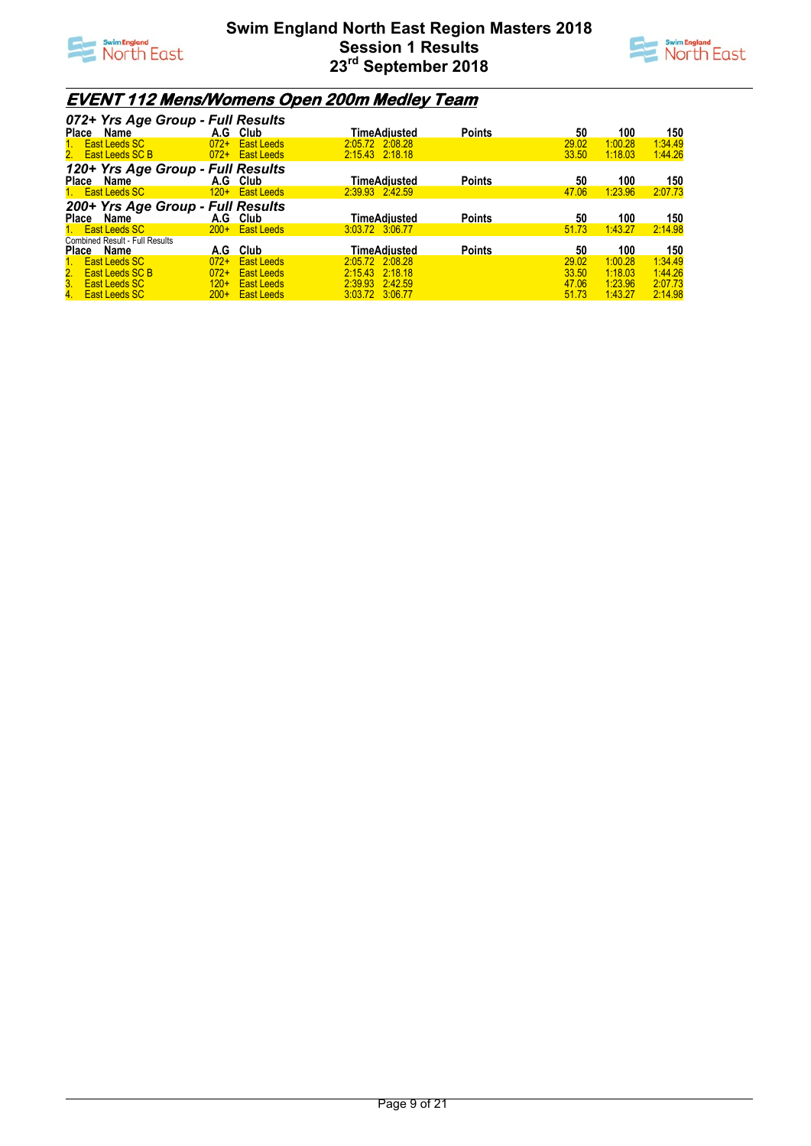



## **EVENT 112 Mens/Womens Open 200m Medley Team**

| 072+ Yrs Age Group - Full Results     |                             |                 |               |       |         |         |
|---------------------------------------|-----------------------------|-----------------|---------------|-------|---------|---------|
| Place Name                            | A.G Club                    | TimeAdiusted    | <b>Points</b> | 50    | 100     | 150     |
| 1. East Leeds SC                      | $072+$<br><b>East Leeds</b> | 2.05.72 2.08.28 |               | 29.02 | 1:00.28 | 1:34.49 |
| 2. East Leeds SC B                    | $072+$<br><b>East Leeds</b> | 2:15.43 2:18.18 |               | 33.50 | 1:18.03 | 1:44.26 |
| 120+ Yrs Age Group - Full Results     |                             |                 |               |       |         |         |
| Place<br>Name                         | A.G Club                    | TimeAdiusted    | <b>Points</b> | 50    | 100     | 150     |
| 1. East Leeds SC                      | 120+ East Leeds             | 2:39.93 2:42.59 |               | 47.06 | 1:23.96 | 2:07.73 |
| 200+ Yrs Age Group - Full Results     |                             |                 |               |       |         |         |
| Place Name                            | A.G Club                    | TimeAdiusted    | <b>Points</b> | 50    | 100     | 150     |
| 1. East Leeds SC                      | $200+$ East Leeds           | 3:03.72 3:06.77 |               | 51.73 | 1:43.27 | 2:14.98 |
| <b>Combined Result - Full Results</b> |                             |                 |               |       |         |         |
| Place Name                            | A.G Club                    | TimeAdiusted    | <b>Points</b> | 50    | 100     | 150     |
| 1. East Leeds SC                      | $072+$<br><b>East Leeds</b> | 2:05.72 2:08.28 |               | 29.02 | 1:00.28 | 1:34.49 |
| 2. East Leeds SC B                    | $072+$<br><b>East Leeds</b> | 2:15.43 2:18.18 |               | 33.50 | 1:18.03 | 1:44.26 |
| 3. East Leeds SC                      | $120+$<br><b>East Leeds</b> | 2:39.93 2:42.59 |               | 47.06 | 1:23.96 | 2:07.73 |
| 4. East Leeds SC                      | $200+$ East Leeds           | 3:03.72 3:06.77 |               | 51.73 | 1:43.27 | 2:14.98 |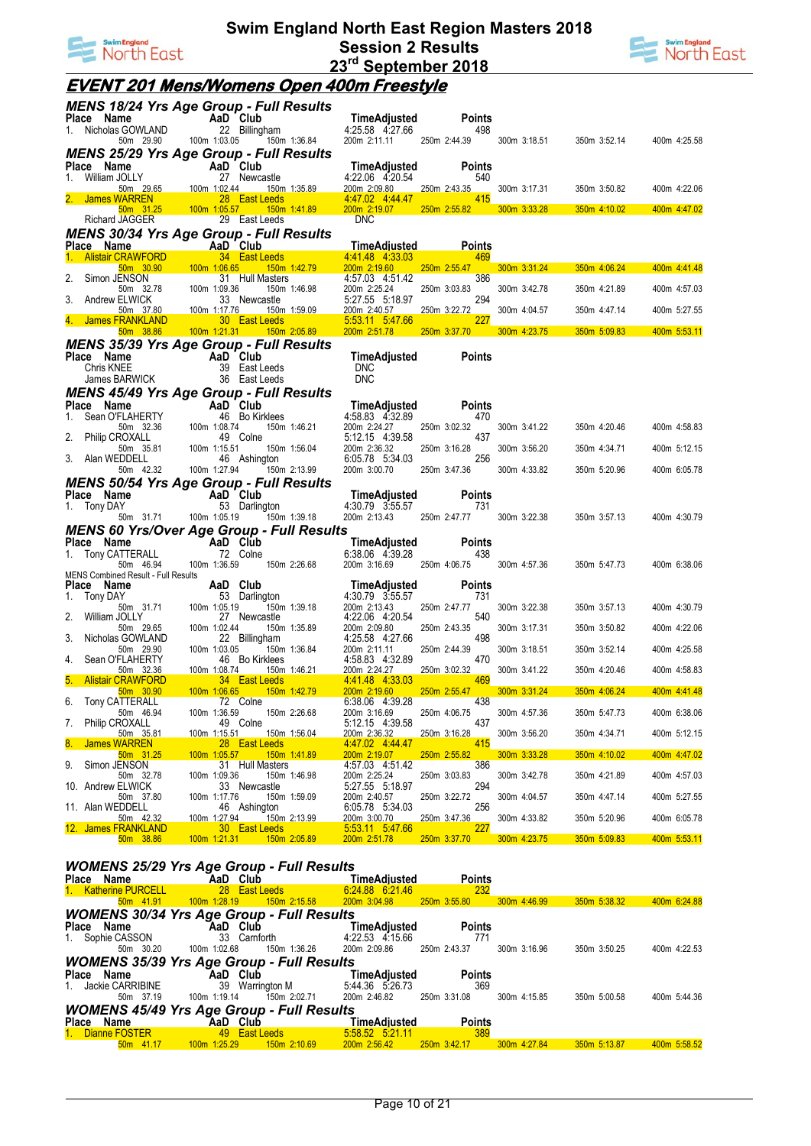



# **EVENT 201 Mens/Womens Open 400m Freestyle**

| <u>MENS 18/24 Yrs Age Group - Full Results</u>                                   |                                                             |                                 |              |                                              |                      |                  |              |              |
|----------------------------------------------------------------------------------|-------------------------------------------------------------|---------------------------------|--------------|----------------------------------------------|----------------------|------------------|--------------|--------------|
|                                                                                  |                                                             |                                 |              | TimeAdjusted<br>4:25.58 4:27.66              | <b>Points</b>        |                  |              |              |
| Place Name AaD Club<br>1. Nicholas GOWLAND 22 Billingl<br>50m 29.90 100m 1:03.05 |                                                             | 22 Billingham<br>150m 1:36.84   |              | 200m 2:11.11 250m 2:44.39                    | 498                  | 300m 3:18.51     | 350m 3:52.14 | 400m 4:25.58 |
| <b>MENS 25/29 Yrs Age Group - Full Results</b>                                   |                                                             |                                 |              |                                              |                      |                  |              |              |
| Place Name                                                                       | <b>Example 2</b> AaD Club                                   |                                 |              | TimeAdjusted                                 | <b>Points</b>        |                  |              |              |
| William JOLLY<br>1.                                                              |                                                             | 27 Newcastle                    |              | 4:22.06 4:20.54                              | 540                  |                  |              |              |
| 2. James WARREN                                                                  | 50m 29.65 100m 1:02.44                                      | 28 East Leeds                   | 150m 1:35.89 | 200m 2:09.80<br>4.47.02 4.44.47              | 250m 2:43.35         | 300m 3:17.31     | 350m 3:50.82 | 400m 4:22.06 |
|                                                                                  | 50m 31.25 100m 1:05.57 150m 1:41.89<br>JAGGER 29 East Leeds |                                 |              | 200m 2:19.07                                 | $250m$ $2:55.82$     | 300m 3:33.28     | 350m 4:10.02 | 400m 4:47.02 |
| Richard JAGGER                                                                   |                                                             |                                 |              | <b>DNC</b>                                   |                      |                  |              |              |
| <b>MENS 30/34 Yrs Age Group - Full Results</b>                                   |                                                             |                                 |              |                                              |                      |                  |              |              |
| Place Name                                                                       |                                                             | 34 East Leeds                   |              | <b>TimeAdiusted</b><br>4 41 48 4 33 03       | <b>Points</b><br>469 |                  |              |              |
| $50m$ 30.90                                                                      | 100m 1:06.65                                                |                                 | 150m 1:42.79 | 200m 2:19.60                                 | 250m 2:55.47         | $300m$ $3:31.24$ | 350m 4:06.24 | 400m 4:41.48 |
| Simon JENSON<br>2.                                                               |                                                             | 31 Hull Masters                 |              | 4:57.03 4:51.42                              | 386                  |                  |              |              |
| 50m 32.78<br>3.<br>Andrew ELWICK                                                 | 100m 1:09.36<br>100m 1:17.76<br>100m 1:17.76<br>30 E        | 33 Newcastle                    | 150m 1:46.98 | 200m 2:25.24<br>5:27.55 5:18.97              | 250m 3:03.83<br>294  | 300m 3:42.78     | 350m 4:21.89 | 400m 4:57.03 |
| <u>50m 37.80</u>                                                                 |                                                             |                                 | 150m 1:59.09 | 200m 2:40.57                                 | 250m 3:22.72         | 300m 4:04.57     | 350m 4:47.14 | 400m 5:27.55 |
| 4. James FRANKLAND                                                               |                                                             | 30 East Leeds                   |              | 5.53.11 5.47.66<br>200m 2:51.78 250m 3:37.70 | <b>227</b>           | 300m 4:23.75     | 350m 5:09.83 | 400m 5:53.11 |
| <b>MENS 35/39 Yrs Age Group - Full Results</b>                                   |                                                             |                                 |              |                                              |                      |                  |              |              |
| Place Name                                                                       | AaD Club                                                    |                                 |              | TimeAdjusted                                 | Points               |                  |              |              |
| Chris KNEE                                                                       |                                                             | 39 East Leeds                   |              | <b>DNC</b>                                   |                      |                  |              |              |
| James BARWICK                                                                    |                                                             | 36 East Leeds                   |              | <b>DNC</b>                                   |                      |                  |              |              |
| <b>MENS 45/49 Yrs Age Group - Full Results</b><br>Place Name                     | AaD Club                                                    |                                 |              | TimeAdjusted                                 | <b>Points</b>        |                  |              |              |
| Sean O'FLAHERTY<br>1.                                                            | <b>AaD C</b><br>46 E<br>100m 1:08.74                        | 46 Bo Kirklees                  |              | 4:58.83 4:32.89                              | 470                  |                  |              |              |
| 50m 32.36                                                                        |                                                             |                                 | 150m 1:46.21 | 200m 2:24.27                                 | 250m 3:02.32         | 300m 3:41.22     | 350m 4:20.46 | 400m 4:58.83 |
| 2. Philip CROXALL<br>50m 35.81                                                   |                                                             | 49 Colne                        | 150m 1:56.04 | 5:12.15 4:39.58<br>200m 2:36.32              | 437<br>250m 3:16.28  | 300m 3:56.20     | 350m 4:34.71 | 400m 5:12.15 |
| 3. Alan WEDDELL                                                                  | 100m 1:15.51<br>/ 46                                        | 46 Ashington                    |              | 6:05.78 5:34.03                              | 256                  |                  |              |              |
| 50m 42.32                                                                        | 100m 1:27.94                                                | 150m 2:13.99                    |              | 200m 3:00.70                                 | 250m 3:47.36         | 300m 4:33.82     | 350m 5:20.96 | 400m 6:05.78 |
| <b>MENS 50/54 Yrs Age Group - Full Results</b><br>Place Name                     |                                                             |                                 |              |                                              | <b>Points</b>        |                  |              |              |
| 1. Tony DAY                                                                      | AaD Club<br>53 Darlin                                       | 53 Darlington                   |              | TimeAdjusted<br>4:30.79 3:55.57              | 731                  |                  |              |              |
|                                                                                  | 50m 31.71 100m 1:05.19                                      | 150m 1:39.18                    |              | 200m 2:13.43                                 | 250m 2:47.77         | 300m 3:22.38     | 350m 3:57.13 | 400m 4:30.79 |
| <b>MENS 60 Yrs/Over Age Group - Full Results</b>                                 |                                                             |                                 |              |                                              |                      |                  |              |              |
| Place Name<br>1. Tony CATTERALL                                                  | AaD Club                                                    | 72 Colne                        |              | TimeAdjusted<br>6:38.06 4:39.28              | <b>Points</b><br>438 |                  |              |              |
| 50m 46.94                                                                        | 100m 1:36.59                                                | 150m 2:26.68                    |              | 200m 3:16.69                                 | 250m 4:06.75         | 300m 4:57.36     | 350m 5:47.73 | 400m 6:38.06 |
| MENS Combined Result - Full Results                                              |                                                             |                                 |              |                                              |                      |                  |              |              |
| Place Name<br>1. Tony DAY                                                        | AaD Club                                                    | 53 Darlington                   |              | TimeAdjusted<br>4:30.79 3:55.57              | Points<br>731        |                  |              |              |
| 50m 31.71                                                                        | 100m 1:05.19                                                |                                 | 150m 1:39.18 | 200m 2:13.43                                 | 250m 2:47.77         | 300m 3:22.38     | 350m 3:57.13 | 400m 4:30.79 |
| 2. William JOLLY<br>50m 29.65                                                    | 100m 1:02.44                                                | 27 Newcastle                    | 150m 1:35.89 | 4:22.06 4:20.54<br>200m 2:09.80              | 540<br>250m 2:43.35  | 300m 3:17.31     | 350m 3:50.82 | 400m 4:22.06 |
| 3.<br>Nicholas GOWLAND                                                           |                                                             | 22 Billingham                   |              | 4:25.58 4:27.66                              | 498                  |                  |              |              |
| 50m 29.90                                                                        | 100m 1:03.05                                                |                                 | 150m 1:36.84 | 200m 2:11.11                                 | 250m 2:44.39<br>470  | 300m 3:18.51     | 350m 3:52.14 | 400m 4:25.58 |
| Sean O'FLAHERTY<br>4.<br>$50m$ 32.36                                             | 100m 1:08.74                                                | 46 Bo Kirklees                  | 150m 1:46.21 | 4:58.83 4:32.89<br>200m 2:24.27              | 250m 3:02.32         | 300m 3:41.22     | 350m 4:20.46 | 400m 4:58.83 |
| <b>Alistair CRAWFORD</b><br>5.                                                   |                                                             | 34 East Leeds                   |              | 4.41.48 4.33.03                              | 469                  |                  |              |              |
| 50m 30.90<br>6. Tony CATTERALL                                                   | 100m 1:06.65                                                | 150m 1:42.79<br>72 Colne        |              | 200m 2:19.60<br>6:38.06 4:39.28              | 250m 2:55.47<br>438  | 300m 3:31.24     | 350m 4:06.24 | 400m 4:41.48 |
| 50m 46.94                                                                        |                                                             | 100m 1:36.59   150m 2:26.68     |              | 200m 3:16.69                                 | 250m 4:06.75         | 300m 4:57.36     | 350m 5:47.73 | 400m 6:38.06 |
| 7.<br><b>Philip CROXALL</b><br>50m 35.81                                         | 100m 1:15.51                                                | 49 Colne                        | 150m 1:56.04 | 5:12.15 4:39.58<br>200m 2:36.32              | 437<br>250m 3:16.28  | 300m 3:56.20     | 350m 4:34.71 | 400m 5:12.15 |
| 8.<br><u>James WARREN</u>                                                        |                                                             | 28 East Leeds                   |              | 4.47.02 4.44.47                              | 415                  |                  |              |              |
| 50m 31.25                                                                        | 100m 1:05.57                                                | 150m 1:41.89                    |              | 200m 2:19.07                                 | 250m 2:55.82         | 300m 3:33.28     | 350m 4:10.02 | 400m 4:47.02 |
| Simon JENSON<br>9.<br>50m 32.78                                                  | 100m 1:09.36                                                | 31 Hull Masters<br>150m 1:46.98 |              | 4:57.03 4:51.42<br>200m 2:25.24              | 386<br>250m 3:03.83  | 300m 3:42.78     | 350m 4:21.89 | 400m 4:57.03 |
| 10. Andrew ELWICK                                                                |                                                             | 33 Newcastle                    |              | 5:27.55 5:18.97                              | 294                  |                  |              |              |
| 50m 37.80<br>11. Alan WEDDELL                                                    | 100m 1:17.76                                                | 150m 1:59.09<br>46 Ashington    |              | 200m 2:40.57<br>6:05.78 5:34.03              | 250m 3:22.72<br>256  | 300m 4:04.57     | 350m 4:47.14 | 400m 5:27.55 |
| 50m 42.32                                                                        | 100m 1:27.94                                                | 150m 2:13.99                    |              | 200m 3:00.70                                 | 250m 3:47.36         | 300m 4:33.82     | 350m 5:20.96 | 400m 6:05.78 |
| 12. James FRANKLAND                                                              |                                                             | 30 East Leeds<br>150m 2:05.89   |              | 5:53.11 5:47.66<br>200m 2:51.78              | 227<br>250m 3:37.70  |                  |              | 400m 5:53.11 |
| 50m 38.86                                                                        | 100m 1:21.31                                                |                                 |              |                                              |                      | 300m 4:23.75     | 350m 5:09.83 |              |

#### *WOMENS 25/29 Yrs Age Group - Full Results*

| Place<br>Name         | AaD Club                                         | TimeAdiusted    | <b>Points</b> |              |              |              |
|-----------------------|--------------------------------------------------|-----------------|---------------|--------------|--------------|--------------|
| 1. Katherine PURCELL  | 28 East Leeds                                    | 6.24.88 6.21.46 | 232           |              |              |              |
| 50m 41.91             | 150m 2:15.58<br>$100m$ 1:28.19                   | 200m 3:04.98    | 250m 3:55.80  | 300m 4:46.99 | 350m 5:38.32 | 400m 6:24.88 |
|                       | <b>WOMENS 30/34 Yrs Age Group - Full Results</b> |                 |               |              |              |              |
| Place Name            | AaD Club                                         | TimeAdiusted    | <b>Points</b> |              |              |              |
| 1. Sophie CASSON      | 33 Camforth                                      | 4:22.53 4:15.66 | 771           |              |              |              |
| 50m 30.20             | 100m 1:02.68<br>150m 1:36.26                     | 200m 2:09.86    | 250m 2:43.37  | 300m 3:16.96 | 350m 3:50.25 | 400m 4:22.53 |
|                       | <b>WOMENS 35/39 Yrs Age Group - Full Results</b> |                 |               |              |              |              |
| <b>Place</b><br>Name  | AaD Club                                         | TimeAdjusted    | <b>Points</b> |              |              |              |
| Jackie CARRIBINE      | 39<br>Warrington M                               | 5:44.36 5:26.73 | 369           |              |              |              |
| 50m 37.19             | 150m 2:02.71<br>100m 1:19.14                     | 200m 2:46.82    | 250m 3:31.08  | 300m 4:15.85 | 350m 5:00.58 | 400m 5:44.36 |
|                       | <b>WOMENS 45/49 Yrs Age Group - Full Results</b> |                 |               |              |              |              |
| Place Name            | AaD Club                                         | TimeAdiusted    | <b>Points</b> |              |              |              |
| 1. Dianne FOSTER      | 49 East Leeds                                    | 5.58.52 5.21.11 | 389           |              |              |              |
| 50 <sub>m</sub> 41.17 | 150m 2:10.69<br>100m 1:25.29                     | 200m 2:56.42    | 250m 3:42.17  | 300m 4:27.84 | 350m 5:13.87 | 400m 5:58.52 |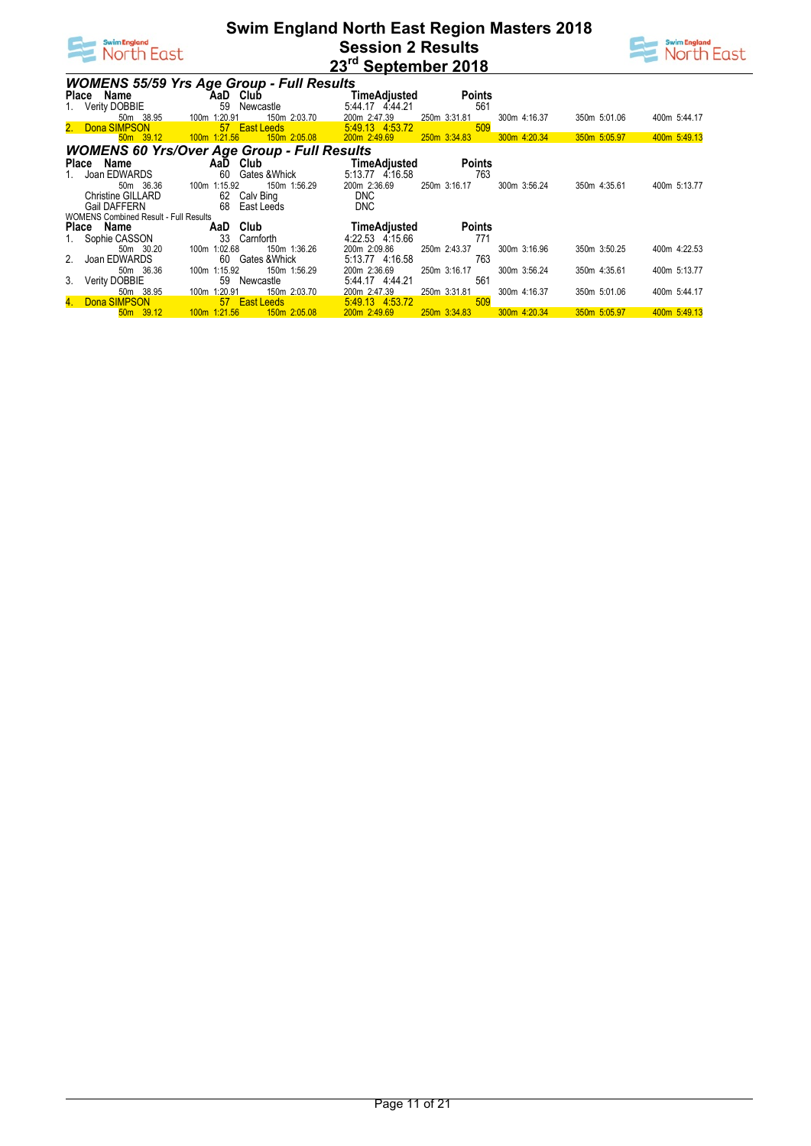



| <b>WOMENS 55/59 Yrs Age Group - Full Results</b>   |                |    |                  |                 |              |               |              |              |              |  |
|----------------------------------------------------|----------------|----|------------------|-----------------|--------------|---------------|--------------|--------------|--------------|--|
| Place Name                                         |                |    | AaD Club         | TimeAdjusted    |              | <b>Points</b> |              |              |              |  |
| 1. Verity DOBBIE                                   |                | 59 | Newcastle        | 5:44.17 4:44.21 |              | 561           |              |              |              |  |
| 50m 38.95                                          | 100m 1:20.91   |    | 150m 2:03.70     | 200m 2:47.39    | 250m 3:31.81 |               | 300m 4:16.37 | 350m 5:01.06 | 400m 5:44.17 |  |
| 2. Dona SIMPSON                                    |                |    | 57 East Leeds    | 5.49.13 4.53.72 |              | 509           |              |              |              |  |
| 50 <sub>m</sub> 39.12                              | $100m$ 1:21.56 |    | 150m 2:05.08     | 200m 2:49.69    | 250m 3:34.83 |               | 300m 4:20.34 | 350m 5:05.97 | 400m 5:49.13 |  |
| <b>WOMENS 60 Yrs/Over Age Group - Full Results</b> |                |    |                  |                 |              |               |              |              |              |  |
| Name<br>Place                                      |                |    | AaD Club         | TimeAdjusted    |              | <b>Points</b> |              |              |              |  |
| Joan EDWARDS                                       |                | 60 | Gates & Whick    | 5:13.77 4:16.58 |              | 763           |              |              |              |  |
| 50m 36.36                                          | 100m 1:15.92   |    | 150m 1:56.29     | 200m 2:36.69    | 250m 3:16.17 |               | 300m 3:56.24 | 350m 4:35.61 | 400m 5:13.77 |  |
| <b>Christine GILLARD</b>                           |                | 62 | Calv Bing        | <b>DNC</b>      |              |               |              |              |              |  |
| <b>Gail DAFFERN</b>                                |                |    | 68 East Leeds    | <b>DNC</b>      |              |               |              |              |              |  |
| <b>WOMENS Combined Result - Full Results</b>       |                |    |                  |                 |              |               |              |              |              |  |
| Place Name                                         |                |    | AaD Club         | TimeAdjusted    |              | <b>Points</b> |              |              |              |  |
| Sophie CASSON                                      |                | 33 | Carnforth        | 4:22.53 4:15.66 |              | 771           |              |              |              |  |
| 50m 30.20                                          | 100m 1:02.68   |    | 150m 1:36.26     | 200m 2:09.86    | 250m 2:43.37 |               | 300m 3:16.96 | 350m 3:50.25 | 400m 4:22.53 |  |
| 2. Joan EDWARDS                                    |                |    | 60 Gates & Whick | 5:13.77 4:16.58 |              | 763           |              |              |              |  |
| 50m 36.36                                          | 100m 1:15.92   |    | 150m 1:56.29     | 200m 2:36.69    | 250m 3:16.17 |               | 300m 3:56.24 | 350m 4:35.61 | 400m 5:13.77 |  |
| 3. Verity DOBBIE                                   |                | 59 | Newcastle        | 5:44.17 4:44.21 |              | 561           |              |              |              |  |
| 50m 38.95                                          | 100m 1:20.91   |    | 150m 2:03.70     | 200m 2:47.39    | 250m 3:31.81 |               | 300m 4:16.37 | 350m 5:01.06 | 400m 5:44.17 |  |
| 4. Dona SIMPSON                                    |                |    | 57 East Leeds    | 5:49.13 4:53.72 |              | 509           |              |              |              |  |
| $50m$ 39.12                                        | $100m$ 1:21.56 |    | 150m 2:05.08     | 200m 2:49.69    | 250m 3:34.83 |               | 300m 4:20.34 | 350m 5:05.97 | 400m 5:49.13 |  |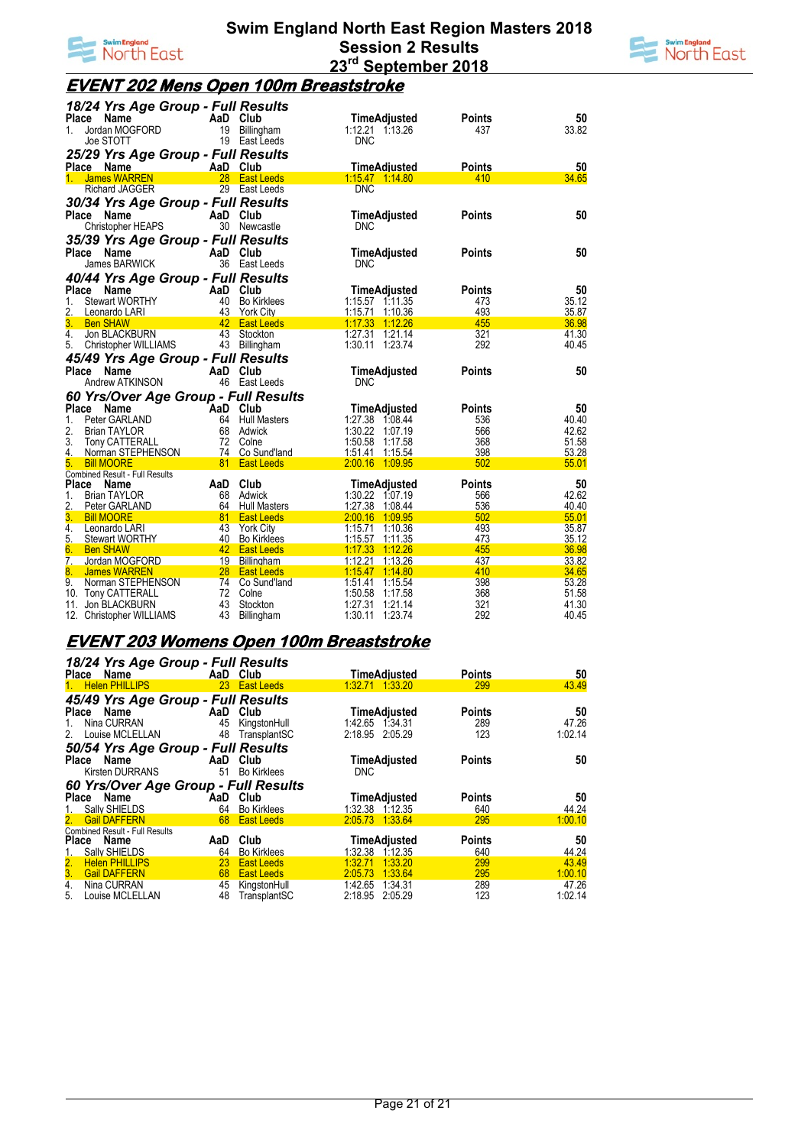



## **EVENT 202 Mens Open 100m Breaststroke**

| Jordan MOGFORD<br>1:12.21 1:13.26<br>19 Billingham<br>437<br>1.<br>Joe STOTT<br>19 East Leeds<br><b>DNC</b><br>25/29 Yrs Age Group - Full Results<br>AaD Club<br><b>TimeAdjusted</b><br>Place Name<br><b>Points</b><br>1. James WARREN<br>28 East Leeds<br>1.15.47 1.14.80<br>410<br>29 East Leeds<br><b>DNC</b><br><b>Richard JAGGER</b><br>30/34 Yrs Age Group - Full Results | 33.82<br>50<br>34.65<br>50<br>50<br>50 |
|---------------------------------------------------------------------------------------------------------------------------------------------------------------------------------------------------------------------------------------------------------------------------------------------------------------------------------------------------------------------------------|----------------------------------------|
|                                                                                                                                                                                                                                                                                                                                                                                 |                                        |
|                                                                                                                                                                                                                                                                                                                                                                                 |                                        |
|                                                                                                                                                                                                                                                                                                                                                                                 |                                        |
|                                                                                                                                                                                                                                                                                                                                                                                 |                                        |
|                                                                                                                                                                                                                                                                                                                                                                                 |                                        |
| <b>Points</b><br><b>Place</b><br>Name<br>AaD Club<br><b>TimeAdjusted</b><br>30 Newcastle<br>Christopher HEAPS<br><b>DNC</b>                                                                                                                                                                                                                                                     |                                        |
| 35/39 Yrs Age Group - Full Results                                                                                                                                                                                                                                                                                                                                              |                                        |
| Place<br>AaD Club<br><b>Points</b><br>Name<br>TimeAdjusted<br>James BARWICK<br>36 East Leeds<br><b>DNC</b>                                                                                                                                                                                                                                                                      |                                        |
| 40/44 Yrs Age Group - Full Results                                                                                                                                                                                                                                                                                                                                              |                                        |
| Place<br>Name<br>AaD Club<br>TimeAdjusted<br><b>Points</b>                                                                                                                                                                                                                                                                                                                      |                                        |
| 1.<br><b>Stewart WORTHY</b><br>40 Bo Kirklees<br>$1:15.57$ 1:11.35<br>473                                                                                                                                                                                                                                                                                                       | 35.12                                  |
| 493<br>2.<br>43 York City<br>1:15.71 1:10.36<br>Leonardo LARI                                                                                                                                                                                                                                                                                                                   | 35.87                                  |
| 3.<br>42 East Leeds<br>$1:17.33$ $1:12.26$<br>455<br><b>Ben SHAW</b>                                                                                                                                                                                                                                                                                                            | 36.98                                  |
| 43 Stockton<br>321<br>1:27.31 1:21.14<br>4.<br>Jon BLACKBURN                                                                                                                                                                                                                                                                                                                    | 41.30                                  |
| 1:30.11 1:23.74<br>292<br>5.<br>Christopher WILLIAMS<br>43 Billingham                                                                                                                                                                                                                                                                                                           | 40.45                                  |
| 45/49 Yrs Age Group - Full Results                                                                                                                                                                                                                                                                                                                                              |                                        |
| <b>Place</b><br>AaD Club<br><b>Points</b><br>Name<br>TimeAdjusted<br>Andrew ATKINSON<br>46 East Leeds<br><b>DNC</b>                                                                                                                                                                                                                                                             | 50                                     |
|                                                                                                                                                                                                                                                                                                                                                                                 |                                        |
| 60 Yrs/Over Age Group - Full Results                                                                                                                                                                                                                                                                                                                                            |                                        |
| Place<br>Name<br>AaD Club<br>TimeAdjusted<br><b>Points</b><br>1:27.38 1:08.44<br>Peter GARLAND<br>64 Hull Masters<br>536                                                                                                                                                                                                                                                        | 50<br>40.40                            |
| 1.<br>2.<br>68 Adwick<br>1:30.22 1:07.19<br>566<br><b>Brian TAYLOR</b>                                                                                                                                                                                                                                                                                                          | 42.62                                  |
| 3.<br>Tony CATTERALL<br>72 Colne<br>1:50.58 1:17.58<br>368                                                                                                                                                                                                                                                                                                                      | 51.58                                  |
| 74 Co Sund'land<br>1:51.41 1:15.54<br>398<br>4.<br>Norman STEPHENSON                                                                                                                                                                                                                                                                                                            | 53.28                                  |
| 81 East Leeds<br>2:00.16 1:09.95<br>502<br>5.<br><b>Bill MOORE</b>                                                                                                                                                                                                                                                                                                              | 55.01                                  |
| <b>Combined Result - Full Results</b>                                                                                                                                                                                                                                                                                                                                           |                                        |
| AaD Club<br><b>TimeAdjusted</b><br><b>Points</b><br><b>Place</b><br>Name                                                                                                                                                                                                                                                                                                        | 50                                     |
| 1:30.22 1:07.19<br>1.<br><b>Brian TAYLOR</b><br>68 Adwick<br>566<br>2.<br>1:27.38 1:08.44<br>536<br>Peter GARLAND<br>64 Hull Masters                                                                                                                                                                                                                                            | 42.62<br>40.40                         |
| 3.<br>502<br>81 East Leeds<br>2:00.16 1:09.95<br><b>Bill MOORE</b>                                                                                                                                                                                                                                                                                                              | 55.01                                  |
| 4.<br>43 York City<br>1:15.71 1:10.36<br>493<br>Leonardo LARI                                                                                                                                                                                                                                                                                                                   | 35.87                                  |
| 5.<br>40 Bo Kirklees<br>473<br>1:15.57 1:11.35<br><b>Stewart WORTHY</b>                                                                                                                                                                                                                                                                                                         | 35.12                                  |
| 6.<br>42 East Leeds<br>455<br>1:17.33 1:12.26<br><b>Ben SHAW</b>                                                                                                                                                                                                                                                                                                                | 36.98                                  |
| $\overline{7}$ .<br>19 Billingham<br>1:12.21 1:13.26<br>437<br>Jordan MOGFORD                                                                                                                                                                                                                                                                                                   | 33.82                                  |
| 8.<br>28 East Leeds<br>410<br>$1:15.47$ 1:14.80<br>James WARREN                                                                                                                                                                                                                                                                                                                 | 34.65                                  |
| 9.<br>1:51.41 1:15.54<br>398<br>Norman STEPHENSON<br>74 Co Sund'land                                                                                                                                                                                                                                                                                                            | 53.28                                  |
| 72 Colne<br>368<br>10. Tony CATTERALL<br>1:50.58<br>1:17.58                                                                                                                                                                                                                                                                                                                     | 51.58                                  |
| 321<br>43<br>11. Jon BLACKBURN<br>1:27.31<br>Stockton<br>1:21.14<br>292<br>43<br>1:30.11<br>1:23.74<br>12. Christopher WILLIAMS<br>Billingham                                                                                                                                                                                                                                   | 41.30<br>40.45                         |

## **EVENT 203 Womens Open 100m Breaststroke**

| 18/24 Yrs Age Group - Full Results                  |                           |                                |                                    |                      |                  |  |  |  |  |  |
|-----------------------------------------------------|---------------------------|--------------------------------|------------------------------------|----------------------|------------------|--|--|--|--|--|
| Place Name                                          |                           | AaD Club                       | <b>TimeAdiusted</b>                | <b>Points</b>        | 50               |  |  |  |  |  |
| 1. Helen PHILLIPS                                   |                           | 23 East Leeds                  | 1:32.71 1:33.20                    | 299                  | 43.49            |  |  |  |  |  |
| 45/49 Yrs Age Group - Full Results                  |                           |                                |                                    |                      |                  |  |  |  |  |  |
| Name<br>Place                                       | <b>Example 2</b> AaD Club |                                | <b>TimeAdjusted</b>                | <b>Points</b>        | 50               |  |  |  |  |  |
| Nina CURRAN<br>1.                                   |                           | 45 KingstonHull                | 1:42.65 1:34.31                    | 289                  | 47.26            |  |  |  |  |  |
| 2. Louise MCLELLAN                                  |                           | 48 TransplantSC                | 2:18.95 2:05.29                    | 123                  | 1:02.14          |  |  |  |  |  |
| 50/54 Yrs Age Group - Full Results                  |                           |                                |                                    |                      |                  |  |  |  |  |  |
| Place Name<br>Kirsten DURRANS                       |                           | AaD Club<br>51 Bo Kirklees     | <b>TimeAdjusted</b><br><b>DNC</b>  | <b>Points</b>        | 50               |  |  |  |  |  |
| 60 Yrs/Over Age Group - Full Results                |                           |                                |                                    |                      |                  |  |  |  |  |  |
|                                                     |                           |                                |                                    |                      |                  |  |  |  |  |  |
| Place Name<br>Sally SHIELDS<br>1.                   | 64                        | AaD Club<br><b>Bo Kirklees</b> | TimeAdjusted<br>1:32.38 1:12.35    | <b>Points</b><br>640 | 50<br>44.24      |  |  |  |  |  |
| <b>Gail DAFFERN</b><br>2.                           |                           | 68 East Leeds                  | 2:05.73 1:33.64                    | 295                  | 1:00.10          |  |  |  |  |  |
| <b>Combined Result - Full Results</b><br>Place Name | AaD                       | Club                           | TimeAdjusted                       | <b>Points</b>        | 50               |  |  |  |  |  |
| Sally SHIELDS<br>1.                                 | 64                        | <b>Bo Kirklees</b>             | 1:32.38 1:12.35                    | 640                  | 44.24            |  |  |  |  |  |
| 2. Helen PHILLIPS                                   | 23 <sup>°</sup>           | <b>East Leeds</b>              | 1:32.71<br>1:33.20                 | 299                  | 43.49            |  |  |  |  |  |
| 3. Gail DAFFERN                                     | 68                        | <b>East Leeds</b>              | 2:05.73<br>1 33 64                 | 295                  | 1:00.10          |  |  |  |  |  |
| 4.<br>Nina CURRAN<br>Louise MCLELLAN<br>5.          | 45<br>48                  | KingstonHull<br>TransplantSC   | 1.42.65 1.34.31<br>2:18.95 2:05.29 | 289<br>123           | 47.26<br>1:02.14 |  |  |  |  |  |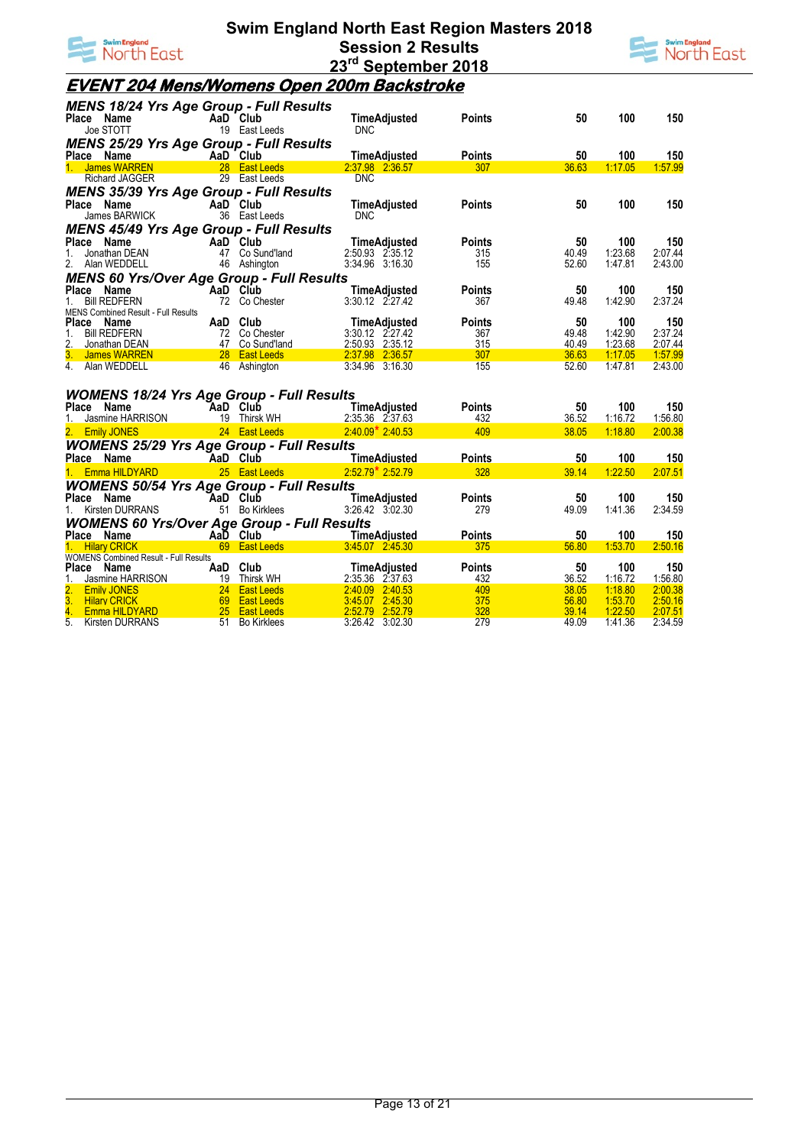



#### **EVENT 204 Mens/Womens Open 200m Backstroke**

| <b>MENS 18/24 Yrs Age Group - Full Results</b><br>Place Name      |          | AaD Club                                                 |                                        | <b>Points</b>        | 50             | 100                | 150                |
|-------------------------------------------------------------------|----------|----------------------------------------------------------|----------------------------------------|----------------------|----------------|--------------------|--------------------|
| <b>ce Name</b><br>Joe STOTT                                       |          | 19 East Leeds                                            | TimeAdjusted<br><b>DNC</b>             |                      |                |                    |                    |
| <b>MENS 25/29 Yrs Age Group - Full Results</b>                    |          |                                                          |                                        |                      |                |                    |                    |
| Place Name<br>1. James WARREN 28 East Leeds                       |          |                                                          | TimeAdjusted                           | <b>Points</b>        | 50             | 100                | 150                |
|                                                                   |          |                                                          | 2:37.98 2:36.57                        | 307                  | 36.63          | 1:17.05            | 1:57.99            |
| <b>Richard JAGGER</b>                                             |          | 29 East Leeds                                            | <b>DNC</b>                             |                      |                |                    |                    |
| <b>MENS 35/39 Yrs Age Group - Full Results</b>                    |          |                                                          |                                        |                      |                |                    |                    |
| Place<br>Name                                                     |          | AaD Club                                                 | TimeAdjusted                           | <b>Points</b>        | 50             | 100                | 150                |
| James BARWICK                                                     |          | 36 East Leeds                                            | <b>DNC</b>                             |                      |                |                    |                    |
| <b>MENS 45/49 Yrs Age Group - Full Results</b>                    |          |                                                          |                                        |                      |                |                    |                    |
| Place Name                                                        |          | AaD Club                                                 | TimeAdjusted                           | <b>Points</b>        | 50             | 100                | 150                |
| 1.<br>Jonathan DEAN<br>2. Alan WEDDELL                            |          | 47 Co Sund'land<br>46 Ashington                          | 2:50.93 2:35.12<br>3:34.96 3:16.30     | 315<br>155           | 40.49<br>52.60 | 1:23.68<br>1:47.81 | 2:07.44<br>2:43.00 |
|                                                                   |          |                                                          |                                        |                      |                |                    |                    |
| <b>MENS 60 Yrs/Over Age Group - Full Results</b><br>Name<br>Place |          |                                                          |                                        |                      | 50             | 100                |                    |
| <b>Bill REDFERN</b><br>1.                                         | AaD Club | 72 Co Chester                                            | <b>TimeAdjusted</b><br>3:30.12 2:27.42 | <b>Points</b><br>367 | 49.48          | 1:42.90            | 150<br>2:37.24     |
| MENS Combined Result - Full Results                               |          |                                                          |                                        |                      |                |                    |                    |
| Place Name                                                        |          | AaD Club                                                 | TimeAdjusted                           | <b>Points</b>        | 50             | 100                | 150                |
| <b>Bill REDFERN</b><br>1.                                         |          | 72 Co Chester                                            | 3:30.12 2:27.42                        | 367                  | 49.48          | 1:42.90            | 2:37.24            |
| 2.<br>Jonathan DEAN                                               |          | Enterposition 147 Co Sund'Iand<br>1999 - Casa Cast Leeds | 2:50.93 2:35.12                        | 315                  | 40.49          | 1:23.68            | 2:07.44            |
| 3. James WARREN                                                   |          |                                                          | 2.37.98 2.36.57                        | 307                  | 36.63          | 1:17.05            | 1:57.99            |
| 4. Alan WEDDELL                                                   |          | 46 Ashington                                             | 3:34.96 3:16.30                        | 155                  | 52.60          | 1:47.81            | 2:43.00            |
|                                                                   |          |                                                          |                                        |                      |                |                    |                    |
| <b>WOMENS 18/24 Yrs Age Group - Full Results</b>                  |          |                                                          |                                        |                      |                |                    |                    |
| Place Name                                                        |          | AaD Club                                                 | TimeAdjusted                           | <b>Points</b>        | 50             | 100                | 150                |
| Jasmine HARRISON<br>1.                                            |          | 19 Thirsk WH                                             | 2:35.36 2:37.63                        | 432                  | 36.52          | 1:16.72            | 1:56.80            |
| <b>Emily JONES</b>                                                |          | 24 East Leeds                                            | $2.40.09*2.40.53$                      | 409                  | 38.05          | 1:18.80            | 2:00.38            |
| <b>WOMENS 25/29 Yrs Age Group - Full Results</b>                  |          |                                                          |                                        |                      |                |                    |                    |
| Place Name                                                        | AaD Club |                                                          | TimeAdjusted                           | <b>Points</b>        | 50             | 100                | 150                |
| 1. Emma HILDYARD                                                  |          | 25 East Leeds                                            | $2:52.79$ $2:52.79$                    | 328                  | 39.14          | 1:22.50            | 2:07.51            |
| <b>WOMENS 50/54 Yrs Age Group - Full Results</b>                  |          |                                                          |                                        |                      |                |                    |                    |
| Place Name                                                        | AaD Club |                                                          | TimeAdjusted                           | <b>Points</b>        | 50             | 100                | 150                |
| 1. Kirsten DURRANS                                                |          | 51 Bo Kirklees                                           | 3:26.42 3:02.30                        | 279                  | 49.09          | 1:41.36            | 2:34.59            |
| <b>WOMENS 60 Yrs/Over Age Group - Full Results</b>                |          |                                                          |                                        |                      |                |                    |                    |
| Place Name                                                        |          | AaD Club<br>AaD Club<br>69 East Leads 3/45.07 2:45.20    |                                        | <b>Points</b>        | 50             | 100                | 150                |
| 1. Hilary CRICK                                                   |          | 69 East Leeds                                            | 3:45.07 2:45.30                        | 375                  | 56.80          | 1:53.70            | 2:50.16            |
| <b>WOMENS Combined Result - Full Results</b>                      |          |                                                          |                                        |                      |                |                    |                    |
| Place Name                                                        |          | AaD Club                                                 | TimeAdjusted                           | <b>Points</b>        | 50             | 100                | 150                |
| Jasmine HARRISON                                                  |          | RISON 19 Thirsk WH<br>24 East Leeds<br>RD 25 East Leeds  | 2:35.36 2:37.63<br>2:40.09 2:40.53     | 432<br>409           | 36.52          | 1:16.72<br>1:18.80 | 1:56.80<br>2:00.38 |
| <b>Emily JONES</b>                                                |          |                                                          | 3:45.07 2:45.30                        | 375                  | 38.05<br>56.80 | 1:53.70            | 2:50.16            |
| 3. Hilary CRICK<br>4. Emma HILDYARD                               |          |                                                          | 2:52.79 2:52.79                        | 328                  | 39.14          | 1:22.50            | 2:07.51            |
| 5.<br><b>Kirsten DURRANS</b>                                      |          | 51 Bo Kirklees                                           | 3:26.42 3:02.30                        | 279                  | 49.09          | 1:41.36            | 2:34.59            |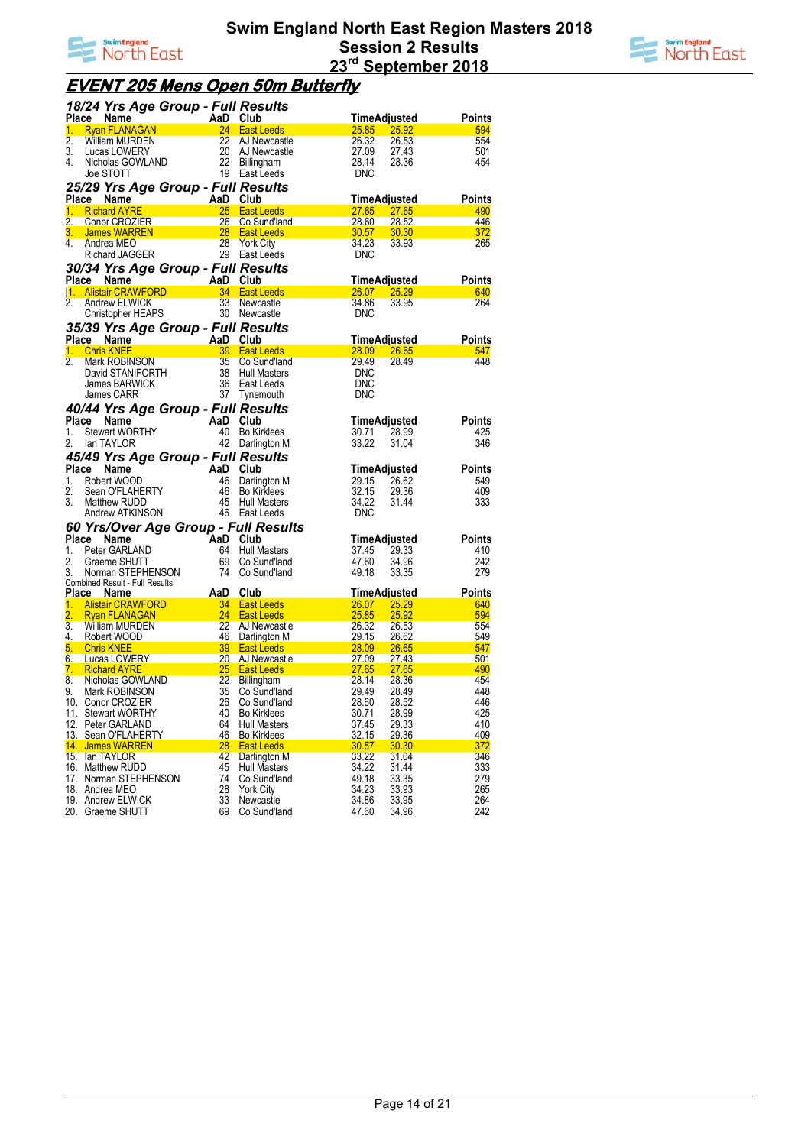



## **EVENT 205 Mens Open 50m Butterfly**

|                  | 18/24 Yrs Age Group - Full Results           |                       |                                           |                       |                       |               |
|------------------|----------------------------------------------|-----------------------|-------------------------------------------|-----------------------|-----------------------|---------------|
|                  | Place Name                                   | AaD Club              |                                           |                       | TimeAdjusted          | Points        |
| 1.               | <b>Ryan FLANAGAN</b>                         |                       | 24 East Leeds                             | 25.85                 | 25.92                 | 594           |
| 2.               | William MURDEN                               | 22                    | AJ Newcastle                              | 26.32                 | 26.53                 | 554           |
| 3.               | Lucas LOWERY                                 | 20                    | AJ Newcastle                              | 27.09                 | 27.43                 | 501           |
| 4.               | Nicholas GOWLAND                             | 22                    | Billingham                                | 28.14<br><b>DNC</b>   | 28.36                 | 454           |
|                  | Joe STOTT                                    |                       | 19 East Leeds                             |                       |                       |               |
|                  | 25/29 Yrs Age Group - Full Results           |                       |                                           |                       |                       |               |
|                  | <b>Place</b><br>Name                         | AaD Club              |                                           |                       | TimeAdjusted          | <b>Points</b> |
| 1.               | <b>Richard AYRE</b><br>2. Conor CROZIER      | <b>25</b><br>26       | <b>East Leeds</b><br>Co Sund'Iand         | <b>27.65</b><br>28.60 | <b>27.65</b><br>28.52 | 490<br>446    |
|                  | 3. James WARREN                              | $\sim$ 28             | <b>East Leeds</b>                         | 30.57 30.30           |                       | 372           |
| 4.               | Andrea MEO                                   | 28                    | <b>York City</b>                          | 34.23                 | 33.93                 | 265           |
|                  | Richard JAGGER                               |                       | 29 East Leeds                             | <b>DNC</b>            |                       |               |
|                  | 30/34 Yrs Age Group - Full Results           |                       |                                           |                       |                       |               |
|                  |                                              | AaD Club              |                                           |                       | <u>TimeAdjusted</u>   | Points        |
|                  | Place Name A<br><u> 1. Alistair CRAWFORD</u> |                       | 34 East Leeds                             | 26.07                 | <b>25.29</b>          | 640           |
| $\overline{2}$ . | Andrew ELWICK                                | 33 <sup>2</sup>       | Newcastle                                 | 34.86                 | 33.95                 | 264           |
|                  | Christopher HEAPS                            |                       | 30 Newcastle                              | <b>DNC</b>            |                       |               |
|                  | 35/39 Yrs Age Group - Full Results           |                       |                                           |                       |                       |               |
|                  | Place Name                                   | AaD Club<br>39 East L |                                           |                       | <u>TimeAdiusted</u>   | <b>Points</b> |
| 1.               | <b>Chris KNEE</b>                            |                       | 39 East Leeds                             | 28.09                 | 26.65                 | 547           |
| 2.               | Mark ROBINSON                                | 35                    | Co Sund'land                              | 29.49                 | 28.49                 | 448           |
|                  | David STANIFORTH                             | 38                    | <b>Hull Masters</b>                       | <b>DNC</b>            |                       |               |
|                  | James BARWICK                                | 36                    | East Leeds                                | <b>DNC</b>            |                       |               |
|                  | James CARR                                   | 37                    | Tynemouth                                 | <b>DNC</b>            |                       |               |
|                  | 40/44 Yrs Age Group - Full Results           |                       |                                           |                       |                       |               |
| Place            | Name                                         | AaD Club              |                                           |                       | TimeAdjusted          | Points        |
| 1.               | <b>Stewart WORTHY</b>                        |                       | 40 Bo Kirklees                            | 30.71                 | 28.99                 | 425           |
| 2.               | lan TAYLOR                                   |                       | 42 Darlington M                           | 33.22                 | 31.04                 | 346           |
|                  | 45/49 Yrs Age Group - Full Results           |                       |                                           |                       |                       |               |
| Place            | Name                                         | AaD Club              |                                           |                       | TimeAdjusted          | Points        |
| 1.<br>2.         | Robert WOOD<br>Sean O'FLAHERTY               | 46<br>46              | Darlington M                              | 29.15<br>32.15        | 26.62<br>29.36        | 549<br>409    |
| 3.               | Matthew RUDD                                 | 45                    | <b>Bo Kirklees</b><br>Hull Masters        | 34.22                 | 31.44                 | 333           |
|                  | Andrew ATKINSON                              | 46                    | East Leeds                                | <b>DNC</b>            |                       |               |
|                  | 60 Yrs/Over Age Group - Full Results         |                       |                                           |                       |                       |               |
|                  | Place<br>Name                                | AaD                   | Club                                      |                       | TimeAdjusted          | Points        |
| 1.               | Peter GARLAND                                | 64                    | Hull Masters                              | 37.45                 | 29.33                 | 410           |
| 2.               | Graeme SHUTT                                 |                       | 69 Co Sund'land                           | 47.60                 | 34.96                 | 242           |
| 3.               | Norman STEPHENSON                            | 74                    | Co Sund'Iand                              | 49.18                 | 33.35                 | 279           |
|                  | Combined Result - Full Results               |                       |                                           |                       |                       |               |
| Place            | <b>Name</b>                                  | AaD                   | Club                                      |                       | TimeAdjusted          | <b>Points</b> |
| 1.               | <b>Alistair CRAWFORD</b>                     | 34                    | <b>East Leeds</b>                         | <b>26.07</b>          | <u>25.29</u>          | 640           |
| 2.<br>3.         | <b>Ryan FLANAGAN</b><br>William MURDEN       | 24<br>22              | <b>East Leeds</b><br>AJ Newcastle         | 25.85<br>26.32        | 25.92<br>26.53        | 594<br>554    |
| 4.               | Robert WOOD                                  | 46                    | Darlington M                              | <u>29.15</u>          | 26.62                 | 549           |
| 5.               | <b>Chris KNEE</b>                            | 39 <sup>°</sup>       | <b>East Leeds</b>                         | <b>28.09</b>          | <b>26.65</b>          | 547           |
|                  | 6. Lucas LOWERY                              | 20                    | AJ Newcastle                              | <u>27.09</u>          | 27.43                 | 501           |
| 7.               | <b>Richard AYRE</b>                          | 25                    | <b>East Leeds</b>                         | 27.65                 | <b>27.65</b>          | 490           |
| 8.               | Nicholas GOWLAND                             | 22                    | Billingham                                | 28.14                 | 28.36                 | 454           |
| 9.               | Mark ROBINSON                                | 35                    | Co Sund'land                              | 29.49                 | 28.49                 | 448           |
|                  | 10. Conor CROZIER                            | 26                    | Co Sund'land                              | 28.60                 | 28.52                 | 446           |
|                  | 11. Stewart WORTHY<br>12. Peter GARLAND      | 40<br>64              | <b>Bo Kirklees</b><br><b>Hull Masters</b> | 30.71<br>37.45        | 28.99<br>29.33        | 425<br>410    |
|                  | 13. Sean O'FLAHERTY                          | 46                    | <b>Bo Kirklees</b>                        | 32.15                 | 29.36                 | 409           |
|                  | 14. James WARREN                             | 28                    | <b>East Leeds</b>                         | 30.57                 | 30.30                 | 372           |
|                  | 15. Ian TAYLOR                               | 42                    | Darlington M                              | 33.22                 | 31.04                 | 346           |
|                  | 16. Matthew RUDD                             | 45                    | Hull Masters                              | 34.22                 | 31.44                 | 333           |
|                  | 17. Norman STEPHENSON                        | 74                    | Co Sund'land                              | 49.18                 | 33.35                 | 279           |
|                  | 18. Andrea MEO                               | 28                    | <b>York City</b>                          | 34.23                 | 33.93                 | 265           |
|                  | 19. Andrew ELWICK                            | 33                    | Newcastle                                 | 34.86                 | 33.95                 | 264           |
|                  | 20. Graeme SHUTT                             | 69                    | Co Sund'land                              | 47.60                 | 34.96                 | 242           |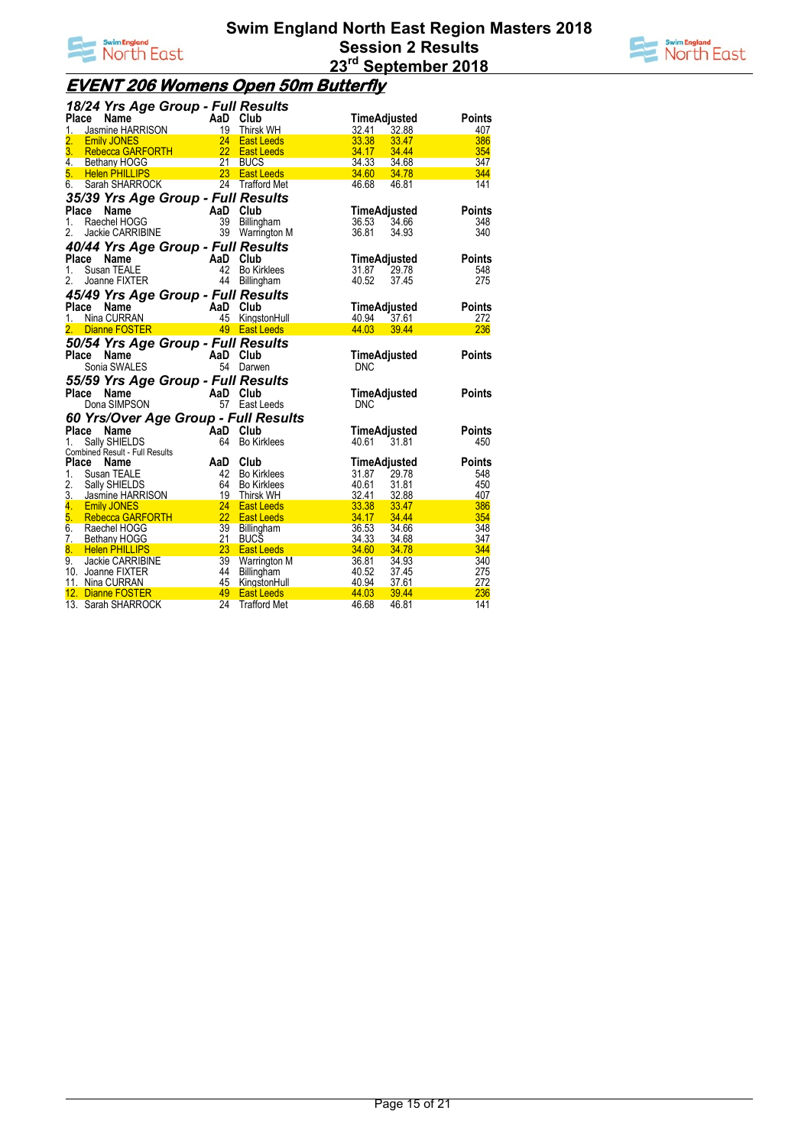



# **EVENT 206 Womens Open 50m Butterfly**

| 18/24 Yrs Age Group - Full Results                                        |                                   |                                       |                                  |               |
|---------------------------------------------------------------------------|-----------------------------------|---------------------------------------|----------------------------------|---------------|
| Place<br>Ce Name<br>Jasmine HARRISON<br>Emily JONES<br>24 East Leeds      |                                   |                                       | TimeAdjusted                     | <b>Points</b> |
| 1.                                                                        |                                   |                                       | 32.41<br>32.88                   | 407           |
| 2.                                                                        |                                   |                                       | 33.38<br>33.47                   | 386           |
| 3.<br>Rebecca GARFORTH 22                                                 |                                   | <b>East Leeds</b>                     | 34.17<br>34.44                   | 354           |
| 4.<br>Bethany HOGG                                                        | 21                                | <b>BUCS</b>                           | 34.33<br>34.68                   | 347           |
| 23<br>5.<br><b>Helen PHILLIPS</b>                                         |                                   | <b>East Leeds</b>                     | 34.60 34.78                      | 344           |
| 6.<br>Sarah SHARROCK                                                      |                                   | 24 Trafford Met                       | 46.68<br>46.81                   | 141           |
| 35/39 Yrs Age Group - Full Results                                        |                                   |                                       |                                  |               |
| Place<br>Name                                                             |                                   | AaD Club                              | TimeAdjusted                     | <b>Points</b> |
| 1.<br>Raechel HOGG                                                        |                                   | 39 Billingham                         | 34.66<br>36.53                   | 348           |
| Jackie CARRIBINE<br>2.                                                    |                                   | 39 Warrington M                       | 36.81<br>34.93                   | 340           |
| 40/44 Yrs Age Group - Full Results                                        |                                   |                                       |                                  |               |
| Place<br>Name                                                             | AaD Club                          |                                       | TimeAdjusted                     | <b>Points</b> |
| $1_{-}$<br>Susan TEALE                                                    |                                   | Bo Kirklees                           | 31.87<br>29.78                   | 548           |
| 2.<br>Joanne FIXTER                                                       | 44                                | Billingham                            | 40.52<br>37.45                   | 275           |
| 45/49 Yrs Age Group - Full Results                                        |                                   |                                       |                                  |               |
| Place<br>Name                                                             |                                   | AaD Club                              | TimeAdjusted                     | <b>Points</b> |
| 1. Nina CURRAN                                                            |                                   | AaD Club<br>A5 KingstonHull           | 40.94 37.61                      | 272           |
| Dianne FOSTER 49 East Leeds<br>2.                                         |                                   |                                       | 44.03<br>39.44                   | 236           |
|                                                                           |                                   |                                       |                                  |               |
| 50/54 Yrs Age Group - Full Results<br>Place<br>Name                       |                                   | AaD Club                              |                                  |               |
| Sonia SWALES                                                              |                                   | 54 Darwen                             | TimeAdjusted<br><b>DNC</b>       | <b>Points</b> |
|                                                                           |                                   |                                       |                                  |               |
| 55/59 Yrs Age Group - Full Results                                        |                                   |                                       |                                  |               |
| $A \underset{F7}{\text{AD}} \underset{F24}{\text{Club}}$<br>Name<br>Place |                                   |                                       | <b>TimeAdjusted</b>              | <b>Points</b> |
| Dona SIMPSON                                                              |                                   | 57 East Leeds                         | <b>DNC</b>                       |               |
| 60 Yrs/Over Age Group - Full Results                                      |                                   |                                       |                                  |               |
| Place<br>Name                                                             | AaD Club                          |                                       | TimeAdjusted                     | <b>Points</b> |
| Sally SHIELDS<br>1.                                                       |                                   | 64 Bo Kirklees                        | 40.61<br>31.81                   | 450           |
| Combined Result - Full Results                                            |                                   |                                       |                                  |               |
| Place<br>Name                                                             | AaD                               | Club                                  | TimeAdjusted                     | <b>Points</b> |
| 1.<br>Susan TEALE                                                         | 42                                | Bo Kirklees                           | 31.87<br>29.78                   | 548           |
| 2.<br>Sally SHIELDS<br>3. Jasmine HARRISON                                | 64<br>19                          | Bo Kirklees                           | 40.61<br>31.81                   | 450           |
| 4. Emily JONES                                                            | 24                                | <b>Thirsk WH</b><br><b>East Leeds</b> | 32.41<br>32.88<br>33.38<br>33.47 | 407<br>386    |
| 5.<br><b>Rebecca GARFORTH</b>                                             |                                   | <b>East Leeds</b>                     | 34.17<br>34.44                   | 354           |
| 6.<br>Raechel HOGG                                                        | $\overline{\phantom{a}}$ 22<br>39 | Billingham                            | 36.53<br>34.66                   | 348           |
| 7. Bethany HOGG                                                           | 21                                | <b>BUCS</b>                           | 34.33<br>34.68                   | 347           |
| 8.<br><b>Helen PHILLIPS</b>                                               | 23                                | <b>East Leeds</b>                     | 34.60<br>34.78                   | 344           |
| 9.<br>Jackie CARRIBINE                                                    | 39                                | Warrington M                          | 36.81<br>34.93                   | 340           |
| 10. Joanne FIXTER                                                         | 44                                | Billingham                            | 40.52<br>37.45                   | 275           |
| 11. Nina CURRAN                                                           | 45                                | KingstonHull                          | 40.94<br>37.61                   | 272           |
| 12. Dianne FOSTER                                                         | 49                                | <b>East Leeds</b>                     | 44.03<br>39.44                   | 236           |
| 13. Sarah SHARROCK                                                        | 24                                | <b>Trafford Met</b>                   | 46.68<br>46.81                   | 141           |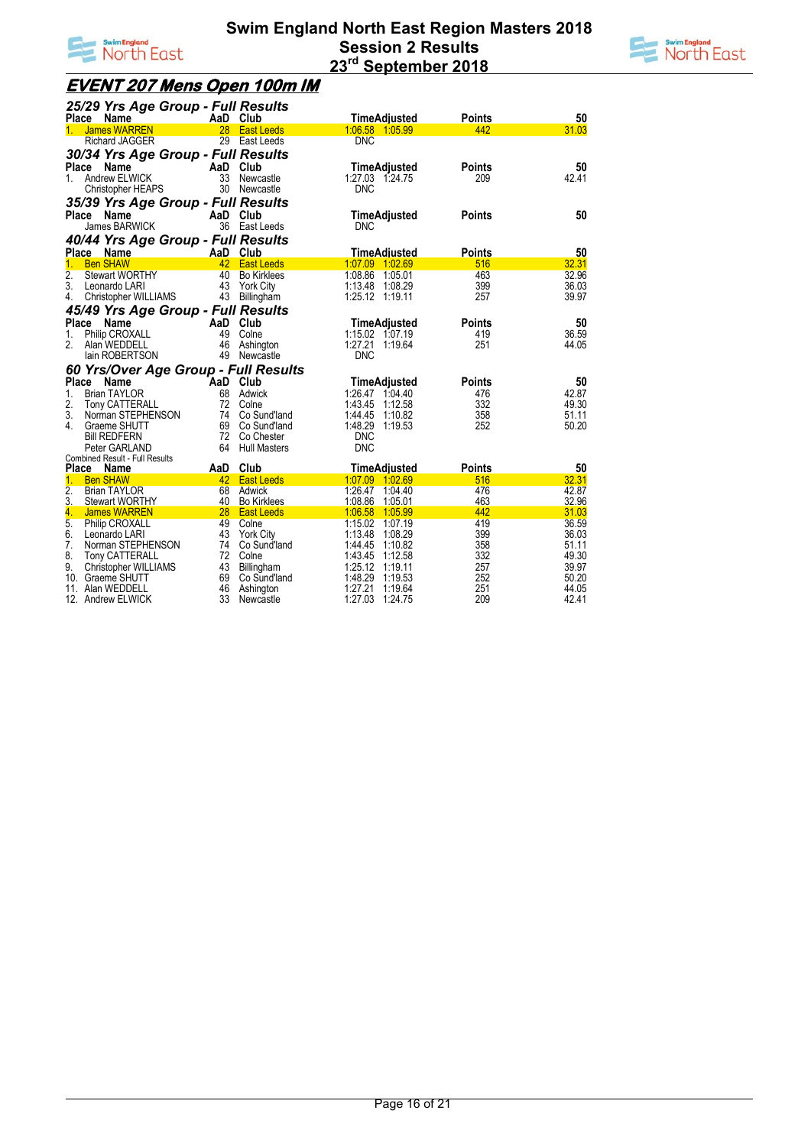



## **EVENT 207 Mens Open 100m IM**

|                  | 25/29 Yrs Age Group - Full Results    |          |                     |                     |               |       |
|------------------|---------------------------------------|----------|---------------------|---------------------|---------------|-------|
|                  | Place Name                            |          | AaD Club            | <b>TimeAdjusted</b> | <b>Points</b> | 50    |
| $\mathbf{1}$     | <b>James WARREN</b>                   | 28       | <b>East Leeds</b>   | 1:06.58 1:05.99     | 442           | 31.03 |
|                  | Richard JAGGER                        |          | 29 East Leeds       | <b>DNC</b>          |               |       |
|                  | 30/34 Yrs Age Group - Full Results    |          |                     |                     |               |       |
|                  | Place Name                            |          | AaD Club            | <b>TimeAdjusted</b> | <b>Points</b> | 50    |
| 1.               | Andrew ELWICK                         |          | 33 Newcastle        | 1:27.03 1:24.75     | 209           | 42.41 |
|                  | <b>Christopher HEAPS</b>              |          | 30 Newcastle        | <b>DNC</b>          |               |       |
|                  |                                       |          |                     |                     |               |       |
|                  | 35/39 Yrs Age Group - Full Results    |          |                     |                     |               |       |
|                  | Place Name                            |          | AaD Club            | TimeAdjusted        | <b>Points</b> | 50    |
|                  | <b>James BARWICK</b>                  |          | 36 East Leeds       | <b>DNC</b>          |               |       |
|                  | 40/44 Yrs Age Group - Full Results    |          |                     |                     |               |       |
|                  | Place Name                            |          | AaD Club            | <b>TimeAdjusted</b> | <b>Points</b> | 50    |
| 1.               | <b>Ben SHAW</b>                       |          | 42 East Leeds       | 1:07.09 1:02.69     | 516           | 32.31 |
| 2.               | <b>Stewart WORTHY</b>                 | 40       | <b>Bo Kirklees</b>  | 1:08.86 1:05.01     | 463           | 32.96 |
| 3.               | Leonardo LARI                         | 43       | York City           | 1:13.48 1:08.29     | 399           | 36.03 |
| 4.               | Christopher WILLIAMS                  |          | 43 Billingham       | 1:25.12 1:19.11     | 257           | 39.97 |
|                  | 45/49 Yrs Age Group - Full Results    |          |                     |                     |               |       |
|                  | Place Name                            |          | AaD Club            | TimeAdjusted        | Points        | 50    |
| 1.               | Philip CROXALL                        | 49       | Colne               | 1:15.02 1:07.19     | 419           | 36.59 |
| 2.               | Alan WEDDELL                          |          | 46 Ashington        | 1:27.21 1:19.64     | 251           | 44.05 |
|                  | lain ROBERTSON                        |          | 49 Newcastle        | <b>DNC</b>          |               |       |
|                  | 60 Yrs/Over Age Group - Full Results  |          |                     |                     |               |       |
| <b>Place</b>     | Name                                  | AaD Club |                     | TimeAdjusted        | <b>Points</b> | 50    |
| 1.               | <b>Brian TAYLOR</b>                   |          | 68 Adwick           | 1:26.47 1:04.40     | 476           | 42.87 |
| 2.               | Tony CATTERALL                        |          | 72 Colne            | 1:43.45 1:12.58     | 332           | 49.30 |
| 3.               | Norman STEPHENSON                     |          | 74 Co Sund'land     | 1:44.45 1:10.82     | 358           | 51.11 |
| 4.               | Graeme SHUTT                          |          | 69 Co Sund'land     | 1:48.29 1:19.53     | 252           | 50.20 |
|                  | <b>Bill REDFERN</b>                   |          | 72 Co Chester       | <b>DNC</b>          |               |       |
|                  | Peter GARLAND                         | 64       | <b>Hull Masters</b> | <b>DNC</b>          |               |       |
|                  | <b>Combined Result - Full Results</b> |          |                     |                     |               |       |
|                  | Place Name                            |          | AaD Club            | <b>TimeAdjusted</b> | <b>Points</b> | 50    |
| 1.               | <b>Ben SHAW</b>                       |          | 42 East Leeds       | 1.07.09 1.02.69     | 516           | 32.31 |
| $\overline{2}$ . | <b>Brian TAYLOR</b>                   |          | 68 Adwick           | 1:26.47 1:04.40     | 476           | 42.87 |
| 3.               | <b>Stewart WORTHY</b>                 |          | 40 Bo Kirklees      | 1:08.86 1:05.01     | 463           | 32.96 |
| 4.               | James WARREN                          |          | 28 East Leeds       | 1:06.58 1:05.99     | 442           | 31.03 |
| 5.               | <b>Philip CROXALL</b>                 |          | 49 Colne            | 1:15.02 1:07.19     | 419           | 36.59 |
| 6.               | Leonardo LARI                         |          | 43 York City        | 1:13.48 1:08.29     | 399           | 36.03 |
| 7.               | Norman STEPHENSON                     |          | 74 Co Sund'land     | 1:44.45 1:10.82     | 358           | 51.11 |
| 8.               | Tony CATTERALL                        |          | 72 Colne            | 1:43.45 1:12.58     | 332           | 49.30 |
| 9.               | Christopher WILLIAMS                  | 43       | Billingham          | 1:25.12 1:19.11     | 257           | 39.97 |
|                  | 10. Graeme SHUTT                      | 69       | Co Sund'land        | 1:48.29<br>1:19.53  | 252           | 50.20 |
|                  | 11. Alan WEDDELL                      | 46       | Ashington           | 1:27.21<br>1:19.64  | 251           | 44.05 |
|                  | 12. Andrew ELWICK                     | 33       | Newcastle           | 1:27.03 1:24.75     | 209           | 42.41 |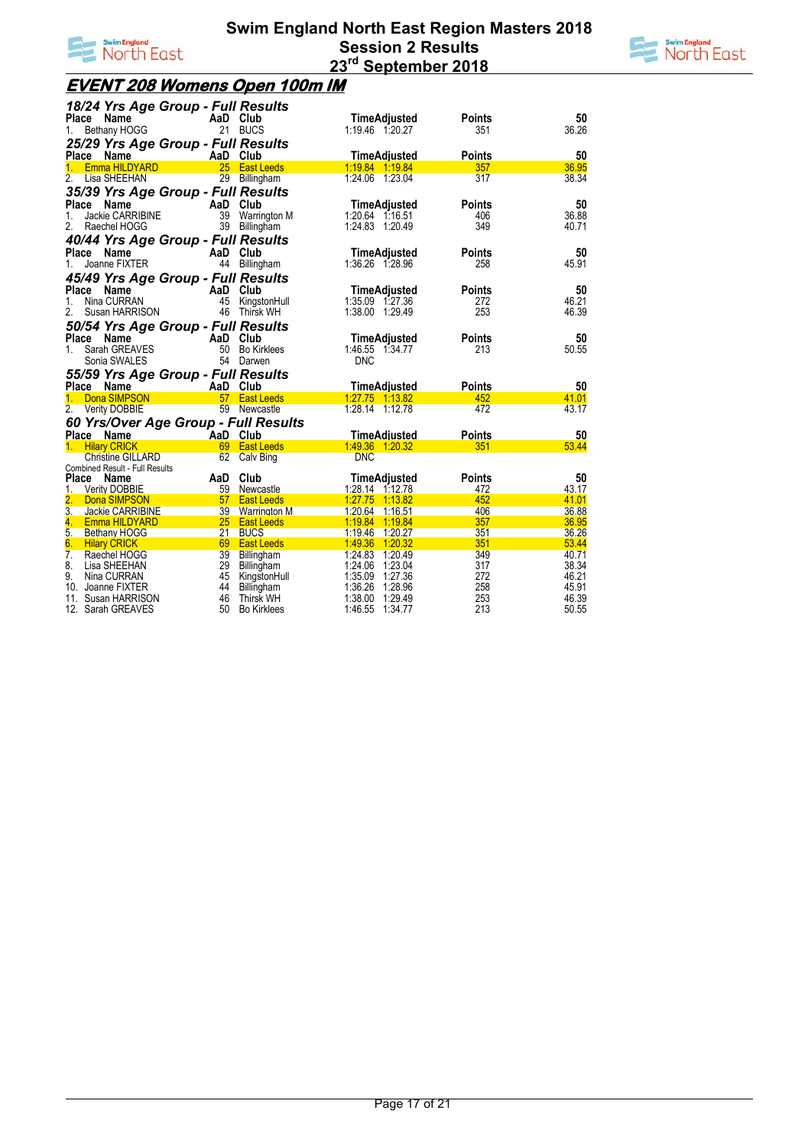



## **EVENT 208 Womens Open 100m IM**

| 18/24 Yrs Age Group - Full Results            |                 |                     |                                 |                      |             |
|-----------------------------------------------|-----------------|---------------------|---------------------------------|----------------------|-------------|
| Place<br>Name<br>Bethany HOGG<br>1.           |                 | AaD Club<br>21 BUCS | TimeAdjusted<br>1:19.46 1:20.27 | <b>Points</b><br>351 | 50<br>36.26 |
| 25/29 Yrs Age Group - Full Results            |                 |                     |                                 |                      |             |
| Place Name                                    | AaD Club        |                     | TimeAdjusted                    | <b>Points</b>        | 50          |
| Emma HILDYARD<br>1.                           |                 | 25 East Leeds       | 1.19.84 1.19.84                 | 357                  | 36.95       |
| $\overline{2}$ .<br>Lisa SHEEHAN              |                 | 29 Billingham       | 1:24.06 1:23.04                 | 317                  | 38.34       |
| 35/39 Yrs Age Group - Full Results            |                 |                     |                                 |                      |             |
| Place<br>Name                                 | AaD Club        |                     | TimeAdjusted                    | <b>Points</b>        | 50          |
| Jackie CARRIBINE<br>1.                        | 39              | <b>Warrington M</b> | 1:20.64 1:16.51                 | 406                  | 36.88       |
| 2.<br>Raechel HOGG                            | 39              | Billingham          | 1:24.83 1:20.49                 | 349                  | 40.71       |
| 40/44 Yrs Age Group - Full Results            |                 |                     |                                 |                      |             |
| Place<br><b>Name</b>                          | AaD Club        |                     | <b>TimeAdjusted</b>             | <b>Points</b>        | 50          |
| Joanne FIXTER<br>1.                           | 44              | Billingham          | 1:36.26 1:28.96                 | 258                  | 45.91       |
| 45/49 Yrs Age Group - Full Results            |                 |                     |                                 |                      |             |
| Place<br>Name                                 | AaD             | Club                | TimeAdjusted                    | <b>Points</b>        | 50          |
| Nina CURRAN<br>1.                             | 45              | KingstonHull        | 1:35.09 1:27.36                 | 272                  | 46.21       |
| 2.<br>Susan HARRISON                          | 46              | Thirsk WH           | 1:38.00 1:29.49                 | 253                  | 46.39       |
| 50/54 Yrs Age Group - Full Results            |                 |                     |                                 |                      |             |
| Place<br>Name                                 | AaD             | Club                | <b>TimeAdjusted</b>             | <b>Points</b>        | 50          |
| Sarah GREAVES<br>1.                           | 50              | <b>Bo Kirklees</b>  | 1:46.55 1:34.77                 | 213                  | 50.55       |
| Sonia SWALES                                  |                 | 54 Darwen           | <b>DNC</b>                      |                      |             |
|                                               |                 |                     |                                 |                      |             |
| 55/59 Yrs Age Group - Full Results            |                 |                     |                                 |                      |             |
| Place Name<br><b>Dona SIMPSON</b><br>1.       | AaD Club        | 57 East Leeds       | TimeAdiusted<br>1.27.75 1.13.82 | <b>Points</b><br>452 | 50<br>41.01 |
| 2. Verity DOBBIE                              |                 | 59 Newcastle        | 1:28.14 1:12.78                 | 472                  | 43.17       |
|                                               |                 |                     |                                 |                      |             |
| 60 Yrs/Over Age Group - Full Results<br>Place | AaD Club        |                     |                                 | <b>Points</b>        | 50          |
| Name<br><b>Hilary CRICK</b><br>$\mathbf{1}$   |                 | 69 East Leeds       | TimeAdjusted<br>1.49.36 1.20.32 | 351                  | 53.44       |
| <b>Christine GILLARD</b>                      | 62              | Calv Bing           | <b>DNC</b>                      |                      |             |
| <b>Combined Result - Full Results</b>         |                 |                     |                                 |                      |             |
| Place Name                                    | AaD             | Club                | TimeAdjusted                    | <b>Points</b>        | 50          |
| 1.<br><b>Verity DOBBIE</b>                    | 59              | Newcastle           | 1:28.14 1:12.78                 | 472                  | 43.17       |
| Dona SIMPSON                                  |                 | 57 East Leeds       | 1:27.75 1:13.82                 | 452                  | 41.01       |
| $\overline{3}$ .<br>Jackie CARRIBINE          | 39 <sup>2</sup> | <b>Warrington M</b> | 1:20.64<br>1:16.51              | 406                  | 36.88       |
| 4.<br><b>Emma HILDYARD</b>                    |                 | 25 East Leeds       | 1:19.84<br>1:19.84              | 357                  | 36.95       |
| 5.<br><b>Bethany HOGG</b>                     | 21              | <b>BUCS</b>         | 1:19.46<br>1:20.27              | 351                  | 36.26       |
| 6.<br><b>Hilary CRICK</b>                     | 69              | <b>East Leeds</b>   | 1:49.36<br>1:20.32              | 351                  | 53.44       |
| $\overline{7}$ .<br>Raechel HOGG              | 39              | Billingham          | 1:24.83<br>1:20.49              | 349                  | 40.71       |
| 8.<br>Lisa SHEEHAN                            | 29              | Billingham          | 1:24.06<br>1:23.04              | 317                  | 38.34       |
| 9.<br>Nina CURRAN                             | 45              | KingstonHull        | 1:35.09<br>1:27.36              | 272                  | 46.21       |
| 10. Joanne FIXTER                             | 44              | Billingham          | 1:36.26<br>1:28.96              | 258                  | 45.91       |
| 11.<br>Susan HARRISON                         | 46              | <b>Thirsk WH</b>    | 1:38.00<br>1.29.49              | 253<br>213           | 46.39       |
| 12. Sarah GREAVES                             | 50              | <b>Bo Kirklees</b>  | 1:46.55<br>1:34.77              |                      | 50.55       |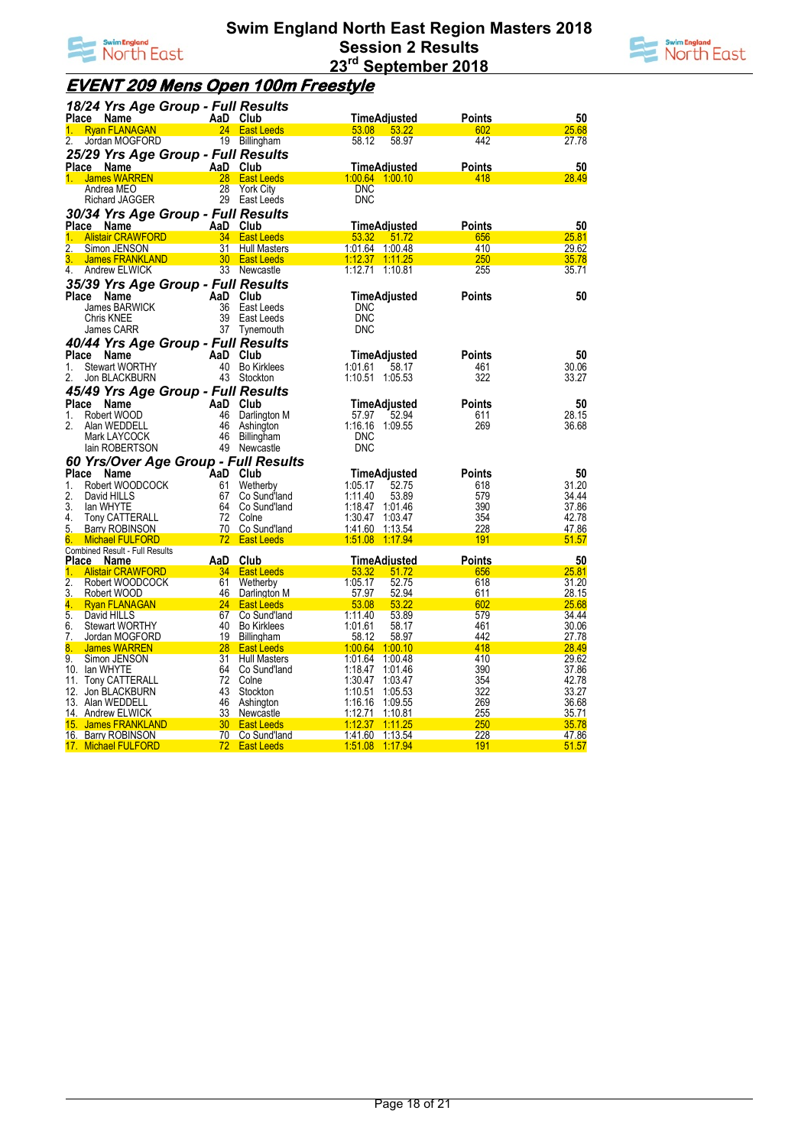



## **EVENT 209 Mens Open 100m Freestyle**

|                  | 18/24 Yrs Age Group - Full Results               |                       |                                      |                                             |               |                |
|------------------|--------------------------------------------------|-----------------------|--------------------------------------|---------------------------------------------|---------------|----------------|
|                  | Place Name                                       |                       | AaD Club                             | TimeAdiusted                                | Points        | 50             |
| 1.               | <b>Ryan FLANAGAN</b>                             |                       | 24 East Leeds                        | 53.08<br>53.22                              | 602           | 25.68          |
| 2.               | Jordan MOGFORD                                   |                       | 19 Billingham                        | 58.12<br>58.97                              | 442           | 27.78          |
|                  | 25/29 Yrs Age Group - Full Results               |                       |                                      |                                             |               |                |
|                  | Place Name                                       |                       | AaD Club                             | TimeAdjusted                                | Points        | 50             |
|                  | <b>James WARREN</b>                              |                       | 28 East Leeds                        | <u>1.00.64 1.00.10</u>                      | 418           | 28.49          |
|                  | Andrea MEO                                       | 28                    | <b>York City</b>                     | <b>DNC</b>                                  |               |                |
|                  | Richard JAGGER                                   |                       | 29 East Leeds                        | <b>DNC</b>                                  |               |                |
|                  | 30/34 Yrs Age Group - Full Results               |                       |                                      |                                             |               |                |
|                  | Place Name                                       |                       | AaD Club                             | TimeAdiusted                                | <b>Points</b> | 50             |
|                  | <b>Alistair CRAWFORD</b>                         |                       | 34 East Leeds                        | 53.32<br>51.72                              | 656           | 25.81          |
| $\overline{2}$ . | Simon JENSON                                     | 31                    | <b>Hull Masters</b>                  | 1:01.64<br>1:00.48                          | 410           | 29.62          |
| 3.<br>4.         | <b>James FRANKLAND</b>                           |                       | 30 East Leeds<br>33 Newcastle        |                                             | 250           | <u>35.78</u>   |
|                  | Andrew ELWICK                                    |                       |                                      |                                             | 255           | 35.71          |
|                  | 35/39 Yrs Age Group - Full Results               |                       |                                      |                                             |               |                |
| <b>Place</b>     | Name                                             |                       | AaD Club                             | TimeAdjusted                                | Points        | 50             |
|                  | James BARWICK                                    | 36<br>39              | East Leeds                           | <b>DNC</b>                                  |               |                |
|                  | Chris KNEE<br>James CARR                         | 37                    | East Leeds<br>Tynemouth              | <b>DNC</b><br><b>DNC</b>                    |               |                |
|                  |                                                  |                       |                                      |                                             |               |                |
|                  | 40/44 Yrs Age Group - Full Results               |                       |                                      |                                             |               |                |
| 1.               | Place Name<br><b>Stewart WORTHY</b>              |                       | AaD Club<br>40 Bo Kirklees           | TimeAdjusted<br>1:01.61                     | Points<br>461 | 50<br>30.06    |
| 2.               | Jon BLACKBURN                                    |                       | 43 Stockton                          | 58.17<br>1:10.51 1:05.53                    | 322           | 33.27          |
|                  |                                                  |                       |                                      |                                             |               |                |
|                  | 45/49 Yrs Age Group - Full Results               |                       |                                      |                                             |               |                |
| Place            | Name<br>Robert WOOD                              |                       | AaD Club                             | TimeAdjusted                                | Points        | 50             |
| 1.<br>2.         | Alan WEDDELL                                     | 46<br>46              | Darlington M                         | 57.97<br>52.94<br>1:16.16 1:09.55           | 611<br>269    | 28.15<br>36.68 |
|                  |                                                  | 46                    | Ashington<br>Billingham              |                                             |               |                |
|                  |                                                  |                       |                                      |                                             |               |                |
|                  | Mark LAYCOCK                                     |                       |                                      | <b>DNC</b>                                  |               |                |
|                  | lain ROBERTSON                                   | 49                    | Newcastle                            | <b>DNC</b>                                  |               |                |
|                  | 60 Yrs/Over Age Group - Full Results             |                       |                                      |                                             |               |                |
| Place            | Name                                             |                       | AaD Club                             | TimeAdjusted                                | Points        | 50             |
| 1.               | Robert WOODCOCK                                  | 61                    | Wetherby                             | 1:05.17<br>52.75                            | 618           | 31.20          |
| 2.<br>3.         | David HILLS<br>lan WHYTE                         | 67                    | Co Sund'land<br>64 Co Sund'land      | 1:11.40<br>53.89<br>1:18.47<br>1.01.46      | 579<br>390    | 34.44<br>37.86 |
| 4.               | <b>Tony CATTERALL</b>                            | 72                    | Colne                                | 1:30.47<br>1:03.47                          | 354           | 42.78          |
| 5.               | <b>Barry ROBINSON</b>                            | 70                    | Co Sund'land                         | 1:41.60<br>1:13.54                          | 228           | 47.86          |
| 6.               | <b>Michael FULFORD</b>                           | 72 <sub>2</sub>       | <b>East Leeds</b>                    | 1:51.08 1:17.94                             | 191           | 51.57          |
|                  | <b>Combined Result - Full Results</b>            |                       |                                      |                                             |               |                |
| Place            | <b>Name</b>                                      |                       | AaD Club                             | TimeAdjusted                                | <b>Points</b> | 50             |
| 1.               | <b>Alistair CRAWFORD</b>                         | 34                    | <b>East Leeds</b>                    | 53.32<br>51.72                              | 656           | 25.81          |
| $\overline{2}$ . | Robert WOODCOCK                                  | 61                    | Wetherby                             | 1:05.17<br>52.75                            | 618           | 31.20          |
| 3.               | Robert WOOD                                      | 46                    | Darlington M                         | 57.97<br>52.94                              | 611           | 28.15          |
| 4.<br>5.         | <b>Ryan FLANAGAN</b><br>David HILLS              | 24<br>67              | <b>East Leeds</b><br>Co Sund'land    | 53.08<br>53.22<br>1:11.40<br>53.89          | 602<br>579    | 25.68<br>34.44 |
| 6.               | <b>Stewart WORTHY</b>                            | 40                    | <b>Bo Kirklees</b>                   | 1:01.61<br>58.17                            | 461           | 30.06          |
| 7.               | Jordan MOGFORD                                   | 19                    | Billingham                           | 58.12<br>58.97                              | 442           | 27.78          |
| 8.               | <b>James WARREN</b>                              | 28                    | <b>East Leeds</b>                    | 1:00.64 1:00.10                             | 418           | <u>28.49</u>   |
| 9.               | Simon JENSON                                     | 31                    | <b>Hull Masters</b>                  | 1:01.64<br>1:00.48                          | 410           | 29.62          |
|                  | 10. Ian WHYTE                                    | 64                    | Co Sund'land                         | 1:18.47<br>1:01.46                          | 390           | 37.86          |
|                  | 11. Tony CATTERALL                               | 72                    | Colne                                | 1:30.47<br>1:03.47                          | 354           | 42.78          |
|                  | 12. Jon BLACKBURN                                | 43                    | Stockton                             | 1:10.51<br>1:05.53                          | 322           | 33.27          |
|                  | 13. Alan WEDDELL                                 | 46                    | Ashington                            | 1:16.16<br>1:09.55                          | 269           | 36.68          |
|                  | 14. Andrew ELWICK                                | 33<br>30 <sup>2</sup> | Newcastle                            | <u>1:12.71</u><br><u>1:10.81</u><br>1:11.25 | 255           | 35.71          |
|                  | <u>15. James FRANKLAND</u><br>16. Barry ROBINSON |                       | <b>East Leeds</b><br>70 Co Sund'land | 1:12.37<br>1:41.60 1:13.54                  | 250<br>228    | 35.78<br>47.86 |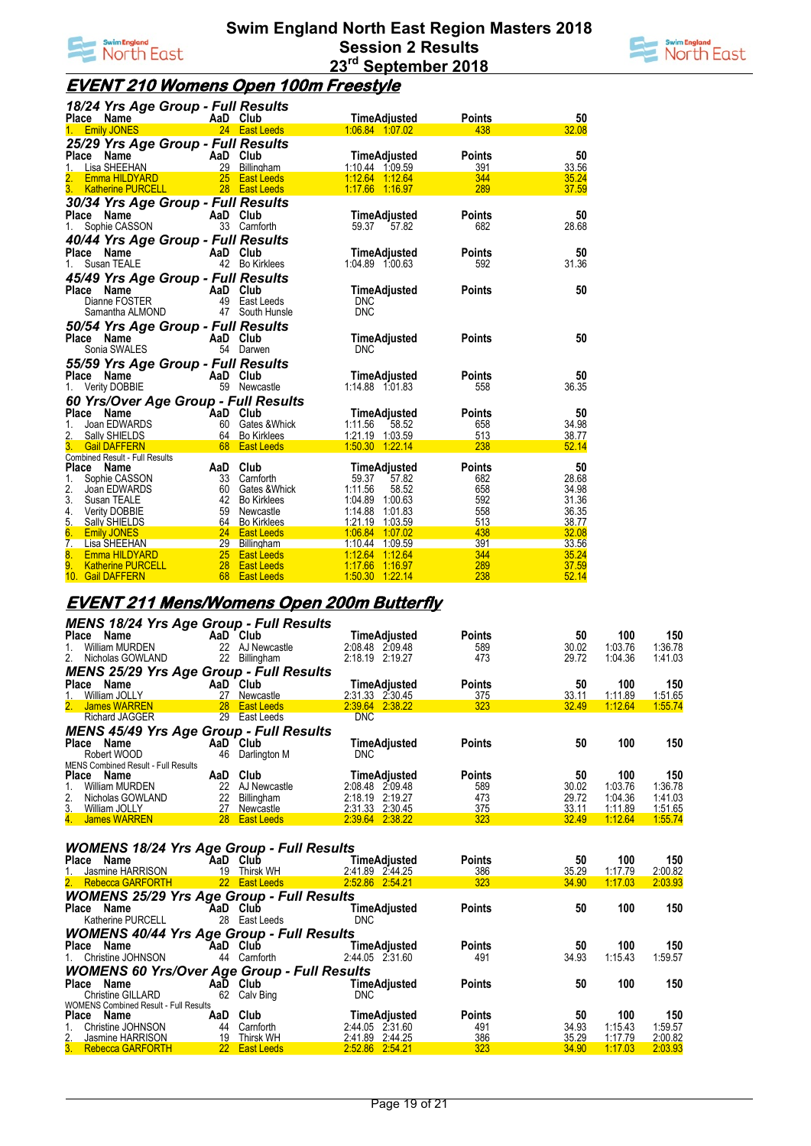



## **EVENT 210 Womens Open 100m Freestyle**

| 18/24 Yrs Age Group - Full Results                    |                 |                                |                                    |               |                |
|-------------------------------------------------------|-----------------|--------------------------------|------------------------------------|---------------|----------------|
| Place Name                                            |                 | AaD Club                       | <b>TimeAdiusted</b>                | <b>Points</b> | 50             |
| 1. Emily JONES                                        |                 | 24 East Leeds                  | 1.06.84 1.07.02                    | 438           | 32.08          |
| 25/29 Yrs Age Group - Full Results                    |                 |                                |                                    |               |                |
| <b>Name</b><br>Place                                  |                 | AaD Club                       | TimeAdjusted                       | <b>Points</b> | 50             |
| Lisa SHEEHAN<br>1.                                    |                 | 29 Billingham                  | 1:10.44 1:09.59                    | 391           | 33.56          |
| Emma HILDYARD                                         | 25 <sub>2</sub> | <b>East Leeds</b>              | 1.12.64 1.12.64                    | 344           | 35.24          |
| 3.<br><b>Katherine PURCELL</b>                        |                 | 28 East Leeds                  | 1.17.66 1.16.97                    | 289           | 37.59          |
| 30/34 Yrs Age Group - Full Results                    |                 |                                |                                    |               |                |
| Name<br>Place                                         |                 | AaD Club                       | <b>TimeAdjusted</b>                | <b>Points</b> | 50             |
| Sophie CASSON<br>1.                                   |                 | 33 Carnforth                   | 59.37 57.82                        | 682           | 28.68          |
| 40/44 Yrs Age Group - Full Results                    |                 |                                |                                    |               |                |
| Name _<br>Place                                       |                 | AaD Club                       | TimeAdjusted                       | <b>Points</b> | 50             |
| Susan TEALE<br>1.                                     |                 | 42 Bo Kirklees                 | 1:04.89 1:00.63                    | 592           | 31.36          |
| 45/49 Yrs Age Group - Full Results                    |                 |                                |                                    |               |                |
| Place Name                                            |                 | AaD Club                       | TimeAdjusted                       | <b>Points</b> | 50             |
| Dianne FOSTER                                         |                 | 49 East Leeds                  | <b>DNC</b>                         |               |                |
| Samantha ALMOND                                       |                 | 47 South Hunsle                | <b>DNC</b>                         |               |                |
| 50/54 Yrs Age Group - Full Results                    |                 |                                |                                    |               |                |
| Place<br>Name                                         |                 | AaD Club                       | TimeAdjusted                       | <b>Points</b> | 50             |
| Sonia SWALES                                          |                 | 54 Darwen                      | <b>DNC</b>                         |               |                |
| 55/59 Yrs Age Group - Full Results                    |                 |                                |                                    |               |                |
| Name<br>Place                                         |                 | AaD Club                       | TimeAdjusted                       | <b>Points</b> | 50             |
| Verity DOBBIE<br>1.                                   |                 | 59 Newcastle                   | 1:14.88 1:01.83                    | 558           | 36.35          |
|                                                       |                 |                                |                                    |               |                |
| 60 Yrs/Over Age Group - Full Results<br>Place<br>Name |                 | AaD Club                       |                                    | <b>Points</b> | 50             |
| Joan EDWARDS<br>1.                                    |                 | 60 Gates & Whick               | TimeAdjusted<br>1:11.56<br>58.52   | 658           | 34.98          |
| 2.<br>Sally SHIELDS                                   |                 | 64 Bo Kirklees                 | 1:21.19 1:03.59                    | 513           | 38.77          |
| 3.<br><b>Gail DAFFERN</b>                             |                 | 68 East Leeds                  | 1:50.30 1:22.14                    | 238           | 52.14          |
| <b>Combined Result - Full Results</b>                 |                 |                                |                                    |               |                |
| <b>Place</b><br>Name                                  |                 | AaD Club                       | <b>TimeAdjusted</b>                | <b>Points</b> | 50             |
| 1.<br>Sophie CASSON                                   |                 | 33 Carnforth                   | 59.37<br>57.82                     | 682           | 28.68          |
| 2.<br>Joan EDWARDS                                    |                 | 60 Gates & Whick               | 1:11.56<br>58.52                   | 658           | 34.98          |
| 3. Susan TEALE                                        |                 | 42 Bo Kirklees                 | 1:04.89 1:00.63                    | 592           | 31.36          |
| 4.<br>Verity DOBBIE<br>5.<br>Sally SHIELDS            |                 | 59 Newcastle<br>64 Bo Kirklees | 1:14.88 1:01.83<br>1:21.19 1:03.59 | 558<br>513    | 36.35<br>38.77 |
| 6.<br><b>Emily JONES</b>                              |                 | 24 East Leeds                  | 1.06.84 1.07.02                    | 438           | 32.08          |
| $\overline{7}$ .<br>Lisa SHEEHAN                      |                 | 29 Billingham                  | 1:10.44 1:09.59                    | 391           | 33.56          |
| 8.<br><b>Emma HILDYARD</b>                            |                 | 25 East Leeds                  | 1:12.64<br>1:12.64                 | 344           | 35.24          |
| 9.<br><b>Katherine PURCELL</b>                        |                 | 28 East Leeds                  | 1:17.66<br>1.16.97                 | 289           | 37.59          |
| 10. Gail DAFFERN                                      | 68              | <b>East Leeds</b>              | 1:50.30 1:22.14                    | 238           | 52.14          |

#### **EVENT 211 Mens/Womens Open 200m Butterfly**

| <b>MENS 18/24 Yrs Age Group - Full Results</b>     |           |                   |                 |               |       |         |         |
|----------------------------------------------------|-----------|-------------------|-----------------|---------------|-------|---------|---------|
| Place<br>Name                                      |           | AaD Club          | TimeAdjusted    | <b>Points</b> | 50    | 100     | 150     |
| <b>William MURDEN</b>                              | 22        | AJ Newcastle      | 2:08.48 2:09.48 | 589           | 30.02 | 1:03.76 | 1:36.78 |
| 2.<br>Nicholas GOWLAND                             | 22        | Billingham        | 2:18.19 2:19.27 | 473           | 29.72 | 1:04.36 | 1:41.03 |
| <b>MENS 25/29 Yrs Age Group - Full Results</b>     |           |                   |                 |               |       |         |         |
| Place Name                                         |           | AaD Club          | TimeAdjusted    | <b>Points</b> | 50    | 100     | 150     |
| William JOLLY                                      |           | 27 Newcastle      | 2:31.33 2:30.45 | 375           | 33.11 | 1:11.89 | 1:51.65 |
| 2.<br>James WARREN                                 | <b>28</b> | <b>East Leeds</b> | 2:39.64 2:38.22 | 323           | 32.49 | 1:12.64 | 1:55.74 |
| <b>Richard JAGGER</b>                              | 29        | East Leeds        | <b>DNC</b>      |               |       |         |         |
| <b>MENS 45/49 Yrs Age Group - Full Results</b>     |           |                   |                 |               |       |         |         |
| Place Name                                         |           | AaD Club          | TimeAdjusted    | <b>Points</b> | 50    | 100     | 150     |
| Robert WOOD                                        | 46        | Darlington M      | <b>DNC</b>      |               |       |         |         |
| <b>MENS Combined Result - Full Results</b>         |           |                   |                 |               |       |         |         |
| <b>Place</b><br>Name                               | AaD       | Club              | TimeAdjusted    | <b>Points</b> | 50    | 100     | 150     |
| <b>William MURDEN</b>                              | 22        | AJ Newcastle      | 2:08.48 2:09.48 | 589           | 30.02 | 1:03.76 | 1:36.78 |
| 2.<br>Nicholas GOWLAND                             | 22        | Billingham        | 2:18.19 2:19.27 | 473           | 29.72 | 1:04.36 | 1:41.03 |
| 3. William JOLLY                                   |           | 27 Newcastle      | 2:31.33 2:30.45 | 375           | 33.11 | 1:11.89 | 1:51.65 |
| 4. James WARREN                                    |           | 28 East Leeds     | 2:39.64 2:38.22 | 323           | 32.49 | 1:12.64 | 1:55.74 |
|                                                    |           |                   |                 |               |       |         |         |
| <b>WOMENS 18/24 Yrs Age Group - Full Results</b>   |           |                   |                 |               |       |         |         |
| Place Name                                         |           | ิAaD Club         | TimeAdjusted    | <b>Points</b> | 50    | 100     | 150     |
| Jasmine HARRISON                                   | 19        | Thirsk WH         | 2:41.89 2:44.25 | 386           | 35.29 | 1:17.79 | 2:00.82 |
| 2. Rebecca GARFORTH                                |           | 22 East Leeds     | 2:52.86 2:54.21 | 323           | 34.90 | 1:17.03 | 2:03.93 |
| <b>WOMENS 25/29 Yrs Age Group - Full Results</b>   |           |                   |                 |               |       |         |         |
| Place Name                                         | AaD       | Club              | TimeAdjusted    | <b>Points</b> | 50    | 100     | 150     |
| Katherine PURCELL                                  | 28        | East Leeds        | <b>DNC</b>      |               |       |         |         |
| <b>WOMENS 40/44 Yrs Age Group - Full Results</b>   |           |                   |                 |               |       |         |         |
| Place Name                                         |           | AaD Club          | TimeAdiusted    | <b>Points</b> | 50    | 100     | 150     |
| Christine JOHNSON                                  | 44        | Carnforth         | 2:44.05 2:31.60 | 491           | 34.93 | 1:15.43 | 1:59.57 |
|                                                    |           |                   |                 |               |       |         |         |
| <b>WOMENS 60 Yrs/Over Age Group - Full Results</b> |           |                   | TimeAdiusted    |               | 50    | 100     | 150     |
| Place<br><b>Name</b>                               |           | AaD Club          |                 | <b>Points</b> |       |         |         |

**Place Name AaD Club TimeAdjusted Points 50 100 150** Christine GILLARD 62 Calv Bing DNC WOMENS Combined Result - Full Results **Place Name AaD Club TimeAdjusted Points 50 100 150** 1. Christine Johnson, 2. Christine Johnson, 2. Additional Club **1.** Christine Johnson and Club 1. Christine Johnson and Club 2:44.05 2:31.60 491 34.93 1:15.43 1:59.57<br>2. Jasmine HARRISON 19 Thirsk WH 2:41.89 2:44.25 3.86 3 2. Jasmine HARRISON 19 Thirsk WH 2:41.89 2:44.25 386 35.29 1:17.79 2:00.82 3. Rebecca GARFORTH 22 East Leeds 2:52.86 2:54.21 323 34.90 1:17.03 2:03.93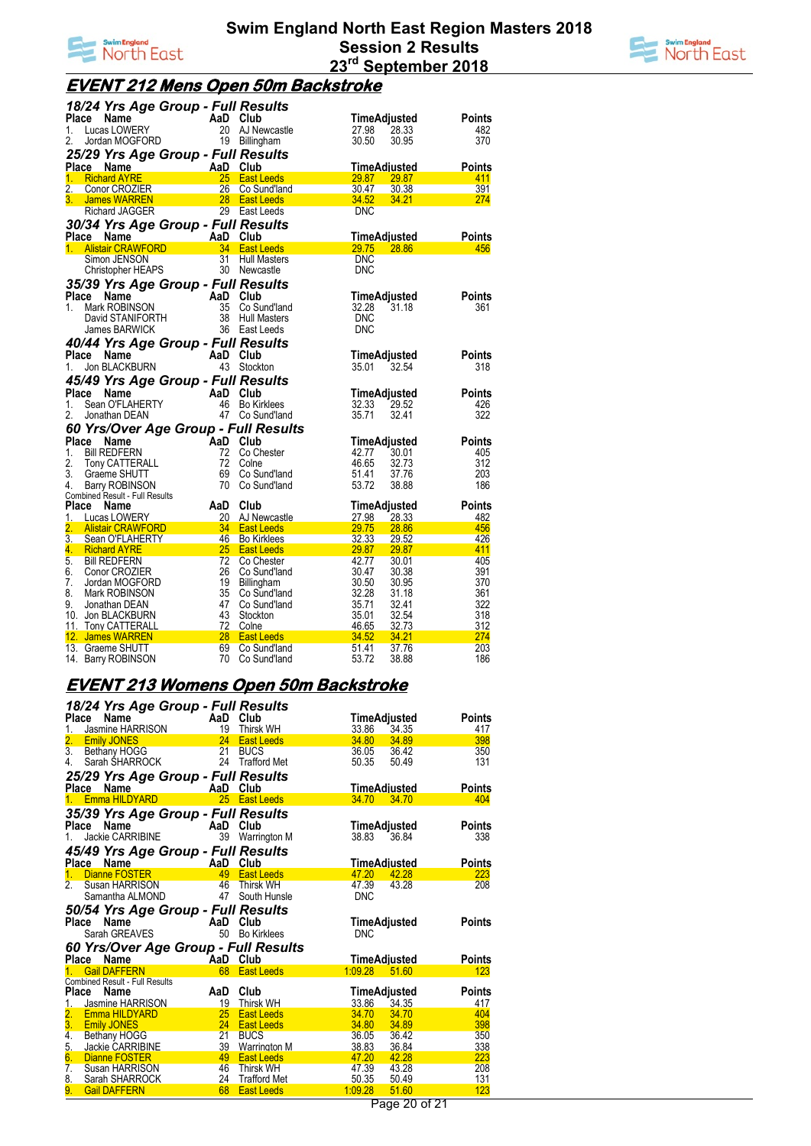



# **EVENT 212 Mens Open 50m Backstroke**

|                  | 18/24 Yrs Age Group - Full Results   |          |                     |                     |       |               |
|------------------|--------------------------------------|----------|---------------------|---------------------|-------|---------------|
| Place            | Name                                 | AaD Club |                     | TimeAdjusted        |       | <b>Points</b> |
| 1.               | Lucas LOWERY                         |          | 20 AJ Newcastle     | 27.98               | 28.33 | 482           |
| 2.               | Jordan MOGFORD                       |          | 19 Billingham       | 30.50               | 30.95 | 370           |
|                  |                                      |          |                     |                     |       |               |
|                  | 25/29 Yrs Age Group - Full Results   |          |                     |                     |       |               |
| Place            | <b>Name</b>                          | AaD Club |                     | <b>TimeAdiusted</b> |       | Points        |
| 1 <sub>1</sub>   | <b>Richard AYRE</b>                  | 25       | <b>East Leeds</b>   | <b>29.87</b>        | 29.87 | 411           |
| $\overline{2}$ . | Conor CROZIER                        | 26       | Co Sund'land        | 30.47               | 30.38 | 391           |
| 3.               | James WARREN                         | 28       | <b>East Leeds</b>   | 34.52               | 34.21 | 274           |
|                  | Richard JAGGER                       |          | 29 East Leeds       | <b>DNC</b>          |       |               |
|                  | 30/34 Yrs Age Group - Full Results   |          |                     |                     |       |               |
|                  | Place Name                           | AaD      | Club                | TimeAdjusted        |       | Points        |
| 1.               | <b>Alistair CRAWFORD</b>             | 34       | <b>East Leeds</b>   | 29.75               | 28.86 | 456           |
|                  | Simon JENSON                         | 31       | <b>Hull Masters</b> | <b>DNC</b>          |       |               |
|                  | <b>Christopher HEAPS</b>             | 30       | Newcastle           | <b>DNC</b>          |       |               |
|                  | 35/39 Yrs Age Group - Full Results   |          |                     |                     |       |               |
| <b>Place</b>     | Name                                 | AaD      | Club                | TimeAdjusted        |       | Points        |
| 1.               | Mark ROBINSON                        | 35       | Co Sund'land        | 32.28               | 31.18 | 361           |
|                  | David STANIFORTH                     | 38       | <b>Hull Masters</b> | <b>DNC</b>          |       |               |
|                  | James BARWICK                        | 36       | East Leeds          | <b>DNC</b>          |       |               |
|                  |                                      |          |                     |                     |       |               |
|                  | 40/44 Yrs Age Group - Full Results   |          |                     |                     |       |               |
| Place            | Name                                 | AaD Club |                     | TimeAdjusted        |       | Points        |
| 1.               | Jon BLACKBURN                        | 43       | Stockton            | 35.01               | 32.54 | 318           |
|                  | 45/49 Yrs Age Group - Full Results   |          |                     |                     |       |               |
| Place            | Name                                 | AaD      | Club                | <b>TimeAdjusted</b> |       | Points        |
| 1.               | Sean O'FLAHERTY                      | 46       | <b>Bo Kirklees</b>  | 32.33               | 29.52 | 426           |
| 2.               | Jonathan DEAN                        |          | 47 Co Sund'land     | 35.71               | 32.41 | 322           |
|                  | 60 Yrs/Over Age Group - Full Results |          |                     |                     |       |               |
| Place            | Name                                 | AaD      | Club                | TimeAdjusted        |       | Points        |
| 1.               | <b>Bill REDFERN</b>                  | 72       | Co Chester          | 42.77               | 30.01 | 405           |
| 2.               | <b>Tony CATTERALL</b>                | 72       | Colne               | 46.65               | 32.73 | 312           |
| 3.               | Graeme SHUTT                         | 69       | Co Sund'land        | 51.41               | 37.76 | 203           |
| 4.               | <b>Barry ROBINSON</b>                | 70       | Co Sund'land        | 53.72               | 38.88 | 186           |
|                  | Combined Result - Full Results       |          |                     |                     |       |               |
| <b>Place</b>     | Name                                 | AaD      | Club                | TimeAdjusted        |       | Points        |
| 1.               | Lucas LOWERY                         | 20       | AJ Newcastle        | 27.98               | 28.33 | 482           |
| 2.               | <b>Alistair CRAWFORD</b>             | 34       | <b>East Leeds</b>   | 29.75               | 28.86 | 456           |
| $\overline{3}$ . | Sean O'FLAHERTY                      | 46       | <b>Bo Kirklees</b>  | 32.33               | 29.52 | 426           |
| 4.               | <b>Richard AYRE</b>                  | 25       | <b>East Leeds</b>   | 29.87               | 29.87 | 411           |
| 5.               | <b>Bill REDFERN</b>                  | 72       | Co Chester          | 42.77               | 30.01 | 405           |
| 6.               | Conor CROZIER                        | 26       | Co Sund'land        | 30.47               | 30.38 | 391           |
| 7.               | Jordan MOGFORD                       | 19       | Billingham          | 30.50               | 30.95 | 370           |
| 8.               | Mark ROBINSON                        | 35       | Co Sund'land        | 32.28               | 31.18 | 361           |
| 9.               | Jonathan DEAN                        | 47       | Co Sund'land        | 35.71               | 32.41 | 322           |
|                  | 10. Jon BLACKBURN                    | 43       | Stockton            | 35.01               | 32.54 | 318           |
|                  | <u>11. Tony CATTERALL</u>            | 72       | Colne               | 46.65               | 32.73 | 312           |
|                  | <u>12. James WARREN</u>              | 28       | <b>East Leeds</b>   | 34.52               | 34.21 | 274           |
|                  |                                      |          |                     |                     |       |               |
|                  | 13. Graeme SHUTT                     | 69       | Co Sund'land        | 51.41               | 37.76 | 203           |

### **EVENT 213 Womens Open 50m Backstroke**

|         | 18/24 Yrs Age Group - Full Results                               |                   |                                   |                                  |               |
|---------|------------------------------------------------------------------|-------------------|-----------------------------------|----------------------------------|---------------|
|         | <b>Name</b><br><b>Place</b><br><b>e Name</b><br>Jasmine HARRISON | AaD               | Club                              | TimeAdjusted                     | <b>Points</b> |
| $1_{-}$ |                                                                  | 19                | Thirsk WH                         | 34.35<br>33.86                   | 417           |
|         | 2. Emily JONES<br>3. Bethany HOGG                                | $\overline{24}$   | <b>East Leeds</b>                 | 34.80<br>34.89                   | 398           |
|         |                                                                  | 21                | <b>BUCS</b>                       | 36.05<br>36.42                   | 350           |
| 4.      | Sarah ŚHARROCK                                                   |                   | 24 Trafford Met                   | 50.35<br>50.49                   | 131           |
|         | 25/29 Yrs Age Group - Full Results                               |                   |                                   |                                  |               |
|         |                                                                  |                   |                                   | TimeAdjusted                     | <b>Points</b> |
|         | riace Name<br>1. Emma HILDYARD 1. 25 Fast                        |                   | 25 East Leeds                     | 34.70<br>34.70                   | 404           |
|         | 35/39 Yrs Age Group - Full Results                               |                   |                                   |                                  |               |
|         | Place                                                            |                   |                                   | TimeAdjusted                     | <b>Points</b> |
| 1.      | <b>ce Name</b><br>Jackie CARRIBINE 199 Warring                   |                   | Warrington M                      | 38.83<br>36.84                   | 338           |
|         | 45/49 Yrs Age Group - Full Results                               |                   |                                   |                                  |               |
|         | Place<br><b>Name</b><br>AaD Club                                 |                   |                                   | TimeAdiusted                     | <b>Points</b> |
| 1.      | Dianne FOSTER                                                    | $\overline{a}$ 49 | <b>East Leeds</b>                 | 47.20<br>42.28                   | 223           |
| 2.      | Susan HARRISON                                                   | - 46              | Thirsk WH                         | 47.39<br>43.28                   | 208           |
|         | Samantha ALMOND                                                  | 47                | South Hunsle                      | <b>DNC</b>                       |               |
|         |                                                                  |                   |                                   |                                  |               |
|         | 50/54 Yrs Age Group - Full Results                               |                   |                                   |                                  |               |
|         | <b>Example 2</b> AaD<br><b>Place</b><br>Name                     |                   | Club                              | TimeAdjusted                     | <b>Points</b> |
|         | Sarah GREAVES                                                    | 50                | <b>Bo Kirklees</b>                | <b>DNC</b>                       |               |
|         | 60 Yrs/Over Age Group - Full Results                             |                   |                                   |                                  |               |
|         | Name<br>Place                                                    | 'AaD              | Club                              | <b>TimeAdjusted</b>              | <b>Points</b> |
|         | <b>Gail DAFFERN</b>                                              | 68                | <b>East Leeds</b>                 | 1:09.28<br>51.60                 | 123           |
|         | <b>Combined Result - Full Results</b>                            |                   |                                   |                                  |               |
|         | Place<br>Name                                                    | AaD               | Club                              | TimeAdjusted                     | <b>Points</b> |
| $1_{-}$ | Jasmine HARRISON                                                 | 19                | Thirsk WH                         | 33.86<br>34.35                   | 417           |
| 2.      | <b>Emma HILDYARD</b>                                             | 25                | <b>East Leeds</b>                 | 34.70<br>34.70                   | 404           |
|         | 3. Emily JONES                                                   | <b>24</b>         | <b>East Leeds</b>                 | 34.80 34.89                      | 398           |
|         | 4. Bethany HOGG<br>5. Jackie CARRIBI                             | 21                | <b>BUCS</b>                       | 36.05 36.42                      | 350           |
| 6.      | Jackie CARRIBINE<br><b>Dianne FOSTER</b>                         | 39<br>49          | Warrington M<br><b>East Leeds</b> | 38.83<br>36.84<br>42.28<br>47.20 | 338<br>223    |
| 7.      | Susan HARRISON                                                   | 46                | Thirsk WH                         | 47.39 43.28                      | 208           |
| 8.      | Sarah SHARROCK                                                   | 24                | <b>Trafford Met</b>               | 50.35<br>50.49                   | 131           |
|         |                                                                  |                   |                                   |                                  |               |